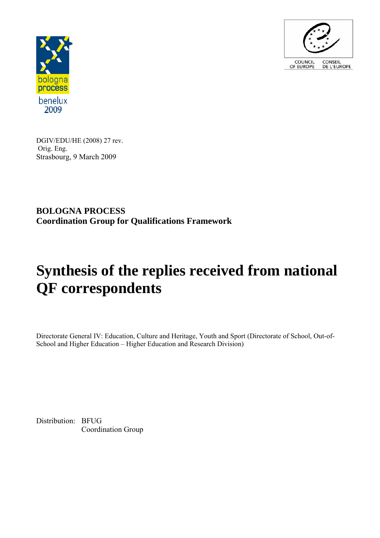



DGIV/EDU/HE (2008) 27 rev. Orig. Eng. Strasbourg, 9 March 2009

**BOLOGNA PROCESS Coordination Group for Qualifications Framework** 

# **Synthesis of the replies received from national QF correspondents**

Directorate General IV: Education, Culture and Heritage, Youth and Sport (Directorate of School, Out-of-School and Higher Education – Higher Education and Research Division)

Distribution: BFUG Coordination Group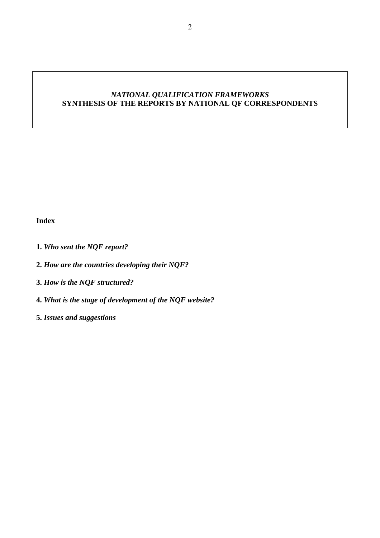# *NATIONAL QUALIFICATION FRAMEWORKS*  SYNTHESIS OF THE REPORTS BY NATIONAL QF CORRESPONDENTS

# **Index**

- **1.** *Who sent the NQF report?*
- **2.** *How are the countries developing their NQF?*
- **3.** *How is the NQF structured?*
- **4.** *What is the stage of development of the NQF website?*
- **5.** *Issues and suggestions*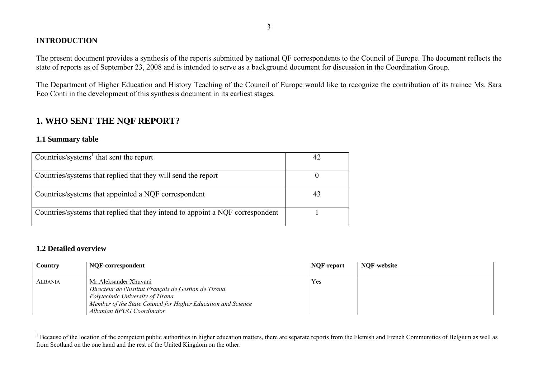# **INTRODUCTION**

The present document provides a synthesis of the reports submitted by national QF correspondents to the Council of Europe. The document reflects the state of reports as of September 23, 2008 and is intended to serve as a background document for discussion in the Coordination Group.

The Department of Higher Education and History Teaching of the Council of Europe would like to recognize the contribution of its trainee Ms. Sara Eco Conti in the development of this synthesis document in its earliest stages.

# **1. WHO SENT THE NQF REPORT?**

# **1.1 Summary table**

| Countries/systems $1$ that sent the report                                     |  |
|--------------------------------------------------------------------------------|--|
|                                                                                |  |
| Countries/systems that replied that they will send the report                  |  |
| Countries/systems that appointed a NQF correspondent                           |  |
| Countries/systems that replied that they intend to appoint a NQF correspondent |  |

# **1.2 Detailed overview**

| Country        | NQF-correspondent                                                                                                                                                                                                | NOF-report | <b>NOF-website</b> |
|----------------|------------------------------------------------------------------------------------------------------------------------------------------------------------------------------------------------------------------|------------|--------------------|
| <b>ALBANIA</b> | Mr. Aleksander Xhuvani<br>Directeur de l'Institut Français de Gestion de Tirana<br>Polytechnic University of Tirana<br>Member of the State Council for Higher Education and Science<br>Albanian BFUG Coordinator | Yes        |                    |

<sup>&</sup>lt;sup>1</sup> Because of the location of the competent public authorities in higher education matters, there are separate reports from the Flemish and French Communities of Belgium as well as from Scotland on the one hand and the rest of the United Kingdom on the other.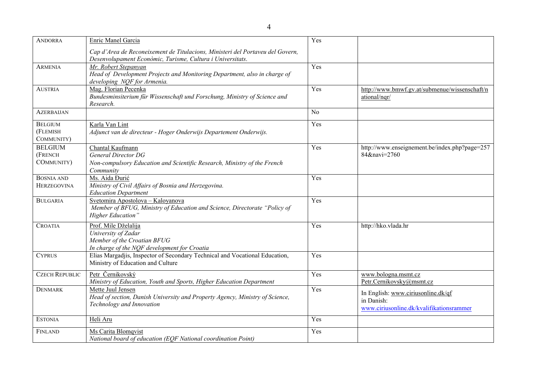| <b>ANDORRA</b>                           | Enric Manel Garcia                                                                                                                           | Yes              |                                                                                              |
|------------------------------------------|----------------------------------------------------------------------------------------------------------------------------------------------|------------------|----------------------------------------------------------------------------------------------|
|                                          | Cap d'Area de Reconeixement de Titulacions, Ministeri del Portaveu del Govern,<br>Desenvolupament Econòmic, Turisme, Cultura i Universitats. |                  |                                                                                              |
| <b>ARMENIA</b>                           | Mr. Robert Stepanyan<br>Head of Development Projects and Monitoring Department, also in charge of<br>developing NQF for Armenia.             | $\overline{Yes}$ |                                                                                              |
| <b>AUSTRIA</b>                           | Mag. Florian Pecenka<br>Bundesminsiterium für Wissenschaft und Forschung, Ministry of Science and<br>Research.                               | Yes              | http://www.bmwf.gv.at/submenue/wissenschaft/n<br>ational/nqr/                                |
| <b>AZERBAIJAN</b>                        |                                                                                                                                              | N <sub>o</sub>   |                                                                                              |
| <b>BELGIUM</b><br>(FLEMISH<br>COMMUNITY) | Karla Van Lint<br>Adjunct van de directeur - Hoger Onderwijs Departement Onderwijs.                                                          | Yes              |                                                                                              |
| <b>BELGIUM</b><br>(FRENCH<br>COMMUNITY)  | Chantal Kaufmann<br><b>General Director DG</b><br>Non-compulsory Education and Scientific Research, Ministry of the French<br>Community      | Yes              | http://www.enseignement.be/index.php?page=257<br>84&navi=2760                                |
| <b>BOSNIA AND</b><br><b>HERZEGOVINA</b>  | Ms. Aida Đurić<br>Ministry of Civil Affairs of Bosnia and Herzegovina.<br><b>Education Department</b>                                        | Yes              |                                                                                              |
| <b>BULGARIA</b>                          | Svetomira Apostolova - Kaloyanova<br>Member of BFUG, Ministry of Education and Science, Directorate "Policy of<br><b>Higher Education</b> "  | Yes              |                                                                                              |
| <b>CROATIA</b>                           | Prof. Mile Dželalija<br>University of Zadar<br>Member of the Croatian BFUG<br>In charge of the NQF development for Croatia                   | Yes              | http://hko.vlada.hr                                                                          |
| <b>CYPRUS</b>                            | Elias Margadjis, Inspector of Secondary Technical and Vocational Education,<br>Ministry of Education and Culture                             | Yes              |                                                                                              |
| <b>CZECH REPUBLIC</b>                    | Petr Černikovský<br>Ministry of Education, Youth and Sports, Higher Education Department                                                     | Yes              | www.bologna.msmt.cz<br>Petr.Cernikovsky@msmt.cz                                              |
| <b>DENMARK</b>                           | Mette Juul Jensen<br>Head of section, Danish University and Property Agency, Ministry of Science,<br>Technology and Innovation               | Yes              | In English: www.ciriusonline.dk/qf<br>in Danish:<br>www.ciriusonline.dk/kvalifikationsrammer |
| <b>ESTONIA</b>                           | Heli Aru                                                                                                                                     | Yes              |                                                                                              |
| FINLAND                                  | Ms Carita Blomqvist<br>National board of education (EQF National coordination Point)                                                         | Yes              |                                                                                              |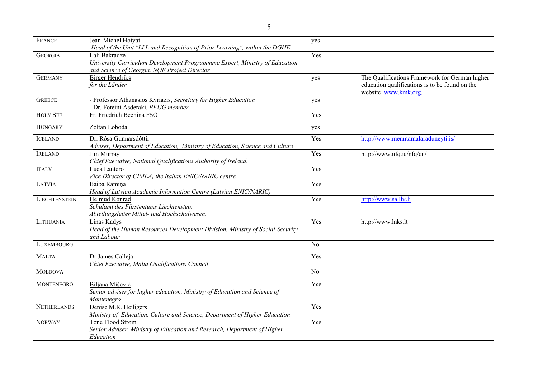| FRANCE               | Jean-Michel Hotyat<br>Head of the Unit "LLL and Recognition of Prior Learning", within the DGHE.                                            | yes            |                                                                                                                          |
|----------------------|---------------------------------------------------------------------------------------------------------------------------------------------|----------------|--------------------------------------------------------------------------------------------------------------------------|
| <b>GEORGIA</b>       | Lali Bakradze<br>University Curriculum Development Programmme Expert, Ministry of Education<br>and Science of Georgia. NOF Project Director | Yes            |                                                                                                                          |
| <b>GERMANY</b>       | <b>Birger Hendriks</b><br>for the Länder                                                                                                    | yes            | The Qualifications Framework for German higher<br>education qualifications is to be found on the<br>website www.kmk.org. |
| <b>GREECE</b>        | - Professor Athanasios Kyriazis, Secretary for Higher Education<br>- Dr. Foteini Asderaki, BFUG member                                      | yes            |                                                                                                                          |
| <b>HOLY SEE</b>      | Fr. Friedrich Bechina FSO                                                                                                                   | Yes            |                                                                                                                          |
| <b>HUNGARY</b>       | Zoltan Loboda                                                                                                                               | yes            |                                                                                                                          |
| <b>ICELAND</b>       | Dr. Rósa Gunnarsdóttir<br>Adviser, Department of Education, Ministry of Education, Science and Culture                                      | Yes            | http://www.menntamalaraduneyti.is/                                                                                       |
| <b>IRELAND</b>       | Jim Murray<br>Chief Executive, National Qualifications Authority of Ireland.                                                                | Yes            | http://www.nfq.ie/nfq/en/                                                                                                |
| <b>ITALY</b>         | Luca Lantero<br>Vice Director of CIMEA, the Italian ENIC/NARIC centre                                                                       | Yes            |                                                                                                                          |
| LATVIA               | Baiba Ramina<br>Head of Latvian Academic Information Centre (Latvian ENIC/NARIC)                                                            | Yes            |                                                                                                                          |
| <b>LIECHTENSTEIN</b> | Helmud Konrad<br>Schulamt des Fürstentums Liechtenstein<br>Abteilungsleiter Mittel- und Hochschulwesen.                                     | Yes            | http://www.sa.llv.li                                                                                                     |
| LITHUANIA            | Linas Kadys<br>Head of the Human Resources Development Division, Ministry of Social Security<br>and Labour                                  | Yes            | http://www.lnks.lt                                                                                                       |
| <b>LUXEMBOURG</b>    |                                                                                                                                             | N <sub>o</sub> |                                                                                                                          |
| <b>MALTA</b>         | Dr James Calleja<br>Chief Executive, Malta Qualifications Council                                                                           | Yes            |                                                                                                                          |
| <b>MOLDOVA</b>       |                                                                                                                                             | N <sub>o</sub> |                                                                                                                          |
| <b>MONTENEGRO</b>    | Biljana Mišović<br>Senior adviser for higher education, Ministry of Education and Science of<br>Montenegro                                  | Yes            |                                                                                                                          |
| <b>NETHERLANDS</b>   | Denise M.R. Heiligers<br>Ministry of Education, Culture and Science, Department of Higher Education                                         | Yes            |                                                                                                                          |
| <b>NORWAY</b>        | Tone Flood Strøm<br>Senior Adviser, Ministry of Education and Research, Department of Higher<br>Education                                   | Yes            |                                                                                                                          |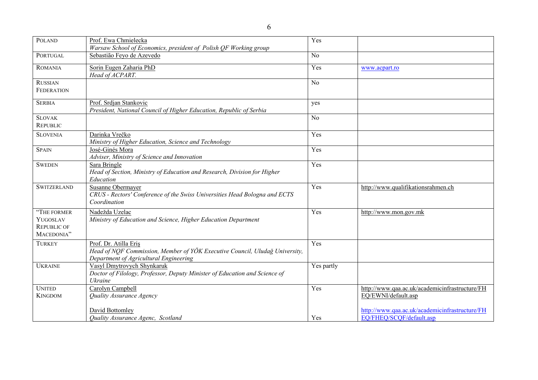| <b>POLAND</b>                                               | Prof. Ewa Chmielecka                                                                                                                           | Yes        |                                                                            |
|-------------------------------------------------------------|------------------------------------------------------------------------------------------------------------------------------------------------|------------|----------------------------------------------------------------------------|
|                                                             | Warsaw School of Economics, president of Polish QF Working group                                                                               |            |                                                                            |
| PORTUGAL                                                    | Sebastião Feyo de Azevedo                                                                                                                      | No         |                                                                            |
| <b>ROMANIA</b>                                              | Sorin Eugen Zaharia PhD<br>Head of ACPART.                                                                                                     | Yes        | www.acpart.ro                                                              |
| <b>RUSSIAN</b>                                              |                                                                                                                                                | No         |                                                                            |
| <b>FEDERATION</b>                                           |                                                                                                                                                |            |                                                                            |
| <b>SERBIA</b>                                               | Prof. Srdjan Stankovic<br>President, National Council of Higher Education, Republic of Serbia                                                  | yes        |                                                                            |
| <b>SLOVAK</b><br><b>REPUBLIC</b>                            |                                                                                                                                                | No         |                                                                            |
| <b>SLOVENIA</b>                                             | Darinka Vrečko<br>Ministry of Higher Education, Science and Technology                                                                         | Yes        |                                                                            |
| <b>SPAIN</b>                                                | José-Ginés Mora<br>Adviser, Ministry of Science and Innovation                                                                                 | Yes        |                                                                            |
| <b>SWEDEN</b>                                               | Sara Bringle<br>Head of Section, Ministry of Education and Research, Division for Higher<br>Education                                          | Yes        |                                                                            |
| <b>SWITZERLAND</b>                                          | Susanne Obermayer<br>CRUS - Rectors' Conference of the Swiss Universities Head Bologna and ECTS<br>Coordination                                | Yes        | http://www.qualifikationsrahmen.ch                                         |
| "THE FORMER<br>YUGOSLAV<br><b>REPUBLIC OF</b><br>MACEDONIA" | Nadežda Uzelac<br>Ministry of Education and Science, Higher Education Department                                                               | Yes        | http://www.mon.gov.mk                                                      |
| <b>TURKEY</b>                                               | Prof. Dr. Atilla Eris<br>Head of NOF Commission, Member of YÖK Executive Council, Uludağ University,<br>Department of Agricultural Engineering | Yes        |                                                                            |
| <b>UKRAINE</b>                                              | Vasyl Dmytrovych Shynkaruk<br>Doctor of Filology, Professor, Deputy Minister of Education and Science of<br>Ukraine                            | Yes partly |                                                                            |
| <b>UNITED</b><br><b>KINGDOM</b>                             | Carolyn Campbell<br>Quality Assurance Agency                                                                                                   | Yes        | http://www.qaa.ac.uk/academicinfrastructure/FH<br>EQ/EWNI/default.asp      |
|                                                             | <b>David Bottomley</b><br>Quality Assurance Agenc, Scotland                                                                                    | Yes        | http://www.qaa.ac.uk/academicinfrastructure/FH<br>EQ/FHEQ/SCQF/default.asp |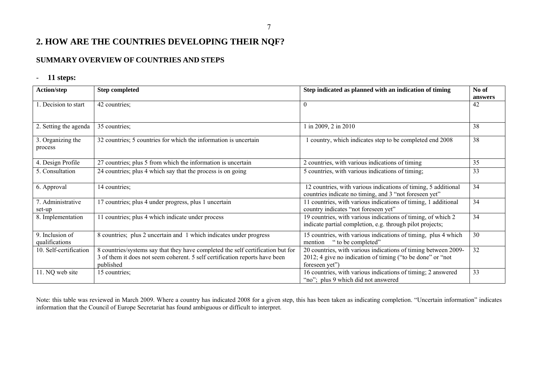# **2. HOW ARE THE COUNTRIES DEVELOPING THEIR NQF?**

# **SUMMARY OVERVIEW OF COUNTRIES AND STEPS**

#### - **11 steps:**

| Action/step                       | <b>Step completed</b>                                                                                                                                                       | Step indicated as planned with an indication of timing                                                                                         | No of<br>answers |
|-----------------------------------|-----------------------------------------------------------------------------------------------------------------------------------------------------------------------------|------------------------------------------------------------------------------------------------------------------------------------------------|------------------|
| 1. Decision to start              | 42 countries;                                                                                                                                                               |                                                                                                                                                | 42               |
| 2. Setting the agenda             | 35 countries;                                                                                                                                                               | in 2009, 2 in 2010                                                                                                                             | 38               |
| 3. Organizing the<br>process      | 32 countries; 5 countries for which the information is uncertain                                                                                                            | country, which indicates step to be completed end 2008                                                                                         | 38               |
| 4. Design Profile                 | 27 countries; plus 5 from which the information is uncertain                                                                                                                | 2 countries, with various indications of timing                                                                                                | 35               |
| 5. Consultation                   | 24 countries; plus 4 which say that the process is on going                                                                                                                 | 5 countries, with various indications of timing;                                                                                               | 33               |
| 6. Approval                       | 14 countries;                                                                                                                                                               | 12 countries, with various indications of timing, 5 additional<br>countries indicate no timing, and 3 "not foreseen yet"                       | 34               |
| 7. Administrative<br>set-up       | 17 countries; plus 4 under progress, plus 1 uncertain                                                                                                                       | 11 countries, with various indications of timing, 1 additional<br>country indicates "not foreseen yet"                                         | 34               |
| 8. Implementation                 | 11 countries; plus 4 which indicate under process                                                                                                                           | 19 countries, with various indications of timing, of which 2<br>indicate partial completion, e.g. through pilot projects;                      | 34               |
| 9. Inclusion of<br>qualifications | 8 countries; plus 2 uncertain and 1 which indicates under progress                                                                                                          | 15 countries, with various indications of timing, plus 4 which<br>" to be completed"<br>mention                                                | 30               |
| 10. Self-certification            | 8 countries/systems say that they have completed the self certification but for<br>3 of them it does not seem coherent. 5 self certification reports have been<br>published | 20 countries, with various indications of timing between 2009-<br>2012; 4 give no indication of timing ("to be done" or "not<br>foreseen yet") | 32               |
| 11. NQ web site                   | 15 countries;                                                                                                                                                               | 16 countries, with various indications of timing; 2 answered<br>"no"; plus 9 which did not answered                                            | 33               |

Note: this table was reviewed in March 2009. Where a country has indicated 2008 for a given step, this has been taken as indicating completion. "Uncertain information" indicates information that the Council of Europe Secretariat has found ambiguous or difficult to interpret.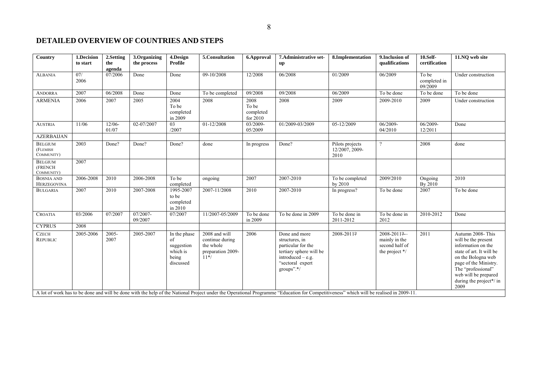#### **DETAILED OVERVIEW OF COUNTRIES AND STEPS**

| Country                                  | 1.Decision<br>to start | 2.Setting<br>the<br>agenda | 3.Organizing<br>the process | 4.Design<br><b>Profile</b>                                         | 5.Consultation                                                               | 6.Approval                             | 7. Administrative set-<br>$\mathbf{u}$                                                                                                                                                                                                                                                                                             | 8.Implementation                          | 9. Inclusion of<br>qualifications                                | $10.Self-$<br>certification      | 11.NO web site                                                                                                                                                                                                             |
|------------------------------------------|------------------------|----------------------------|-----------------------------|--------------------------------------------------------------------|------------------------------------------------------------------------------|----------------------------------------|------------------------------------------------------------------------------------------------------------------------------------------------------------------------------------------------------------------------------------------------------------------------------------------------------------------------------------|-------------------------------------------|------------------------------------------------------------------|----------------------------------|----------------------------------------------------------------------------------------------------------------------------------------------------------------------------------------------------------------------------|
| <b>ALBANIA</b>                           | 07/<br>2006            | 07/2006                    | Done                        | Done                                                               | 09-10/2008                                                                   | 12/2008                                | 06/2008                                                                                                                                                                                                                                                                                                                            | 01/2009                                   | 06/2009                                                          | To be<br>completed in<br>09/2009 | Under construction                                                                                                                                                                                                         |
| <b>ANDORRA</b>                           | 2007                   | 06/2008                    | Done                        | Done                                                               | To be completed                                                              | 09/2008                                | 09/2008                                                                                                                                                                                                                                                                                                                            | 06/2009                                   | To be done                                                       | To be done                       | To be done                                                                                                                                                                                                                 |
| <b>ARMENIA</b>                           | 2006                   | 2007                       | 2005                        | 2004<br>To be<br>completed<br>in 2009                              | 2008                                                                         | 2008<br>To be<br>completed<br>for 2010 | 2008                                                                                                                                                                                                                                                                                                                               | 2009                                      | 2009-2010                                                        | 2009                             | Under construction                                                                                                                                                                                                         |
| <b>AUSTRIA</b>                           | 11/06                  | $12/06 -$<br>01/07         | 02-07/2007                  | 03<br>/2007                                                        | 01-12/2008                                                                   | 03/2009-<br>05/2009                    | 01/2009-03/2009                                                                                                                                                                                                                                                                                                                    | 05-12/2009                                | 06/2009-<br>04/2010                                              | 06/2009-<br>12/2011              | Done                                                                                                                                                                                                                       |
| <b>AZERBAIJAN</b>                        |                        |                            |                             |                                                                    |                                                                              |                                        |                                                                                                                                                                                                                                                                                                                                    |                                           |                                                                  |                                  |                                                                                                                                                                                                                            |
| <b>BELGIUM</b><br>(FLEMISH<br>COMMUNITY) | 2003                   | Done?                      | Done?                       | Done?                                                              | done                                                                         | In progress                            | Done?                                                                                                                                                                                                                                                                                                                              | Pilots projects<br>12/2007, 2009-<br>2010 |                                                                  | 2008                             | done                                                                                                                                                                                                                       |
| <b>BELGIUM</b><br>(FRENCH<br>COMMUNITY)  | 2007                   |                            |                             |                                                                    |                                                                              |                                        |                                                                                                                                                                                                                                                                                                                                    |                                           |                                                                  |                                  |                                                                                                                                                                                                                            |
| <b>BOSNIA AND</b><br><b>HERZEGOVINA</b>  | 2006-2008              | 2010                       | 2006-2008                   | To be<br>completed                                                 | ongoing                                                                      | 2007                                   | 2007-2010                                                                                                                                                                                                                                                                                                                          | To be completed<br>by 2010                | 2009/2010                                                        | Ongoing<br>By 2010               | 2010                                                                                                                                                                                                                       |
| <b>BULGARIA</b>                          | 2007                   | 2010                       | 2007-2008                   | 1995-2007<br>to be<br>completed<br>in 2010                         | 2007-11/2008                                                                 | 2010                                   | 2007-2010                                                                                                                                                                                                                                                                                                                          | In progress?                              | To be done                                                       | 2007                             | To be done                                                                                                                                                                                                                 |
| <b>CROATIA</b>                           | 03/2006                | 07/2007                    | 07/2007-<br>09/2007         | 07/2007                                                            | 11/2007-05/2009                                                              | To be done<br>in 2009                  | To be done in 2009                                                                                                                                                                                                                                                                                                                 | To be done in<br>2011-2012                | To be done in<br>2012                                            | 2010-2012                        | Done                                                                                                                                                                                                                       |
| <b>CYPRUS</b>                            | 2008                   |                            |                             |                                                                    |                                                                              |                                        |                                                                                                                                                                                                                                                                                                                                    |                                           |                                                                  |                                  |                                                                                                                                                                                                                            |
| <b>CZECH</b><br><b>REPUBLIC</b>          | 2005-2006              | 2005-<br>2007              | 2005-2007                   | In the phase<br>of<br>suggestion<br>which is<br>being<br>discussed | 2008 and will<br>continue during<br>the whole<br>preparation 2009-<br>$11*/$ | 2006                                   | Done and more<br>structures, in<br>particular for the<br>tertiary sphere will be<br>$introduced - e.g.$<br>"sectoral expert<br>groups".*/<br>A lot of work has to be done and will be done with the help of the National Project under the Operational Programme "Education for Competitiveness" which will be realised in 2009-11 | 2008-2011?                                | 2008-2011?-<br>mainly in the<br>second half of<br>the project */ | 2011                             | Autumn 2008- This<br>will be the present<br>information on the<br>state of art. It will be<br>on the Bologna web<br>page of the Ministry.<br>The "professional"<br>web will be prepared<br>during the project*/ in<br>2009 |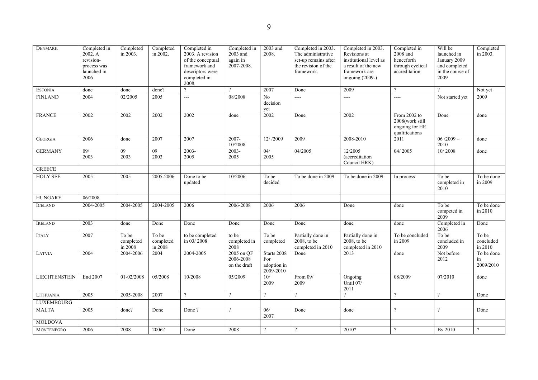| <b>DENMARK</b>       | Completed in<br>2002. A<br>revision-<br>process was<br>launched in<br>2006 | Completed<br>in 2003.         | Completed<br>in 2002.         | Completed in<br>2003. A revision<br>of the conceptual<br>framework and<br>descriptors were<br>completed in<br>2008. | Completed in<br>$2003$ and<br>again in<br>2007-2008. | 2003 and<br>2008.                              | Completed in 2003.<br>The administrative<br>set-up remains after<br>the revision of the<br>framework. | Completed in 2003.<br>Revisions at<br>institutional level as<br>a result of the new<br>framework are<br>ongoing (2009-) | Completed in<br>$2008$ and<br>henceforth<br>through cyclical<br>accreditation. | Will be<br>launched in<br>January 2009<br>and completed<br>in the course of<br>2009 | Completed<br>in 2003.         |
|----------------------|----------------------------------------------------------------------------|-------------------------------|-------------------------------|---------------------------------------------------------------------------------------------------------------------|------------------------------------------------------|------------------------------------------------|-------------------------------------------------------------------------------------------------------|-------------------------------------------------------------------------------------------------------------------------|--------------------------------------------------------------------------------|-------------------------------------------------------------------------------------|-------------------------------|
| <b>ESTONIA</b>       | done                                                                       | done                          | done?                         | $\mathcal{P}$                                                                                                       |                                                      | 2007                                           | Done                                                                                                  | 2009                                                                                                                    | $\gamma$                                                                       | $\gamma$                                                                            | Not yet                       |
| <b>FINLAND</b>       | 2004                                                                       | 02/2005                       | 2005                          | $\overline{\phantom{a}}$                                                                                            | 08/2008                                              | No<br>decision<br>yet                          | ----                                                                                                  | ----                                                                                                                    | $\overline{a}$                                                                 | Not started yet                                                                     | 2009                          |
| <b>FRANCE</b>        | 2002                                                                       | 2002                          | 2002                          | 2002                                                                                                                | done                                                 | 2002                                           | Done                                                                                                  | 2002                                                                                                                    | From 2002 to<br>2008(work still<br>ongoing for HE<br>qualifications            | Done                                                                                | done                          |
| <b>GEORGIA</b>       | 2006                                                                       | done                          | 2007                          | 2007                                                                                                                | 2007-<br>10/2008                                     | 12//2009                                       | 2009                                                                                                  | 2008-2010                                                                                                               | 2011                                                                           | $06/2009 -$<br>2010                                                                 | done                          |
| <b>GERMANY</b>       | 09/<br>2003                                                                | 09<br>2003                    | 09<br>2003                    | $2003 -$<br>2005                                                                                                    | $2003 -$<br>2005                                     | 04/<br>2005                                    | 04/2005                                                                                               | 12/2005<br>(accreditation<br>Council HRK)                                                                               | 04/2005                                                                        | 10/2008                                                                             | done                          |
| <b>GREECE</b>        |                                                                            |                               |                               |                                                                                                                     |                                                      |                                                |                                                                                                       |                                                                                                                         |                                                                                |                                                                                     |                               |
| <b>HOLY SEE</b>      | 2005                                                                       | 2005                          | 2005-2006                     | Done to be<br>updated                                                                                               | 10/2006                                              | To be<br>decided                               | To be done in 2009                                                                                    | To be done in 2009                                                                                                      | In process                                                                     | To be<br>completed in<br>2010                                                       | To be done<br>in 2009         |
| <b>HUNGARY</b>       | 06/2008                                                                    |                               |                               |                                                                                                                     |                                                      |                                                |                                                                                                       |                                                                                                                         |                                                                                |                                                                                     |                               |
| <b>ICELAND</b>       | 2004-2005                                                                  | 2004-2005                     | 2004-2005                     | 2006                                                                                                                | 2006-2008                                            | 2006                                           | 2006                                                                                                  | Done                                                                                                                    | done                                                                           | To be<br>competed in<br>2009                                                        | To be done<br>in 2010         |
| <b>IRELAND</b>       | 2003                                                                       | done                          | Done                          | Done                                                                                                                | Done                                                 | Done                                           | Done                                                                                                  | done                                                                                                                    | done                                                                           | Completed in<br>2006                                                                | Done                          |
| <b>ITALY</b>         | 2007                                                                       | To be<br>completed<br>in 2008 | To be<br>completed<br>in 2008 | to be completed<br>in 03/2008                                                                                       | to be<br>completed in<br>2008                        | To be<br>completed                             | Partially done in<br>2008, to be<br>completed in 2010                                                 | Partially done in<br>2008, to be<br>completed in 2010                                                                   | To be concluded<br>in 2009                                                     | To be<br>concluded in<br>2009                                                       | To be<br>concluded<br>in 2010 |
| LATVIA               | 2004                                                                       | 2004-2006                     | 2004                          | 2004-2005                                                                                                           | 2005 on QF<br>2006-2008<br>on the draft              | Starts 2008<br>For<br>adoption in<br>2009-2010 | Done                                                                                                  | 2013                                                                                                                    | done                                                                           | Not before<br>2012                                                                  | To be done<br>in<br>2009/2010 |
| <b>LIECHTENSTEIN</b> | End 2007                                                                   | 01-02/2008                    | 05/2008                       | 10/2008                                                                                                             | 05/2009                                              | 10/<br>2009                                    | From 09/<br>2009                                                                                      | Ongoing<br>Until 07/<br>2011                                                                                            | 08/2009                                                                        | 07/2010                                                                             | done                          |
| LITHUANIA            | 2005                                                                       | 2005-2008                     | 2007                          | $\gamma$                                                                                                            | $\gamma$                                             | $\mathcal{P}$                                  | $\gamma$                                                                                              | $\gamma$                                                                                                                | $\gamma$                                                                       | $\gamma$                                                                            | Done                          |
| <b>LUXEMBOURG</b>    |                                                                            |                               |                               |                                                                                                                     |                                                      |                                                |                                                                                                       |                                                                                                                         |                                                                                |                                                                                     |                               |
| <b>MALTA</b>         | 2005                                                                       | done?                         | Done                          | Done?                                                                                                               | $\mathcal{P}$                                        | 06/<br>2007                                    | Done                                                                                                  | done                                                                                                                    | $\gamma$                                                                       | $\gamma$                                                                            | Done                          |
| <b>MOLDOVA</b>       |                                                                            |                               |                               |                                                                                                                     |                                                      |                                                |                                                                                                       |                                                                                                                         |                                                                                |                                                                                     |                               |
| MONTENEGRO           | 2006                                                                       | 2008                          | 2006?                         | Done                                                                                                                | 2008                                                 | $\gamma$                                       | $\gamma$                                                                                              | 2010?                                                                                                                   | $\gamma$                                                                       | By 2010                                                                             | $\gamma$                      |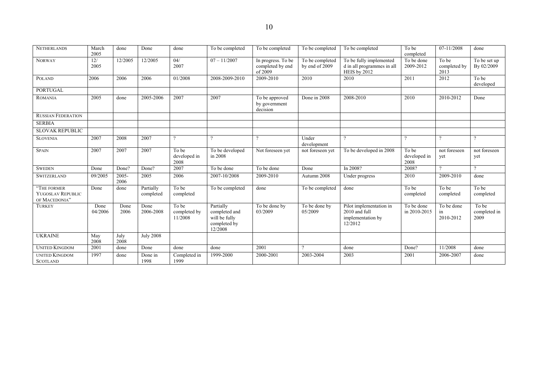| <b>NETHERLANDS</b>                                | March<br>2005   | done             | Done                   | done                             | To be completed                                                        | To be completed                                   | To be completed                   | To be completed                                                          | To be<br>completed            | 07-11/2008                    | done                          |
|---------------------------------------------------|-----------------|------------------|------------------------|----------------------------------|------------------------------------------------------------------------|---------------------------------------------------|-----------------------------------|--------------------------------------------------------------------------|-------------------------------|-------------------------------|-------------------------------|
| <b>NORWAY</b>                                     | 12/<br>2005     | 12/2005          | 12/2005                | 04/<br>2007                      | $07 - 11/2007$                                                         | In progress. To be<br>completed by end<br>of 2009 | To be completed<br>by end of 2009 | To be fully implemented<br>d in all programmes in all<br>HEIS by 2012    | To be done<br>2009-2012       | To be<br>completed by<br>2013 | To be set up<br>By 02/2009    |
| <b>POLAND</b>                                     | 2006            | 2006             | 2006                   | 01/2008                          | 2008-2009-2010                                                         | 2009-2010                                         | 2010                              | 2010                                                                     | 2011                          | 2012                          | To be<br>developed            |
| <b>PORTUGAL</b>                                   |                 |                  |                        |                                  |                                                                        |                                                   |                                   |                                                                          |                               |                               |                               |
| <b>ROMANIA</b>                                    | 2005            | done             | 2005-2006              | 2007                             | 2007                                                                   | To be approved<br>by government<br>decision       | Done in 2008                      | 2008-2010                                                                | 2010                          | 2010-2012                     | Done                          |
| <b>RUSSIAN FEDERATION</b>                         |                 |                  |                        |                                  |                                                                        |                                                   |                                   |                                                                          |                               |                               |                               |
| <b>SERBIA</b>                                     |                 |                  |                        |                                  |                                                                        |                                                   |                                   |                                                                          |                               |                               |                               |
| <b>SLOVAK REPUBLIC</b>                            |                 |                  |                        |                                  |                                                                        |                                                   |                                   |                                                                          |                               |                               |                               |
| <b>SLOVENIA</b>                                   | 2007            | 2008             | 2007                   | $\Omega$                         | $\Omega$                                                               |                                                   | Under<br>development              | $\Omega$                                                                 |                               |                               |                               |
| <b>SPAIN</b>                                      | 2007            | 2007             | 2007                   | To be<br>developed in<br>2008    | To be developed<br>in 2008                                             | Not foreseen vet                                  | not foreseen yet                  | To be developed in 2008                                                  | To be<br>developed in<br>2008 | not foreseen<br>yet           | not foreseen<br>yet           |
| <b>SWEDEN</b>                                     | Done            | Done?            | Done?                  | 2007                             | To be done                                                             | To be done                                        | Done                              | In 2008?                                                                 | 2008?                         | $\Omega$                      | $\Omega$                      |
| <b>SWITZERLAND</b>                                | 09/2005         | $2005 -$<br>2006 | 2005                   | 2006                             | 2007-10/2008                                                           | 2009-2010                                         | Autumn 2008                       | Under progress                                                           | 2010                          | 2009-2010                     | done                          |
| "THE FORMER<br>YUGOSLAV REPUBLIC<br>OF MACEDONIA" | Done            | done             | Partially<br>completed | To be<br>completed               | To be completed                                                        | done                                              | To be completed                   | done                                                                     | To be<br>completed            | To be<br>completed            | To be<br>completed            |
| <b>TURKEY</b>                                     | Done<br>04/2006 | Done<br>2006     | Done<br>2006-2008      | To be<br>completed by<br>11/2008 | Partially<br>completed and<br>will be fully<br>completed by<br>12/2008 | To be done by<br>03/2009                          | To be done by<br>05/2009          | Pilot implementation in<br>2010 and full<br>implementation by<br>12/2012 | To be done<br>in 2010-2015    | To be done<br>in<br>2010-2012 | To be<br>completed in<br>2009 |
| <b>UKRAINE</b>                                    | May<br>2008     | July<br>2008     | <b>July 2008</b>       |                                  |                                                                        |                                                   |                                   |                                                                          |                               |                               |                               |
| <b>UNITED KINGDOM</b>                             | 2001            | done             | Done                   | done                             | done                                                                   | 2001                                              | Q.                                | done                                                                     | Done?                         | 11/2008                       | done                          |
| <b>UNITED KINGDOM</b><br><b>SCOTLAND</b>          | 1997            | done             | Done in<br>1998        | Completed in<br>1999             | 1999-2000                                                              | 2000-2001                                         | 2003-2004                         | 2003                                                                     | 2001                          | 2006-2007                     | done                          |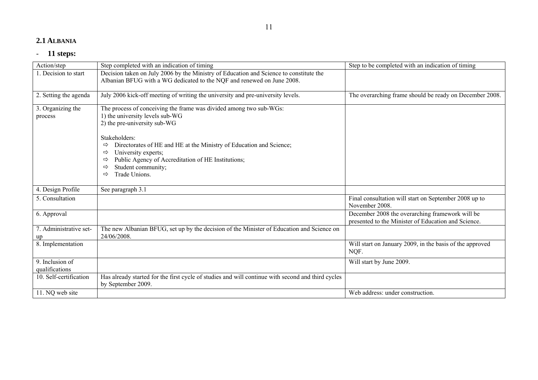#### **2.1 ALBANIA**

| Action/step                  | Step completed with an indication of timing                                                                                                                      | Step to be completed with an indication of timing                       |
|------------------------------|------------------------------------------------------------------------------------------------------------------------------------------------------------------|-------------------------------------------------------------------------|
| 1. Decision to start         | Decision taken on July 2006 by the Ministry of Education and Science to constitute the<br>Albanian BFUG with a WG dedicated to the NQF and renewed on June 2008. |                                                                         |
|                              |                                                                                                                                                                  |                                                                         |
| 2. Setting the agenda        | July 2006 kick-off meeting of writing the university and pre-university levels.                                                                                  | The overarching frame should be ready on December 2008.                 |
| 3. Organizing the            | The process of conceiving the frame was divided among two sub-WGs:                                                                                               |                                                                         |
| process                      | 1) the university levels sub-WG                                                                                                                                  |                                                                         |
|                              | 2) the pre-university sub-WG                                                                                                                                     |                                                                         |
|                              | Stakeholders:                                                                                                                                                    |                                                                         |
|                              | Directorates of HE and HE at the Ministry of Education and Science;<br>⇨                                                                                         |                                                                         |
|                              | University experts;<br>⇨                                                                                                                                         |                                                                         |
|                              | Public Agency of Accreditation of HE Institutions;<br>⇨                                                                                                          |                                                                         |
|                              | Student community;<br>⇨                                                                                                                                          |                                                                         |
|                              | Trade Unions.<br>⇨                                                                                                                                               |                                                                         |
| 4. Design Profile            | See paragraph 3.1                                                                                                                                                |                                                                         |
| 5. Consultation              |                                                                                                                                                                  | Final consultation will start on September 2008 up to<br>November 2008. |
| 6. Approval                  |                                                                                                                                                                  | December 2008 the overarching framework will be                         |
|                              |                                                                                                                                                                  | presented to the Minister of Education and Science.                     |
| 7. Administrative set-<br>up | The new Albanian BFUG, set up by the decision of the Minister of Education and Science on<br>24/06/2008.                                                         |                                                                         |
| 8. Implementation            |                                                                                                                                                                  | Will start on January 2009, in the basis of the approved<br>NQF.        |
| 9. Inclusion of              |                                                                                                                                                                  | Will start by June 2009.                                                |
| qualifications               |                                                                                                                                                                  |                                                                         |
| 10. Self-certification       | Has already started for the first cycle of studies and will continue with second and third cycles<br>by September 2009.                                          |                                                                         |
| 11. NQ web site              |                                                                                                                                                                  | Web address: under construction.                                        |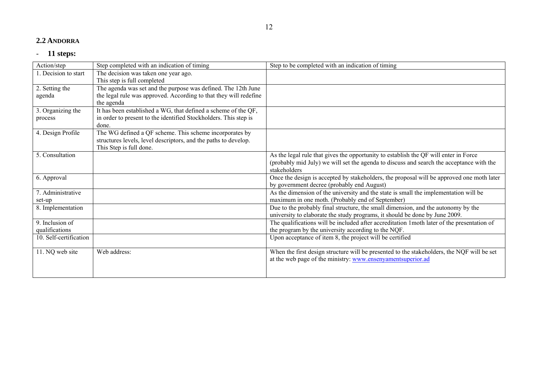#### **2.2 ANDORRA**

| Action/step            | Step completed with an indication of timing                       | Step to be completed with an indication of timing                                          |
|------------------------|-------------------------------------------------------------------|--------------------------------------------------------------------------------------------|
| . Decision to start    | The decision was taken one year ago.                              |                                                                                            |
|                        | This step is full completed                                       |                                                                                            |
| 2. Setting the         | The agenda was set and the purpose was defined. The 12th June     |                                                                                            |
| agenda                 | the legal rule was approved. According to that they will redefine |                                                                                            |
|                        | the agenda                                                        |                                                                                            |
| 3. Organizing the      | It has been established a WG, that defined a scheme of the QF,    |                                                                                            |
| process                | in order to present to the identified Stockholders. This step is  |                                                                                            |
|                        | done.                                                             |                                                                                            |
| 4. Design Profile      | The WG defined a QF scheme. This scheme incorporates by           |                                                                                            |
|                        | structures levels, level descriptors, and the paths to develop.   |                                                                                            |
|                        | This Step is full done.                                           |                                                                                            |
| 5. Consultation        |                                                                   | As the legal rule that gives the opportunity to establish the QF will enter in Force       |
|                        |                                                                   | (probably mid July) we will set the agenda to discuss and search the acceptance with the   |
|                        |                                                                   | stakeholders                                                                               |
| 6. Approval            |                                                                   | Once the design is accepted by stakeholders, the proposal will be approved one moth later  |
|                        |                                                                   | by government decree (probably end August)                                                 |
| 7. Administrative      |                                                                   | As the dimension of the university and the state is small the implementation will be       |
| set-up                 |                                                                   | maximum in one moth. (Probably end of September)                                           |
| 8. Implementation      |                                                                   | Due to the probably final structure, the small dimension, and the autonomy by the          |
|                        |                                                                   | university to elaborate the study programs, it should be done by June 2009.                |
| 9. Inclusion of        |                                                                   | The qualifications will be included after accreditation 1moth later of the presentation of |
| qualifications         |                                                                   | the program by the university according to the NQF.                                        |
| 10. Self-certification |                                                                   | Upon acceptance of item 8, the project will be certified                                   |
|                        |                                                                   |                                                                                            |
| 11. NQ web site        | Web address:                                                      | When the first design structure will be presented to the stakeholders, the NQF will be set |
|                        |                                                                   | at the web page of the ministry: www.ensenyamentsuperior.ad                                |
|                        |                                                                   |                                                                                            |
|                        |                                                                   |                                                                                            |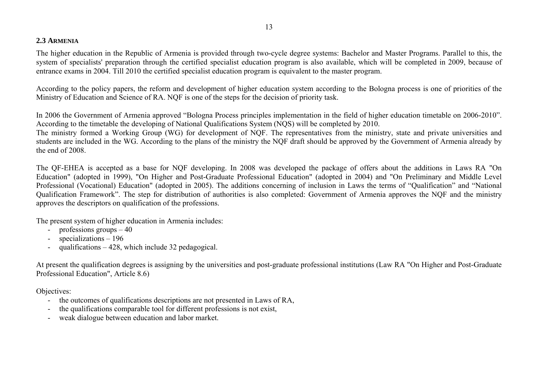# **2.3 ARMENIA**

The higher education in the Republic of Armenia is provided through two-cycle degree systems: Bachelor and Master Programs. Parallel to this, the system of specialists' preparation through the certified specialist education program is also available, which will be completed in 2009, because of entrance exams in 2004. Till 2010 the certified specialist education program is equivalent to the master program.

According to the policy papers, the reform and development of higher education system according to the Bologna process is one of priorities of the Ministry of Education and Science of RA. NQF is one of the steps for the decision of priority task.

In 2006 the Government of Armenia approved "Bologna Process principles implementation in the field of higher education timetable on 2006-2010". According to the timetable the developing of National Qualifications System (NQS) will be completed by 2010.

The ministry formed a Working Group (WG) for development of NQF. The representatives from the ministry, state and private universities and students are included in the WG. According to the plans of the ministry the NQF draft should be approved by the Government of Armenia already by the end of 2008.

The QF-EHEA is accepted as a base for NQF developing. In 2008 was developed the package of offers about the additions in Laws RA "On Education" (adopted in 1999), "On Higher and Post-Graduate Professional Education" (adopted in 2004) and "On Preliminary and Middle Level Professional (Vocational) Education" (adopted in 2005). The additions concerning of inclusion in Laws the terms of "Qualification" and "National Qualification Framework". The step for distribution of authorities is also completed: Government of Armenia approves the NQF and the ministry approves the descriptors on qualification of the professions.

The present system of higher education in Armenia includes:

- professions groups 40
- specializations – 196
- qualifications 428, which include 32 pedagogical.

At present the qualification degrees is assigning by the universities and post-graduate professional institutions (Law RA "On Higher and Post-Graduate Professional Education", Article 8.6)

Objectives:

- the outcomes of qualifications descriptions are not presented in Laws of RA,
- the qualifications comparable tool for different professions is not exist,
- weak dialogue between education and labor market.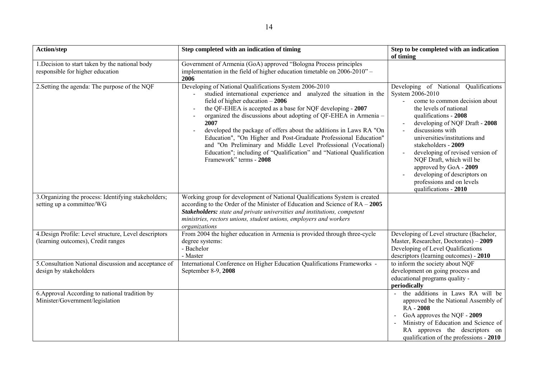| Action/step                                                                                 | Step completed with an indication of timing                                                                                                                                                                                                                                                                                                                                                                                                                                                                                                                                                                                 | Step to be completed with an indication<br>of timing                                                                                                                                                                                                                                                                                                                                                                                                                                              |
|---------------------------------------------------------------------------------------------|-----------------------------------------------------------------------------------------------------------------------------------------------------------------------------------------------------------------------------------------------------------------------------------------------------------------------------------------------------------------------------------------------------------------------------------------------------------------------------------------------------------------------------------------------------------------------------------------------------------------------------|---------------------------------------------------------------------------------------------------------------------------------------------------------------------------------------------------------------------------------------------------------------------------------------------------------------------------------------------------------------------------------------------------------------------------------------------------------------------------------------------------|
| 1. Decision to start taken by the national body<br>responsible for higher education         | Government of Armenia (GoA) approved "Bologna Process principles<br>implementation in the field of higher education timetable on 2006-2010" -<br>2006                                                                                                                                                                                                                                                                                                                                                                                                                                                                       |                                                                                                                                                                                                                                                                                                                                                                                                                                                                                                   |
| 2. Setting the agenda: The purpose of the NQF                                               | Developing of National Qualifications System 2006-2010<br>studied international experience and analyzed the situation in the<br>field of higher education $-2006$<br>the QF-EHEA is accepted as a base for NQF developing - 2007<br>organized the discussions about adopting of QF-EHEA in Armenia -<br>2007<br>developed the package of offers about the additions in Laws RA "On<br>Education", "On Higher and Post-Graduate Professional Education"<br>and "On Preliminary and Middle Level Professional (Vocational)<br>Education"; including of "Qualification" and "National Qualification<br>Framework" terms - 2008 | Developing of National Qualifications<br>System 2006-2010<br>come to common decision about<br>the levels of national<br>qualifications - 2008<br>developing of NQF Draft - 2008<br>$\blacksquare$<br>discussions with<br>$\overline{a}$<br>universities/institutions and<br>stakeholders - 2009<br>developing of revised version of<br>$\blacksquare$<br>NQF Draft, which will be<br>approved by GoA - 2009<br>developing of descriptors on<br>professions and on levels<br>qualifications - 2010 |
| 3. Organizing the process: Identifying stakeholders;<br>setting up a committee/WG           | Working group for development of National Qualifications System is created<br>according to the Order of the Minister of Education and Science of $RA - 2005$<br>Stakeholders: state and private universities and institutions, competent<br>ministries, rectors unions, student unions, employers and workers<br>organizations                                                                                                                                                                                                                                                                                              |                                                                                                                                                                                                                                                                                                                                                                                                                                                                                                   |
| 4. Design Profile: Level structure, Level descriptors<br>(learning outcomes), Credit ranges | From 2004 the higher education in Armenia is provided through three-cycle<br>degree systems:<br>- Bachelor<br>- Master                                                                                                                                                                                                                                                                                                                                                                                                                                                                                                      | Developing of Level structure (Bachelor,<br>Master, Researcher, Doctorates) - 2009<br>Developing of Level Qualifications<br>descriptors (learning outcomes) - 2010                                                                                                                                                                                                                                                                                                                                |
| 5. Consultation National discussion and acceptance of<br>design by stakeholders             | International Conference on Higher Education Qualifications Frameworks -<br>September 8-9, 2008                                                                                                                                                                                                                                                                                                                                                                                                                                                                                                                             | to inform the society about NQF<br>development on going process and<br>educational programs quality -<br>periodically                                                                                                                                                                                                                                                                                                                                                                             |
| 6. Approval According to national tradition by<br>Minister/Government/legislation           |                                                                                                                                                                                                                                                                                                                                                                                                                                                                                                                                                                                                                             | the additions in Laws RA will be<br>approved be the National Assembly of<br>RA - 2008<br>GoA approves the NQF - 2009<br>Ministry of Education and Science of<br>RA approves the descriptors on<br>qualification of the professions - 2010                                                                                                                                                                                                                                                         |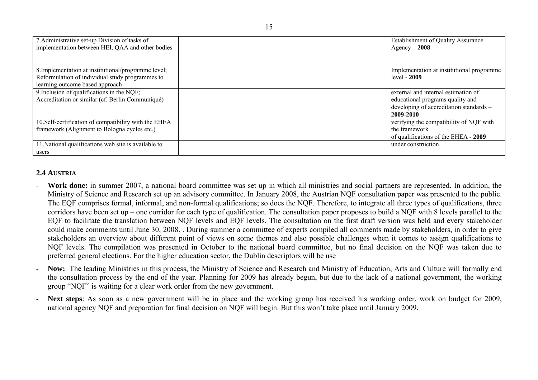| 7. Administrative set-up Division of tasks of        | <b>Establishment of Quality Assurance</b>  |
|------------------------------------------------------|--------------------------------------------|
| implementation between HEI, QAA and other bodies     | $Agency - 2008$                            |
|                                                      |                                            |
|                                                      |                                            |
| 8. Implementation at institutional/programme level;  | Implementation at institutional programme. |
| Reformulation of individual study programmes to      | $level - 2009$                             |
| learning outcome based approach                      |                                            |
| 9. Inclusion of qualifications in the NQF;           | external and internal estimation of        |
| Accreditation or similar (cf. Berlin Communiqué)     | educational programs quality and           |
|                                                      | developing of accreditation standards -    |
|                                                      | 2009-2010                                  |
| 10.Self-certification of compatibility with the EHEA | verifying the compatibility of NQF with    |
| framework (Alignment to Bologna cycles etc.)         | the framework                              |
|                                                      | of qualifications of the EHEA - 2009       |
| 11. National qualifications web site is available to | under construction                         |
| users                                                |                                            |

# **2.4 AUSTRIA**

- Work done: in summer 2007, a national board committee was set up in which all ministries and social partners are represented. In addition, the Ministry of Science and Research set up an advisory committee. In January 2008, the Austrian NQF consultation paper was presented to the public. The EQF comprises formal, informal, and non-formal qualifications; so does the NQF. Therefore, to integrate all three types of qualifications, three corridors have been set up – one corridor for each type of qualification. The consultation paper proposes to build a NQF with 8 levels parallel to the EQF to facilitate the translation between NQF levels and EQF levels. The consultation on the first draft version was held and every stakeholder could make comments until June 30, 2008. . During summer a committee of experts compiled all comments made by stakeholders, in order to give stakeholders an overview about different point of views on some themes and also possible challenges when it comes to assign qualifications to NQF levels. The compilation was presented in October to the national board committee, but no final decision on the NQF was taken due to preferred general elections. For the higher education sector, the Dublin descriptors will be use
- **Now:** The leading Ministries in this process, the Ministry of Science and Research and Ministry of Education, Arts and Culture will formally end the consultation process by the end of the year. Planning for 2009 has already begun, but due to the lack of a national government, the working group "NQF" is waiting for a clear work order from the new government.
- **Next steps**: As soon as a new government will be in place and the working group has received his working order, work on budget for 2009, national agency NQF and preparation for final decision on NQF will begin. But this won't take place until January 2009.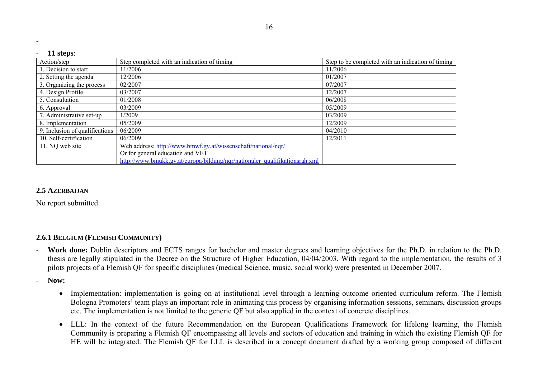| 11 steps:                      |                                                                            |                                                   |  |
|--------------------------------|----------------------------------------------------------------------------|---------------------------------------------------|--|
| Action/step                    | Step completed with an indication of timing                                | Step to be completed with an indication of timing |  |
| 1. Decision to start           | 11/2006                                                                    | 11/2006                                           |  |
| 2. Setting the agenda          | 12/2006                                                                    | 01/2007                                           |  |
| 3. Organizing the process      | 02/2007                                                                    | 07/2007                                           |  |
| 4. Design Profile              | 03/2007                                                                    | 12/2007                                           |  |
| 5. Consultation                | 01/2008                                                                    | 06/2008                                           |  |
| 6. Approval                    | 03/2009                                                                    | 05/2009                                           |  |
| 7. Administrative set-up       | 1/2009                                                                     | 03/2009                                           |  |
| 8. Implementation              | 05/2009                                                                    | 12/2009                                           |  |
| 9. Inclusion of qualifications | 06/2009                                                                    | 04/2010                                           |  |
| 10. Self-certification         | 06/2009                                                                    | 12/2011                                           |  |
| 11. NQ web site                | Web address: http://www.bmwf.gv.at/wissenschaft/national/nqr/              |                                                   |  |
|                                | Or for general education and VET                                           |                                                   |  |
|                                | http://www.bmukk.gv.at/europa/bildung/nqr/nationaler_qualifikationsrah.xml |                                                   |  |

# **2.5 AZERBAIJAN**

No report submitted.

# **2.6.1 BELGIUM (FLEMISH COMMUNITY)**

- -Work done: Dublin descriptors and ECTS ranges for bachelor and master degrees and learning objectives for the Ph.D. in relation to the Ph.D. thesis are legally stipulated in the Decree on the Structure of Higher Education, 04/04/2003. With regard to the implementation, the results of 3 pilots projects of a Flemish QF for specific disciplines (medical Science, music, social work) were presented in December 2007.
- - **Now:** 
	- Implementation: implementation is going on at institutional level through a learning outcome oriented curriculum reform. The Flemish Bologna Promoters' team plays an important role in animating this process by organising information sessions, seminars, discussion groups etc. The implementation is not limited to the generic QF but also applied in the context of concrete disciplines.
	- LLL: In the context of the future Recommendation on the European Qualifications Framework for lifelong learning, the Flemish Community is preparing a Flemish QF encompassing all levels and sectors of education and training in which the existing Flemish QF for HE will be integrated. The Flemish QF for LLL is described in a concept document drafted by a working group composed of different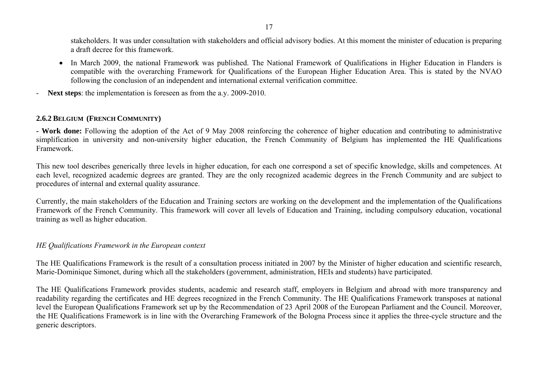stakeholders. It was under consultation with stakeholders and official advisory bodies. At this moment the minister of education is preparing a draft decree for this framework.

- In March 2009, the national Framework was published. The National Framework of Qualifications in Higher Education in Flanders is compatible with the overarching Framework for Qualifications of the European Higher Education Area. This is stated by the NVAO following the conclusion of an independent and international external verification committee.
- **Next steps**: the implementation is foreseen as from the a.y. 2009-2010.

# **2.6.2 BELGIUM (FRENCH COMMUNITY)**

**- Work done:** Following the adoption of the Act of 9 May 2008 reinforcing the coherence of higher education and contributing to administrative simplification in university and non-university higher education, the French Community of Belgium has implemented the HE Qualifications Framework.

This new tool describes generically three levels in higher education, for each one correspond a set of specific knowledge, skills and competences. At each level, recognized academic degrees are granted. They are the only recognized academic degrees in the French Community and are subject to procedures of internal and external quality assurance.

Currently, the main stakeholders of the Education and Training sectors are working on the development and the implementation of the Qualifications Framework of the French Community. This framework will cover all levels of Education and Training, including compulsory education, vocational training as well as higher education.

#### *HE Qualifications Framework in the European context*

The HE Qualifications Framework is the result of a consultation process initiated in 2007 by the Minister of higher education and scientific research, Marie-Dominique Simonet, during which all the stakeholders (government, administration, HEIs and students) have participated.

The HE Qualifications Framework provides students, academic and research staff, employers in Belgium and abroad with more transparency and readability regarding the certificates and HE degrees recognized in the French Community. The HE Qualifications Framework transposes at national level the European Qualifications Framework set up by the Recommendation of 23 April 2008 of the European Parliament and the Council. Moreover, the HE Qualifications Framework is in line with the Overarching Framework of the Bologna Process since it applies the three-cycle structure and the generic descriptors.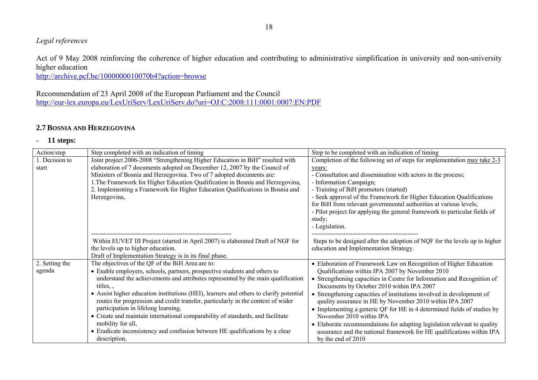# *Legal references*

Act of 9 May 2008 reinforcing the coherence of higher education and contributing to administrative simplification in university and non-university higher education

http://archive.pcf.be/1000000010070b4?action=browse

Recommendation of 23 April 2008 of the European Parliament and the Council http://eur-lex.europa.eu/LexUriServ/LexUriServ.do?uri=OJ:C:2008:111:0001:0007:EN:PDF

# **2.7 BOSNIA AND HERZEGOVINA**

| Action/step              | Step completed with an indication of timing                                                                                                                                                                                                                                                                                                                                                                                                                                                                                                                                                                                                                             | Step to be completed with an indication of timing                                                                                                                                                                                                                                                                                                                                                                                                                                                                                                                                                                                                                 |
|--------------------------|-------------------------------------------------------------------------------------------------------------------------------------------------------------------------------------------------------------------------------------------------------------------------------------------------------------------------------------------------------------------------------------------------------------------------------------------------------------------------------------------------------------------------------------------------------------------------------------------------------------------------------------------------------------------------|-------------------------------------------------------------------------------------------------------------------------------------------------------------------------------------------------------------------------------------------------------------------------------------------------------------------------------------------------------------------------------------------------------------------------------------------------------------------------------------------------------------------------------------------------------------------------------------------------------------------------------------------------------------------|
| 1. Decision to<br>start  | Joint project 2006-2008 "Strengthening Higher Education in BiH" resulted with<br>elaboration of 7 documents adopted on December 12, 2007 by the Council of<br>Ministers of Bosnia and Herzegovina. Two of 7 adopted documents are:<br>1. The Framework for Higher Education Qualification in Bosnia and Herzegovina,<br>2. Implementing a Framework for Higher Education Qualifications in Bosnia and<br>Herzegovina,                                                                                                                                                                                                                                                   | Completion of the following set of steps for implementation may take 2-3<br>years:<br>- Consultation and dissemination with actors in the process;<br>- Information Campaign;<br>- Training of BiH promoters (started)<br>- Seek approval of the Framework for Higher Education Qualifications<br>for BiH from relevant governmental authorities at various levels;<br>- Pilot project for applying the general framework to particular fields of<br>study;<br>- Legislation.                                                                                                                                                                                     |
|                          | Within EUVET III Project (started in April 2007) is elaborated Draft of NGF for<br>the levels up to higher education.<br>Draft of Implementation Strategy is in its final phase.                                                                                                                                                                                                                                                                                                                                                                                                                                                                                        | Steps to be designed after the adoption of NQF for the levels up to higher<br>education and Implementation Strategy.                                                                                                                                                                                                                                                                                                                                                                                                                                                                                                                                              |
| 2. Setting the<br>agenda | The objectives of the QF of the BiH Area are to:<br>• Enable employers, schools, partners, prospective students and others to<br>understand the achievements and attributes represented by the main qualification<br>titles, $\overline{a}$<br>• Assist higher education institutions (HEI), learners and others to clarify potential<br>routes for progression and credit transfer, particularly in the context of wider<br>participation in lifelong learning,<br>• Create and maintain international comparability of standards, and facilitate<br>mobility for all,<br>• Eradicate inconsistency and confusion between HE qualifications by a clear<br>description, | • Elaboration of Framework Law on Recognition of Higher Education<br>Qualifications within IPA 2007 by November 2010<br>Strengthening capacities in Centre for Information and Recognition of<br>Documents by October 2010 within IPA 2007<br>• Strengthening capacities of institutions involved in development of<br>quality assurance in HE by November 2010 within IPA 2007<br>• Implementing a generic QF for HE in 4 determined fields of studies by<br>November 2010 within IPA<br>• Elaborate recommendations for adapting legislation relevant to quality<br>assurance and the national framework for HE qualifications within IPA<br>by the end of 2010 |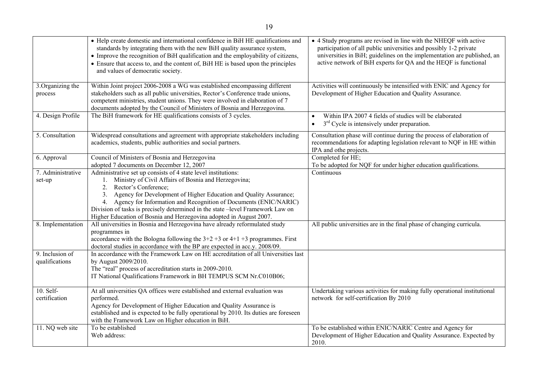|                                   | • Help create domestic and international confidence in BiH HE qualifications and<br>standards by integrating them with the new BiH quality assurance system,<br>• Improve the recognition of BiH qualification and the employability of citizens,<br>• Ensure that access to, and the content of, BiH HE is based upon the principles<br>and values of democratic society.                                                                                    | • 4 Study programs are revised in line with the NHEQF with active<br>participation of all public universities and possibly 1-2 private<br>universities in BiH; guidelines on the implementation are published, an<br>active network of BiH experts for QA and the HEQF is functional |
|-----------------------------------|---------------------------------------------------------------------------------------------------------------------------------------------------------------------------------------------------------------------------------------------------------------------------------------------------------------------------------------------------------------------------------------------------------------------------------------------------------------|--------------------------------------------------------------------------------------------------------------------------------------------------------------------------------------------------------------------------------------------------------------------------------------|
| 3. Organizing the<br>process      | Within Joint project 2006-2008 a WG was established encompassing different<br>stakeholders such as all public universities, Rector's Conference trade unions,<br>competent ministries, student unions. They were involved in elaboration of 7<br>documents adopted by the Council of Ministers of Bosnia and Herzegovina.                                                                                                                                     | Activities will continuously be intensified with ENIC and Agency for<br>Development of Higher Education and Quality Assurance.                                                                                                                                                       |
| 4. Design Profile                 | The BiH framework for HE qualifications consists of 3 cycles.                                                                                                                                                                                                                                                                                                                                                                                                 | Within IPA 2007 4 fields of studies will be elaborated<br>$\bullet$<br>$3rd$ Cycle is intensively under preparation.<br>$\bullet$                                                                                                                                                    |
| 5. Consultation                   | Widespread consultations and agreement with appropriate stakeholders including<br>academics, students, public authorities and social partners.                                                                                                                                                                                                                                                                                                                | Consultation phase will continue during the process of elaboration of<br>recommendations for adapting legislation relevant to NQF in HE within<br>IPA and othe projects.                                                                                                             |
| 6. Approval                       | Council of Ministers of Bosnia and Herzegovina<br>adopted 7 documents on December 12, 2007                                                                                                                                                                                                                                                                                                                                                                    | Completed for HE;<br>To be adopted for NQF for under higher education qualifications.                                                                                                                                                                                                |
| 7. Administrative<br>set-up       | Administrative set up consists of 4 state level institutions:<br>1. Ministry of Civil Affairs of Bosnia and Herzegovina;<br>Rector's Conference;<br>2.<br>3. Agency for Development of Higher Education and Quality Assurance;<br>4. Agency for Information and Recognition of Documents (ENIC/NARIC)<br>Division of tasks is precisely determined in the state -level Framework Law on<br>Higher Education of Bosnia and Herzegovina adopted in August 2007. | Continuous                                                                                                                                                                                                                                                                           |
| 8. Implementation                 | All universities in Bosnia and Herzegovina have already reformulated study<br>programmes in<br>accordance with the Bologna following the $3+2+3$ or $4+1+3$ programmes. First<br>doctoral studies in accordance with the BP are expected in acc.y. 2008/09.                                                                                                                                                                                                   | All public universities are in the final phase of changing curricula.                                                                                                                                                                                                                |
| 9. Inclusion of<br>qualifications | In accordance with the Framework Law on HE accreditation of all Universities last<br>by August 2009/2010.<br>The "real" process of accreditation starts in 2009-2010.<br>IT National Qualifications Framework in BH TEMPUS SCM Nr.C010B06;                                                                                                                                                                                                                    |                                                                                                                                                                                                                                                                                      |
| 10. Self-<br>certification        | At all universities QA offices were established and external evaluation was<br>performed.<br>Agency for Development of Higher Education and Quality Assurance is<br>established and is expected to be fully operational by 2010. Its duties are foreseen<br>with the Framework Law on Higher education in BiH.                                                                                                                                                | Undertaking various activities for making fully operational institutional<br>network for self-certification By 2010                                                                                                                                                                  |
| 11. NQ web site                   | To be established<br>Web address:                                                                                                                                                                                                                                                                                                                                                                                                                             | To be established within ENIC/NARIC Centre and Agency for<br>Development of Higher Education and Quality Assurance. Expected by<br>2010.                                                                                                                                             |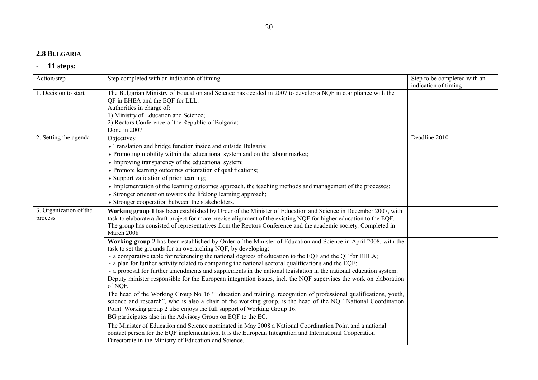#### 20

### **2.8 BULGARIA**

| Action/step                       | Step completed with an indication of timing                                                                                                                                                                                                                                                                                                                                                                                                                                                                                                                                                                                                                                                                                                                                                                                                                                                                                                                                                                                              | Step to be completed with an<br>indication of timing |
|-----------------------------------|------------------------------------------------------------------------------------------------------------------------------------------------------------------------------------------------------------------------------------------------------------------------------------------------------------------------------------------------------------------------------------------------------------------------------------------------------------------------------------------------------------------------------------------------------------------------------------------------------------------------------------------------------------------------------------------------------------------------------------------------------------------------------------------------------------------------------------------------------------------------------------------------------------------------------------------------------------------------------------------------------------------------------------------|------------------------------------------------------|
| 1. Decision to start              | The Bulgarian Ministry of Education and Science has decided in 2007 to develop a NQF in compliance with the<br>QF in EHEA and the EQF for LLL.<br>Authorities in charge of:<br>1) Ministry of Education and Science;<br>2) Rectors Conference of the Republic of Bulgaria;<br>Done in 2007                                                                                                                                                                                                                                                                                                                                                                                                                                                                                                                                                                                                                                                                                                                                               |                                                      |
| 2. Setting the agenda             | Objectives:<br>• Translation and bridge function inside and outside Bulgaria;<br>• Promoting mobility within the educational system and on the labour market;<br>• Improving transparency of the educational system;<br>• Promote learning outcomes orientation of qualifications;<br>• Support validation of prior learning;<br>• Implementation of the learning outcomes approach, the teaching methods and management of the processes;<br>• Stronger orientation towards the lifelong learning approach;<br>• Stronger cooperation between the stakeholders.                                                                                                                                                                                                                                                                                                                                                                                                                                                                         | Deadline 2010                                        |
| 3. Organization of the<br>process | Working group 1 has been established by Order of the Minister of Education and Science in December 2007, with<br>task to elaborate a draft project for more precise alignment of the existing NQF for higher education to the EQF.<br>The group has consisted of representatives from the Rectors Conference and the academic society. Completed in<br>March 2008                                                                                                                                                                                                                                                                                                                                                                                                                                                                                                                                                                                                                                                                        |                                                      |
|                                   | Working group 2 has been established by Order of the Minister of Education and Science in April 2008, with the<br>task to set the grounds for an overarching NQF, by developing:<br>- a comparative table for referencing the national degrees of education to the EQF and the QF for EHEA;<br>- a plan for further activity related to comparing the national sectoral qualifications and the EQF;<br>- a proposal for further amendments and supplements in the national legislation in the national education system.<br>Deputy minister responsible for the European integration issues, incl. the NQF supervises the work on elaboration<br>of NQF.<br>The head of the Working Group No 16 "Education and training, recognition of professional qualifications, youth,<br>science and research", who is also a chair of the working group, is the head of the NQF National Coordination<br>Point. Working group 2 also enjoys the full support of Working Group 16.<br>BG participates also in the Advisory Group on EQF to the EC. |                                                      |
|                                   | The Minister of Education and Science nominated in May 2008 a National Coordination Point and a national<br>contact person for the EQF implementation. It is the European Integration and International Cooperation<br>Directorate in the Ministry of Education and Science.                                                                                                                                                                                                                                                                                                                                                                                                                                                                                                                                                                                                                                                                                                                                                             |                                                      |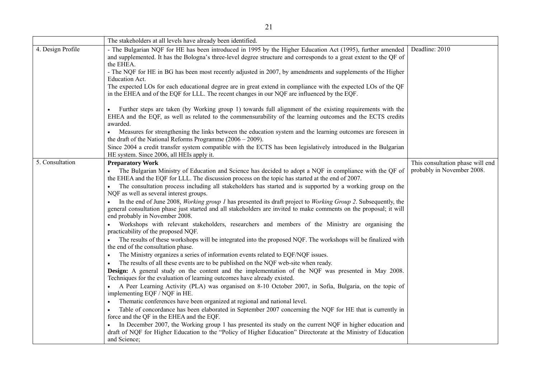|                   | The stakeholders at all levels have already been identified.                                                                                                                                                                                                                                                                                                                                                                                                                                                                                                                                                                                                                                                                                                                                                                                                                                                                                                                                                                                                                                                                                                                                                                                                                                                                                                                                                                                                                                                                                                                                                                                                                                                                                                   |                                                                |
|-------------------|----------------------------------------------------------------------------------------------------------------------------------------------------------------------------------------------------------------------------------------------------------------------------------------------------------------------------------------------------------------------------------------------------------------------------------------------------------------------------------------------------------------------------------------------------------------------------------------------------------------------------------------------------------------------------------------------------------------------------------------------------------------------------------------------------------------------------------------------------------------------------------------------------------------------------------------------------------------------------------------------------------------------------------------------------------------------------------------------------------------------------------------------------------------------------------------------------------------------------------------------------------------------------------------------------------------------------------------------------------------------------------------------------------------------------------------------------------------------------------------------------------------------------------------------------------------------------------------------------------------------------------------------------------------------------------------------------------------------------------------------------------------|----------------------------------------------------------------|
| 4. Design Profile | - The Bulgarian NQF for HE has been introduced in 1995 by the Higher Education Act (1995), further amended<br>and supplemented. It has the Bologna's three-level degree structure and corresponds to a great extent to the QF of<br>the EHEA.                                                                                                                                                                                                                                                                                                                                                                                                                                                                                                                                                                                                                                                                                                                                                                                                                                                                                                                                                                                                                                                                                                                                                                                                                                                                                                                                                                                                                                                                                                                  | Deadline: 2010                                                 |
|                   | - The NQF for HE in BG has been most recently adjusted in 2007, by amendments and supplements of the Higher                                                                                                                                                                                                                                                                                                                                                                                                                                                                                                                                                                                                                                                                                                                                                                                                                                                                                                                                                                                                                                                                                                                                                                                                                                                                                                                                                                                                                                                                                                                                                                                                                                                    |                                                                |
|                   | <b>Education Act.</b><br>The expected LOs for each educational degree are in great extend in compliance with the expected LOs of the QF<br>in the EHEA and of the EQF for LLL. The recent changes in our NQF are influenced by the EQF.                                                                                                                                                                                                                                                                                                                                                                                                                                                                                                                                                                                                                                                                                                                                                                                                                                                                                                                                                                                                                                                                                                                                                                                                                                                                                                                                                                                                                                                                                                                        |                                                                |
|                   | Further steps are taken (by Working group 1) towards full alignment of the existing requirements with the<br>EHEA and the EQF, as well as related to the commensurability of the learning outcomes and the ECTS credits<br>awarded.                                                                                                                                                                                                                                                                                                                                                                                                                                                                                                                                                                                                                                                                                                                                                                                                                                                                                                                                                                                                                                                                                                                                                                                                                                                                                                                                                                                                                                                                                                                            |                                                                |
|                   | Measures for strengthening the links between the education system and the learning outcomes are foreseen in<br>the draft of the National Reforms Programme $(2006 - 2009)$ .                                                                                                                                                                                                                                                                                                                                                                                                                                                                                                                                                                                                                                                                                                                                                                                                                                                                                                                                                                                                                                                                                                                                                                                                                                                                                                                                                                                                                                                                                                                                                                                   |                                                                |
|                   | Since 2004 a credit transfer system compatible with the ECTS has been legislatively introduced in the Bulgarian<br>HE system. Since 2006, all HEIs apply it.                                                                                                                                                                                                                                                                                                                                                                                                                                                                                                                                                                                                                                                                                                                                                                                                                                                                                                                                                                                                                                                                                                                                                                                                                                                                                                                                                                                                                                                                                                                                                                                                   |                                                                |
| 5. Consultation   | <b>Preparatory Work</b><br>The Bulgarian Ministry of Education and Science has decided to adopt a NQF in compliance with the QF of<br>the EHEA and the EQF for LLL. The discussion process on the topic has started at the end of 2007.<br>The consultation process including all stakeholders has started and is supported by a working group on the<br>NQF as well as several interest groups.<br>In the end of June 2008, <i>Working group 1</i> has presented its draft project to <i>Working Group 2</i> . Subsequently, the<br>general consultation phase just started and all stakeholders are invited to make comments on the proposal; it will<br>end probably in November 2008.<br>Workshops with relevant stakeholders, researchers and members of the Ministry are organising the<br>practicability of the proposed NQF.<br>The results of these workshops will be integrated into the proposed NQF. The workshops will be finalized with<br>the end of the consultation phase.<br>The Ministry organizes a series of information events related to EQF/NQF issues.<br>$\bullet$<br>The results of all these events are to be published on the NQF web-site when ready.<br><b>Design:</b> A general study on the content and the implementation of the NQF was presented in May 2008.<br>Techniques for the evaluation of learning outcomes have already existed.<br>A Peer Learning Activity (PLA) was organised on 8-10 October 2007, in Sofia, Bulgaria, on the topic of<br>implementing EQF / NQF in HE.<br>Thematic conferences have been organized at regional and national level.<br>Table of concordance has been elaborated in September 2007 concerning the NQF for HE that is currently in<br>force and the QF in the EHEA and the EQF. | This consultation phase will end<br>probably in November 2008. |
|                   | In December 2007, the Working group 1 has presented its study on the current NQF in higher education and<br>draft of NQF for Higher Education to the "Policy of Higher Education" Directorate at the Ministry of Education<br>and Science;                                                                                                                                                                                                                                                                                                                                                                                                                                                                                                                                                                                                                                                                                                                                                                                                                                                                                                                                                                                                                                                                                                                                                                                                                                                                                                                                                                                                                                                                                                                     |                                                                |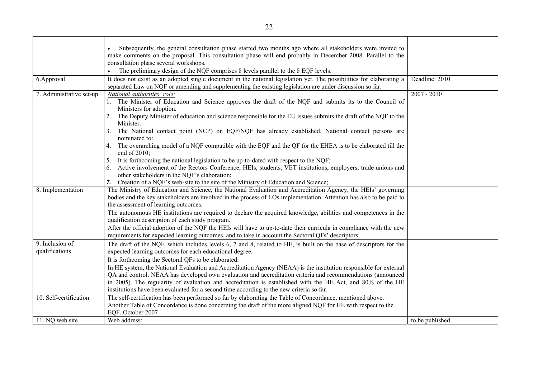|                                   | Subsequently, the general consultation phase started two months ago where all stakeholders were invited to<br>$\bullet$<br>make comments on the proposal. This consultation phase will end probably in December 2008. Parallel to the<br>consultation phase several workshops.                                                                                                                                                                                                                                                                                                                                                                                                      |                 |
|-----------------------------------|-------------------------------------------------------------------------------------------------------------------------------------------------------------------------------------------------------------------------------------------------------------------------------------------------------------------------------------------------------------------------------------------------------------------------------------------------------------------------------------------------------------------------------------------------------------------------------------------------------------------------------------------------------------------------------------|-----------------|
| 6.Approval                        | The preliminary design of the NQF comprises 8 levels parallel to the 8 EQF levels.<br>It does not exist as an adopted single document in the national legislation yet. The possibilities for elaborating a                                                                                                                                                                                                                                                                                                                                                                                                                                                                          | Deadline: 2010  |
| 7. Administrative set-up          | separated Law on NQF or amending and supplementing the existing legislation are under discussion so far.<br>National authorities' role:<br>1. The Minister of Education and Science approves the draft of the NQF and submits its to the Council of<br>Ministers for adoption.<br>The Deputy Minister of education and science responsible for the EU issues submits the draft of the NQF to the<br>2.<br>Minister.<br>The National contact point (NCP) on EQF/NQF has already established. National contact persons are<br>3.<br>nominated to:                                                                                                                                     | $2007 - 2010$   |
|                                   | The overarching model of a NQF compatible with the EQF and the QF for the EHEA is to be elaborated till the<br>4.<br>end of 2010;<br>It is forthcoming the national legislation to be up-to-dated with respect to the NQF;<br>5.<br>Active involvement of the Rectors Conference, HEIs, students, VET institutions, employers, trade unions and<br>6.<br>other stakeholders in the NQF's elaboration;<br>Creation of a NQF's web-site to the site of the Ministry of Education and Science;<br>7.                                                                                                                                                                                   |                 |
| 8. Implementation                 | The Ministry of Education and Science, the National Evaluation and Accreditation Agency, the HEIs' governing<br>bodies and the key stakeholders are involved in the process of LOs implementation. Attention has also to be paid to<br>the assessment of learning outcomes.<br>The autonomous HE institutions are required to declare the acquired knowledge, abilities and competences in the<br>qualification description of each study program.<br>After the official adoption of the NQF the HEIs will have to up-to-date their curricula in compliance with the new<br>requirements for expected learning outcomes, and to take in account the Sectoral QFs' descriptors.      |                 |
| 9. Inclusion of<br>qualifications | The draft of the NQF, which includes levels 6, 7 and 8, related to HE, is built on the base of descriptors for the<br>expected learning outcomes for each educational degree.<br>It is forthcoming the Sectoral QFs to be elaborated.<br>In HE system, the National Evaluation and Accreditation Agency (NEAA) is the institution responsible for external<br>QA and control. NEAA has developed own evaluation and accreditation criteria and recommendations (announced<br>in 2005). The regularity of evaluation and accreditation is established with the HE Act, and 80% of the HE<br>institutions have been evaluated for a second time according to the new criteria so far. |                 |
| 10. Self-certification            | The self-certification has been performed so far by elaborating the Table of Concordance, mentioned above.<br>Another Table of Concordance is done concerning the draft of the more aligned NQF for HE with respect to the<br>EQF. October 2007                                                                                                                                                                                                                                                                                                                                                                                                                                     |                 |
| 11. NQ web site                   | Web address:                                                                                                                                                                                                                                                                                                                                                                                                                                                                                                                                                                                                                                                                        | to be published |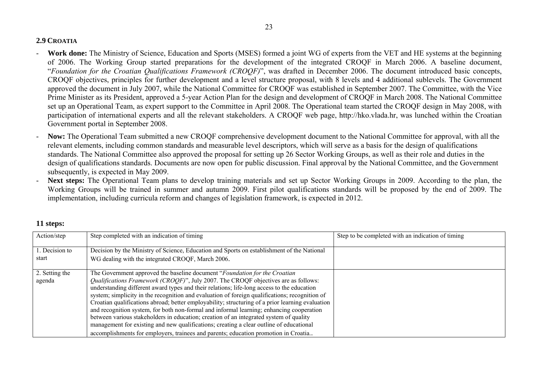# **2.9 CROATIA**

- **Work done:** The Ministry of Science, Education and Sports (MSES) formed a joint WG of experts from the VET and HE systems at the beginning of 2006. The Working Group started preparations for the development of the integrated CROQF in March 2006. A baseline document, "*Foundation for the Croatian Qualifications Framework (CROQF)*", was drafted in December 2006. The document introduced basic concepts, CROQF objectives, principles for further development and a level structure proposal, with 8 levels and 4 additional sublevels. The Government approved the document in July 2007, while the National Committee for CROQF was established in September 2007. The Committee, with the Vice Prime Minister as its President, approved a 5-year Action Plan for the design and development of CROQF in March 2008. The National Committee set up an Operational Team, as expert support to the Committee in April 2008. The Operational team started the CROQF design in May 2008, with participation of international experts and all the relevant stakeholders. A CROQF web page, http://hko.vlada.hr, was lunched within the Croatian Government portal in September 2008.
- **Now:** The Operational Team submitted a new CROQF comprehensive development document to the National Committee for approval, with all the relevant elements, including common standards and measurable level descriptors, which will serve as a basis for the design of qualifications standards. The National Committee also approved the proposal for setting up 26 Sector Working Groups, as well as their role and duties in the design of qualifications standards. Documents are now open for public discussion. Final approval by the National Committee, and the Government subsequently, is expected in May 2009.
- **Next steps:** The Operational Team plans to develop training materials and set up Sector Working Groups in 2009. According to the plan, the Working Groups will be trained in summer and autumn 2009. First pilot qualifications standards will be proposed by the end of 2009. The implementation, including curricula reform and changes of legislation framework, is expected in 2012.

| Action/step             | Step completed with an indication of timing                                                                                                                                      | Step to be completed with an indication of timing |
|-------------------------|----------------------------------------------------------------------------------------------------------------------------------------------------------------------------------|---------------------------------------------------|
| 1. Decision to<br>start | Decision by the Ministry of Science, Education and Sports on establishment of the National<br>WG dealing with the integrated CROQF, March 2006.                                  |                                                   |
|                         |                                                                                                                                                                                  |                                                   |
| 2. Setting the          | The Government approved the baseline document "Foundation for the Croatian"                                                                                                      |                                                   |
| agenda                  | Qualifications Framework (CROQF)", July 2007. The CROQF objectives are as follows:<br>understanding different award types and their relations; life-long access to the education |                                                   |
|                         | system; simplicity in the recognition and evaluation of foreign qualifications; recognition of                                                                                   |                                                   |
|                         | Croatian qualifications abroad; better employability; structuring of a prior learning evaluation                                                                                 |                                                   |
|                         | and recognition system, for both non-formal and informal learning; enhancing cooperation                                                                                         |                                                   |
|                         | between various stakeholders in education; creation of an integrated system of quality                                                                                           |                                                   |
|                         | management for existing and new qualifications; creating a clear outline of educational                                                                                          |                                                   |
|                         | accomplishments for employers, trainees and parents; education promotion in Croatia                                                                                              |                                                   |

# **11 steps:**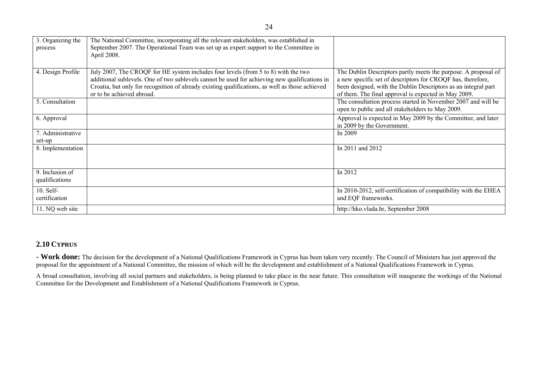| 3. Organizing the<br>process      | The National Committee, incorporating all the relevant stakeholders, was established in<br>September 2007. The Operational Team was set up as expert support to the Committee in<br>April 2008.                                                                                                                     |                                                                                                                                                                                                                                                         |
|-----------------------------------|---------------------------------------------------------------------------------------------------------------------------------------------------------------------------------------------------------------------------------------------------------------------------------------------------------------------|---------------------------------------------------------------------------------------------------------------------------------------------------------------------------------------------------------------------------------------------------------|
| 4. Design Profile                 | July 2007, The CROQF for HE system includes four levels (from 5 to 8) with the two<br>additional sublevels. One of two sublevels cannot be used for achieving new qualifications in<br>Croatia, but only for recognition of already existing qualifications, as well as those achieved<br>or to be achieved abroad. | The Dublin Descriptors partly meets the purpose. A proposal of<br>a new specific set of descriptors for CROQF has, therefore,<br>been designed, with the Dublin Descriptors as an integral part<br>of them. The final approval is expected in May 2009. |
| 5. Consultation                   |                                                                                                                                                                                                                                                                                                                     | The consultation process started in November 2007 and will be<br>open to public and all stakeholders to May 2009.                                                                                                                                       |
| 6. Approval                       |                                                                                                                                                                                                                                                                                                                     | Approval is expected in May 2009 by the Committee, and later<br>in 2009 by the Government.                                                                                                                                                              |
| 7. Administrative<br>set-up       |                                                                                                                                                                                                                                                                                                                     | In $2009$                                                                                                                                                                                                                                               |
| 8. Implementation                 |                                                                                                                                                                                                                                                                                                                     | In 2011 and 2012                                                                                                                                                                                                                                        |
| 9. Inclusion of<br>qualifications |                                                                                                                                                                                                                                                                                                                     | In 2012                                                                                                                                                                                                                                                 |
| $10.$ Self-<br>certification      |                                                                                                                                                                                                                                                                                                                     | In 2010-2012, self-certification of compatibility with the EHEA<br>and EQF frameworks.                                                                                                                                                                  |
| 11. NQ web site                   |                                                                                                                                                                                                                                                                                                                     | http://hko.vlada.hr, September 2008                                                                                                                                                                                                                     |

# **2.10 CYPRUS**

**- Work done:** The decision for the development of a National Qualifications Framework in Cyprus has been taken very recently. The Council of Ministers has just approved the proposal for the appointment of a National Committee, the mission of which will be the development and establishment of a National Qualifications Framework in Cyprus.

A broad consultation, involving all social partners and stakeholders, is being planned to take place in the near future. This consultation will inaugurate the workings of the National Committee for the Development and Establishment of a National Qualifications Framework in Cyprus.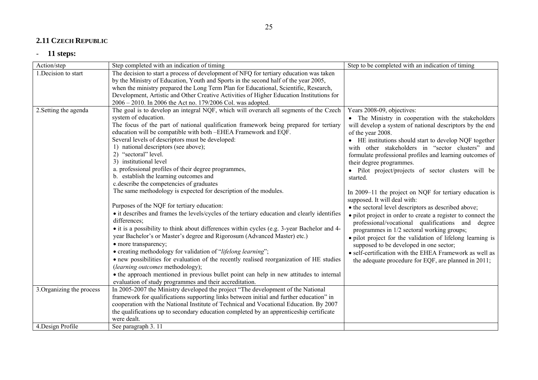### **2.11 CZECH REPUBLIC**

| Action/step               | Step completed with an indication of timing                                                                  | Step to be completed with an indication of timing            |
|---------------------------|--------------------------------------------------------------------------------------------------------------|--------------------------------------------------------------|
| 1. Decision to start      | The decision to start a process of development of NFQ for tertiary education was taken                       |                                                              |
|                           | by the Ministry of Education, Youth and Sports in the second half of the year 2005,                          |                                                              |
|                           | when the ministry prepared the Long Term Plan for Educational, Scientific, Research,                         |                                                              |
|                           | Development, Artistic and Other Creative Activities of Higher Education Institutions for                     |                                                              |
|                           | 2006 - 2010. In 2006 the Act no. 179/2006 Col. was adopted.                                                  |                                                              |
| 2. Setting the agenda     | The goal is to develop an integral NQF, which will overarch all segments of the Czech                        | Years 2008-09, objectives:                                   |
|                           | system of education.                                                                                         | • The Ministry in cooperation with the stakeholders          |
|                           | The focus of the part of national qualification framework being prepared for tertiary                        | will develop a system of national descriptors by the end     |
|                           | education will be compatible with both -EHEA Framework and EQF.                                              | of the year 2008.                                            |
|                           | Several levels of descriptors must be developed:                                                             | • HE institutions should start to develop NQF together       |
|                           | 1) national descriptors (see above);                                                                         | with other stakeholders in "sector clusters" and             |
|                           | "sectoral" level.<br>2)                                                                                      | formulate professional profiles and learning outcomes of     |
|                           | 3) institutional level                                                                                       | their degree programmes.                                     |
|                           | a. professional profiles of their degree programmes,                                                         | • Pilot project/projects of sector clusters will be          |
|                           | b. establish the learning outcomes and                                                                       | started.                                                     |
|                           | c.describe the competencies of graduates                                                                     |                                                              |
|                           | The same methodology is expected for description of the modules.                                             | In 2009–11 the project on NQF for tertiary education is      |
|                           |                                                                                                              | supposed. It will deal with:                                 |
|                           | Purposes of the NQF for tertiary education:                                                                  | • the sectoral level descriptors as described above;         |
|                           | • it describes and frames the levels/cycles of the tertiary education and clearly identifies<br>differences; | • pilot project in order to create a register to connect the |
|                           | • it is a possibility to think about differences within cycles (e.g. 3-year Bachelor and 4-                  | professional/vocational qualifications and degree            |
|                           | year Bachelor's or Master's degree and Rigorosum (Advanced Master) etc.)                                     | programmes in 1/2 sectoral working groups;                   |
|                           | • more transparency;                                                                                         | · pilot project for the validation of lifelong learning is   |
|                           | • creating methodology for validation of "lifelong learning";                                                | supposed to be developed in one sector;                      |
|                           | • new possibilities for evaluation of the recently realised reorganization of HE studies                     | • self-certification with the EHEA Framework as well as      |
|                           | (learning outcomes methodology);                                                                             | the adequate procedure for EQF, are planned in 2011;         |
|                           | • the approach mentioned in previous bullet point can help in new attitudes to internal                      |                                                              |
|                           | evaluation of study programmes and their accreditation.                                                      |                                                              |
| 3. Organizing the process | In 2005-2007 the Ministry developed the project "The development of the National                             |                                                              |
|                           | framework for qualifications supporting links between initial and further education" in                      |                                                              |
|                           | cooperation with the National Institute of Technical and Vocational Education. By 2007                       |                                                              |
|                           | the qualifications up to secondary education completed by an apprenticeship certificate                      |                                                              |
|                           | were dealt.                                                                                                  |                                                              |
| 4. Design Profile         | See paragraph 3.11                                                                                           |                                                              |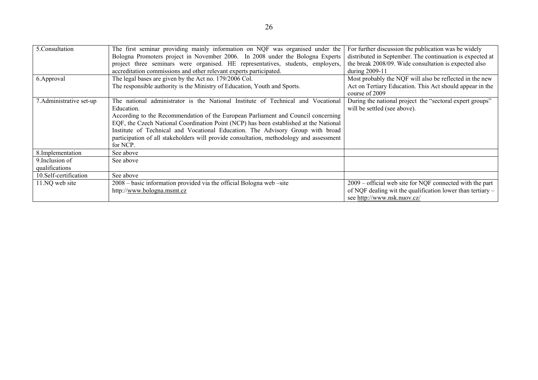| 5. Consultation          | The first seminar providing mainly information on NQF was organised under the           | For further discussion the publication was be widely                       |
|--------------------------|-----------------------------------------------------------------------------------------|----------------------------------------------------------------------------|
|                          | Bologna Promoters project in November 2006. In 2008 under the Bologna Experts           | distributed in September. The continuation is expected at                  |
|                          | project three seminars were organised. HE representatives, students, employers,         | the break 2008/09. Wide consultation is expected also                      |
|                          | accreditation commissions and other relevant experts participated.                      | during $2009-11$                                                           |
| 6. Approval              | The legal bases are given by the Act no. 179/2006 Col.                                  | Most probably the NQF will also be reflected in the new                    |
|                          | The responsible authority is the Ministry of Education, Youth and Sports.               | Act on Tertiary Education. This Act should appear in the<br>course of 2009 |
| 7. Administrative set-up | administrator is the National Institute of Technical and Vocational<br>The national     | During the national project the "sectoral expert groups"                   |
|                          | Education.                                                                              | will be settled (see above).                                               |
|                          | According to the Recommendation of the European Parliament and Council concerning       |                                                                            |
|                          | EQF, the Czech National Coordination Point (NCP) has been established at the National   |                                                                            |
|                          | Institute of Technical and Vocational Education. The Advisory Group with broad          |                                                                            |
|                          | participation of all stakeholders will provide consultation, methodology and assessment |                                                                            |
|                          | for NCP.                                                                                |                                                                            |
| 8. Implementation        | See above                                                                               |                                                                            |
| 9. Inclusion of          | See above                                                                               |                                                                            |
| qualifications           |                                                                                         |                                                                            |
| 10. Self-certification   | See above                                                                               |                                                                            |
| 11.NQ web site           | 2008 – basic information provided via the official Bologna web –site                    | $2009$ – official web site for NQF connected with the part                 |
|                          | http://www.bologna.msmt.cz                                                              | of NQF dealing wit the qualification lower than tertiary –                 |
|                          |                                                                                         | see http://www.nsk.nuov.cz/                                                |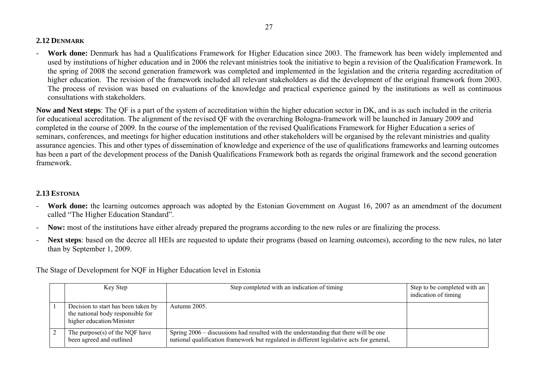# **2.12 DENMARK**

 **Work done:** Denmark has had a Qualifications Framework for Higher Education since 2003. The framework has been widely implemented and used by institutions of higher education and in 2006 the relevant ministries took the initiative to begin a revision of the Qualification Framework. In the spring of 2008 the second generation framework was completed and implemented in the legislation and the criteria regarding accreditation of higher education. The revision of the framework included all relevant stakeholders as did the development of the original framework from 2003. The process of revision was based on evaluations of the knowledge and practical experience gained by the institutions as well as continuous consultations with stakeholders.

**Now and Next steps**: The QF is a part of the system of accreditation within the higher education sector in DK, and is as such included in the criteria for educational accreditation. The alignment of the revised QF with the overarching Bologna-framework will be launched in January 2009 and completed in the course of 2009. In the course of the implementation of the revised Qualifications Framework for Higher Education a series of seminars, conferences, and meetings for higher education institutions and other stakeholders will be organised by the relevant ministries and quality assurance agencies. This and other types of dissemination of knowledge and experience of the use of qualifications frameworks and learning outcomes has been a part of the development process of the Danish Qualifications Framework both as regards the original framework and the second generation framework.

# **2.13 ESTONIA**

- - **Work done:** the learning outcomes approach was adopted by the Estonian Government on August 16, 2007 as an amendment of the document called "The Higher Education Standard".
- -Now: most of the institutions have either already prepared the programs according to the new rules or are finalizing the process.
- **Next steps**: based on the decree all HEIs are requested to update their programs (based on learning outcomes), according to the new rules, no later than by September 1, 2009.

The Stage of Development for NQF in Higher Education level in Estonia

|  | Key Step                                                                                              | Step completed with an indication of timing                                                                                                                                       | Step to be completed with an<br>indication of timing |
|--|-------------------------------------------------------------------------------------------------------|-----------------------------------------------------------------------------------------------------------------------------------------------------------------------------------|------------------------------------------------------|
|  | Decision to start has been taken by<br>the national body responsible for<br>higher education/Minister | Autumn 2005.                                                                                                                                                                      |                                                      |
|  | The purpose $(s)$ of the NQF have<br>been agreed and outlined                                         | Spring 2006 – discussions had resulted with the understanding that there will be one<br>national qualification framework but regulated in different legislative acts for general, |                                                      |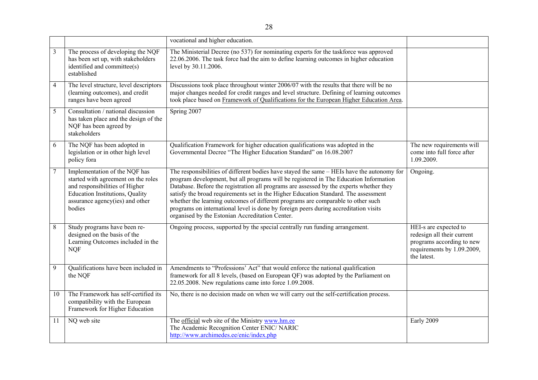|                |                                                                                                                                                                                               | vocational and higher education.                                                                                                                                                                                                                                                                                                                                                                                                                                                                                                                                                                     |                                                                                                                               |
|----------------|-----------------------------------------------------------------------------------------------------------------------------------------------------------------------------------------------|------------------------------------------------------------------------------------------------------------------------------------------------------------------------------------------------------------------------------------------------------------------------------------------------------------------------------------------------------------------------------------------------------------------------------------------------------------------------------------------------------------------------------------------------------------------------------------------------------|-------------------------------------------------------------------------------------------------------------------------------|
| 3              | The process of developing the NQF<br>has been set up, with stakeholders<br>identified and committee(s)<br>established                                                                         | The Ministerial Decree (no 537) for nominating experts for the taskforce was approved<br>22.06.2006. The task force had the aim to define learning outcomes in higher education<br>level by 30.11.2006.                                                                                                                                                                                                                                                                                                                                                                                              |                                                                                                                               |
| 4              | The level structure, level descriptors<br>(learning outcomes), and credit<br>ranges have been agreed                                                                                          | Discussions took place throughout winter 2006/07 with the results that there will be no<br>major changes needed for credit ranges and level structure. Defining of learning outcomes<br>took place based on Framework of Qualifications for the European Higher Education Area.                                                                                                                                                                                                                                                                                                                      |                                                                                                                               |
| 5              | Consultation / national discussion<br>has taken place and the design of the<br>NQF has been agreed by<br>stakeholders                                                                         | Spring 2007                                                                                                                                                                                                                                                                                                                                                                                                                                                                                                                                                                                          |                                                                                                                               |
| 6              | The NQF has been adopted in<br>legislation or in other high level<br>policy fora                                                                                                              | Qualification Framework for higher education qualifications was adopted in the<br>Governmental Decree "The Higher Education Standard" on 16.08.2007                                                                                                                                                                                                                                                                                                                                                                                                                                                  | The new requirements will<br>come into full force after<br>1.09.2009.                                                         |
| $\overline{7}$ | Implementation of the NQF has<br>started with agreement on the roles<br>and responsibilities of Higher<br><b>Education Institutions, Quality</b><br>assurance agency(ies) and other<br>bodies | The responsibilities of different bodies have stayed the same – HEIs have the autonomy for<br>program development, but all programs will be registered in The Education Information<br>Database. Before the registration all programs are assessed by the experts whether they<br>satisfy the broad requirements set in the Higher Education Standard. The assessment<br>whether the learning outcomes of different programs are comparable to other such<br>programs on international level is done by foreign peers during accreditation visits<br>organised by the Estonian Accreditation Center. | Ongoing.                                                                                                                      |
| 8              | Study programs have been re-<br>designed on the basis of the<br>Learning Outcomes included in the<br><b>NQF</b>                                                                               | Ongoing process, supported by the special centrally run funding arrangement.                                                                                                                                                                                                                                                                                                                                                                                                                                                                                                                         | HEI-s are expected to<br>redesign all their current<br>programs according to new<br>requirements by 1.09.2009,<br>the latest. |
| 9              | Qualifications have been included in<br>the NQF                                                                                                                                               | Amendments to "Professions' Act" that would enforce the national qualification<br>framework for all 8 levels, (based on European QF) was adopted by the Parliament on<br>22.05.2008. New regulations came into force 1.09.2008.                                                                                                                                                                                                                                                                                                                                                                      |                                                                                                                               |
| 10             | The Framework has self-certified its<br>compatibility with the European<br>Framework for Higher Education                                                                                     | No, there is no decision made on when we will carry out the self-certification process.                                                                                                                                                                                                                                                                                                                                                                                                                                                                                                              |                                                                                                                               |
| 11             | NQ web site                                                                                                                                                                                   | The official web site of the Ministry www.hm.ee<br>The Academic Recognition Center ENIC/ NARIC<br>http://www.archimedes.ee/enic/index.php                                                                                                                                                                                                                                                                                                                                                                                                                                                            | Early 2009                                                                                                                    |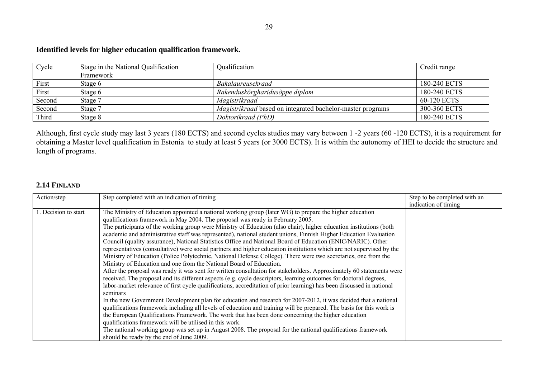# **Identified levels for higher education qualification framework.**

| Cycle  | Stage in the National Qualification | Qualification                                                     | Credit range |
|--------|-------------------------------------|-------------------------------------------------------------------|--------------|
|        | Framework                           |                                                                   |              |
| First  | Stage 6                             | Bakalaureusekraad                                                 | 180-240 ECTS |
| First  | Stage 6                             | Rakenduskõrgharidusõppe diplom                                    | 180-240 ECTS |
| Second | Stage 7                             | Magistrikraad                                                     | 60-120 ECTS  |
| Second | Stage 7                             | <i>Magistrikraad</i> based on integrated bachelor-master programs | 300-360 ECTS |
| Third  | Stage 8                             | Doktorikraad (PhD)                                                | 180-240 ECTS |

Although, first cycle study may last 3 years (180 ECTS) and second cycles studies may vary between 1 -2 years (60 -120 ECTS), it is a requirement for obtaining a Master level qualification in Estonia to study at least 5 years (or 3000 ECTS). It is within the autonomy of HEI to decide the structure and length of programs.

# **2.14 FINLAND**

| Action/step          | Step completed with an indication of timing                                                                                                                                                                                                                                                                                                                                                                                                                                                                                                                                                                                                                                                                                                                                                                                                                                                                                                                                                                                                                                                                                                                                                                                                                                                                                                                                                                                                                                                                                                                                                                                                                                                                                                                                                                                    | Step to be completed with an<br>indication of timing |
|----------------------|--------------------------------------------------------------------------------------------------------------------------------------------------------------------------------------------------------------------------------------------------------------------------------------------------------------------------------------------------------------------------------------------------------------------------------------------------------------------------------------------------------------------------------------------------------------------------------------------------------------------------------------------------------------------------------------------------------------------------------------------------------------------------------------------------------------------------------------------------------------------------------------------------------------------------------------------------------------------------------------------------------------------------------------------------------------------------------------------------------------------------------------------------------------------------------------------------------------------------------------------------------------------------------------------------------------------------------------------------------------------------------------------------------------------------------------------------------------------------------------------------------------------------------------------------------------------------------------------------------------------------------------------------------------------------------------------------------------------------------------------------------------------------------------------------------------------------------|------------------------------------------------------|
| 1. Decision to start | The Ministry of Education appointed a national working group (later WG) to prepare the higher education<br>qualifications framework in May 2004. The proposal was ready in February 2005.<br>The participants of the working group were Ministry of Education (also chair), higher education institutions (both<br>academic and administrative staff was represented), national student unions, Finnish Higher Education Evaluation<br>Council (quality assurance), National Statistics Office and National Board of Education (ENIC/NARIC). Other<br>representatives (consultative) were social partners and higher education institutions which are not supervised by the<br>Ministry of Education (Police Polytechnic, National Defense College). There were two secretaries, one from the<br>Ministry of Education and one from the National Board of Education.<br>After the proposal was ready it was sent for written consultation for stakeholders. Approximately 60 statements were<br>received. The proposal and its different aspects (e.g. cycle descriptors, learning outcomes for doctoral degrees,<br>labor-market relevance of first cycle qualifications, accreditation of prior learning) has been discussed in national<br>seminars<br>In the new Government Development plan for education and research for 2007-2012, it was decided that a national<br>qualifications framework including all levels of education and training will be prepared. The basis for this work is<br>the European Qualifications Framework. The work that has been done concerning the higher education<br>qualifications framework will be utilised in this work.<br>The national working group was set up in August 2008. The proposal for the national qualifications framework<br>should be ready by the end of June 2009. |                                                      |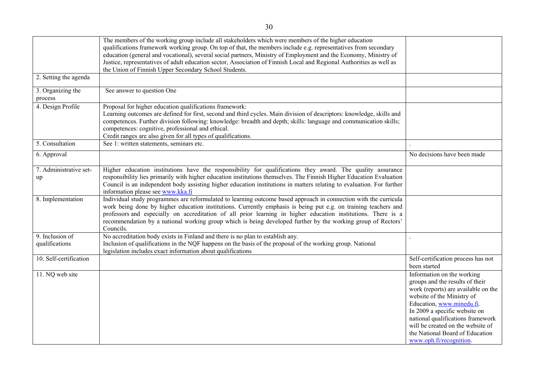|                                   | The members of the working group include all stakeholders which were members of the higher education<br>qualifications framework working group. On top of that, the members include e.g. representatives from secondary<br>education (general and vocational), several social partners, Ministry of Employment and the Economy, Ministry of<br>Justice, representatives of adult education sector, Association of Finnish Local and Regional Authorities as well as               |                                                                                                                                                                                                                                                                                                                                          |
|-----------------------------------|-----------------------------------------------------------------------------------------------------------------------------------------------------------------------------------------------------------------------------------------------------------------------------------------------------------------------------------------------------------------------------------------------------------------------------------------------------------------------------------|------------------------------------------------------------------------------------------------------------------------------------------------------------------------------------------------------------------------------------------------------------------------------------------------------------------------------------------|
|                                   | the Union of Finnish Upper Secondary School Students.                                                                                                                                                                                                                                                                                                                                                                                                                             |                                                                                                                                                                                                                                                                                                                                          |
| 2. Setting the agenda             |                                                                                                                                                                                                                                                                                                                                                                                                                                                                                   |                                                                                                                                                                                                                                                                                                                                          |
| 3. Organizing the<br>process      | See answer to question One                                                                                                                                                                                                                                                                                                                                                                                                                                                        |                                                                                                                                                                                                                                                                                                                                          |
| 4. Design Profile                 | Proposal for higher education qualifications framework:<br>Learning outcomes are defined for first, second and third cycles. Main division of descriptors: knowledge, skills and<br>competences. Further division following: knowledge: breadth and depth; skills: language and communication skills;<br>competences: cognitive, professional and ethical.<br>Credit ranges are also given for all types of qualifications.                                                       |                                                                                                                                                                                                                                                                                                                                          |
| 5. Consultation                   | See 1: written statements, seminars etc.                                                                                                                                                                                                                                                                                                                                                                                                                                          |                                                                                                                                                                                                                                                                                                                                          |
| 6. Approval                       |                                                                                                                                                                                                                                                                                                                                                                                                                                                                                   | No decisions have been made                                                                                                                                                                                                                                                                                                              |
| 7. Administrative set-<br>up      | Higher education institutions have the responsibility for qualifications they award. The quality assurance<br>responsibility lies primarily with higher education institutions themselves. The Finnish Higher Education Evaluation<br>Council is an independent body assisting higher education institutions in matters relating to evaluation. For further<br>information please see www.kka.fi                                                                                  |                                                                                                                                                                                                                                                                                                                                          |
| 8. Implementation                 | Individual study programmes are reformulated to learning outcome based approach in connection with the curricula<br>work being done by higher education institutions. Currently emphasis is being put e.g. on training teachers and<br>professors and especially on accreditation of all prior learning in higher education institutions. There is a<br>recommendation by a national working group which is being developed further by the working group of Rectors'<br>Councils. |                                                                                                                                                                                                                                                                                                                                          |
| 9. Inclusion of<br>qualifications | No accreditation body exists in Finland and there is no plan to establish any.<br>Inclusion of qualifications in the NQF happens on the basis of the proposal of the working group. National<br>legislation includes exact information about qualifications                                                                                                                                                                                                                       |                                                                                                                                                                                                                                                                                                                                          |
| 10. Self-certification            |                                                                                                                                                                                                                                                                                                                                                                                                                                                                                   | Self-certification process has not<br>been started                                                                                                                                                                                                                                                                                       |
| 11. NQ web site                   |                                                                                                                                                                                                                                                                                                                                                                                                                                                                                   | Information on the working<br>groups and the results of their<br>work (reports) are available on the<br>website of the Ministry of<br>Education, www.minedu.fi.<br>In 2009 a specific website on<br>national qualifications framework<br>will be created on the website of<br>the National Board of Education<br>www.oph.fi/recognition. |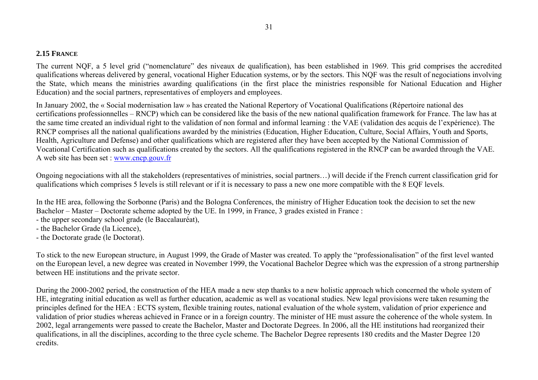# **2.15 FRANCE**

The current NQF, a 5 level grid ("nomenclature" des niveaux de qualification), has been established in 1969. This grid comprises the accredited qualifications whereas delivered by general, vocational Higher Education systems, or by the sectors. This NQF was the result of negociations involving the State, which means the ministries awarding qualifications (in the first place the ministries responsible for National Education and Higher Education) and the social partners, representatives of employers and employees.

In January 2002, the « Social modernisation law » has created the National Repertory of Vocational Qualifications (Répertoire national des certifications professionnelles – RNCP) which can be considered like the basis of the new national qualification framework for France. The law has at the same time created an individual right to the validation of non formal and informal learning : the VAE (validation des acquis de l'expérience). The RNCP comprises all the national qualifications awarded by the ministries (Education, Higher Education, Culture, Social Affairs, Youth and Sports, Health, Agriculture and Defense) and other qualifications which are registered after they have been accepted by the National Commission of Vocational Certification such as qualifications created by the sectors. All the qualifications registered in the RNCP can be awarded through the VAE. A web site has been set : www.cncp.gouv.fr

Ongoing negociations with all the stakeholders (representatives of ministries, social partners…) will decide if the French current classification grid for qualifications which comprises 5 levels is still relevant or if it is necessary to pass a new one more compatible with the 8 EQF levels.

In the HE area, following the Sorbonne (Paris) and the Bologna Conferences, the ministry of Higher Education took the decision to set the new Bachelor – Master – Doctorate scheme adopted by the UE. In 1999, in France, 3 grades existed in France :

- the upper secondary school grade (le Baccalauréat),
- the Bachelor Grade (la Licence),
- the Doctorate grade (le Doctorat).

To stick to the new European structure, in August 1999, the Grade of Master was created. To apply the "professionalisation" of the first level wanted on the European level, a new degree was created in November 1999, the Vocational Bachelor Degree which was the expression of a strong partnership between HE institutions and the private sector.

During the 2000-2002 period, the construction of the HEA made a new step thanks to a new holistic approach which concerned the whole system of HE, integrating initial education as well as further education, academic as well as vocational studies. New legal provisions were taken resuming the principles defined for the HEA : ECTS system, flexible training routes, national evaluation of the whole system, validation of prior experience and validation of prior studies whereas achieved in France or in a foreign country. The minister of HE must assure the coherence of the whole system. In 2002, legal arrangements were passed to create the Bachelor, Master and Doctorate Degrees. In 2006, all the HE institutions had reorganized their qualifications, in all the disciplines, according to the three cycle scheme. The Bachelor Degree represents 180 credits and the Master Degree 120 credits.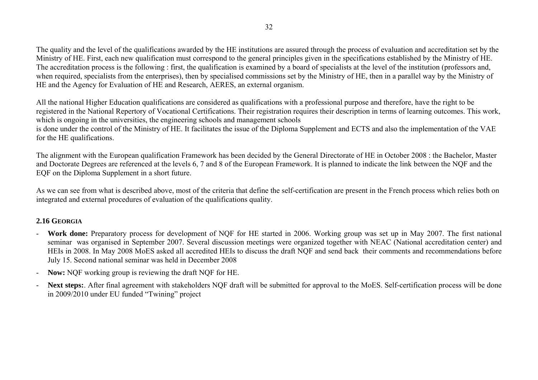The quality and the level of the qualifications awarded by the HE institutions are assured through the process of evaluation and accreditation set by the Ministry of HE. First, each new qualification must correspond to the general principles given in the specifications established by the Ministry of HE. The accreditation process is the following : first, the qualification is examined by a board of specialists at the level of the institution (professors and, when required, specialists from the enterprises), then by specialised commissions set by the Ministry of HE, then in a parallel way by the Ministry of HE and the Agency for Evaluation of HE and Research, AERES, an external organism.

All the national Higher Education qualifications are considered as qualifications with a professional purpose and therefore, have the right to be registered in the National Repertory of Vocational Certifications. Their registration requires their description in terms of learning outcomes. This work, which is ongoing in the universities, the engineering schools and management schools

is done under the control of the Ministry of HE. It facilitates the issue of the Diploma Supplement and ECTS and also the implementation of the VAE for the HE qualifications.

The alignment with the European qualification Framework has been decided by the General Directorate of HE in October 2008 : the Bachelor, Master and Doctorate Degrees are referenced at the levels 6, 7 and 8 of the European Framework. It is planned to indicate the link between the NQF and the EQF on the Diploma Supplement in a short future.

As we can see from what is described above, most of the criteria that define the self-certification are present in the French process which relies both on integrated and external procedures of evaluation of the qualifications quality.

# **2.16 GEORGIA**

- **Work done:** Preparatory process for development of NQF for HE started in 2006. Working group was set up in May 2007. The first national seminar was organised in September 2007. Several discussion meetings were organized together with NEAC (National accreditation center) and HEIs in 2008. In May 2008 MoES asked all accredited HEIs to discuss the draft NQF and send back their comments and recommendations before July 15. Second national seminar was held in December 2008
- **Now:** NQF working group is reviewing the draft NQF for HE.
- Next steps: After final agreement with stakeholders NOF draft will be submitted for approval to the MoES. Self-certification process will be done in 2009/2010 under EU funded "Twining" project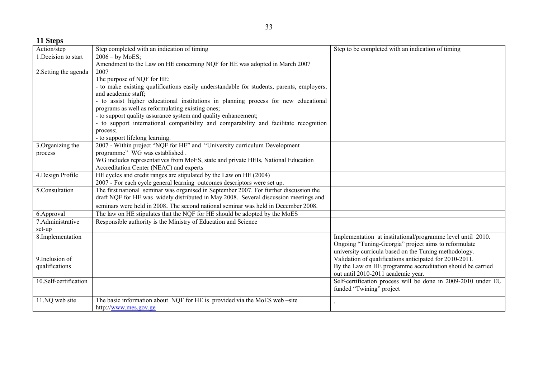**11 Steps** 

| Action/step           | Step completed with an indication of timing                                               | Step to be completed with an indication of timing             |
|-----------------------|-------------------------------------------------------------------------------------------|---------------------------------------------------------------|
| 1. Decision to start  | $2006 - by MoES;$                                                                         |                                                               |
|                       | Amendment to the Law on HE concerning NQF for HE was adopted in March 2007                |                                                               |
| 2. Setting the agenda | 2007                                                                                      |                                                               |
|                       | The purpose of NQF for HE:                                                                |                                                               |
|                       | - to make existing qualifications easily understandable for students, parents, employers, |                                                               |
|                       | and academic staff;                                                                       |                                                               |
|                       | - to assist higher educational institutions in planning process for new educational       |                                                               |
|                       | programs as well as reformulating existing ones;                                          |                                                               |
|                       | - to support quality assurance system and quality enhancement;                            |                                                               |
|                       | - to support international compatibility and comparability and facilitate recognition     |                                                               |
|                       | process;                                                                                  |                                                               |
|                       | - to support lifelong learning.                                                           |                                                               |
| 3. Organizing the     | 2007 - Within project "NQF for HE" and "University curriculum Development                 |                                                               |
| process               | programme" WG was established.                                                            |                                                               |
|                       | WG includes representatives from MoES, state and private HEIs, National Education         |                                                               |
|                       | Accreditation Center (NEAC) and experts                                                   |                                                               |
| 4. Design Profile     | HE cycles and credit ranges are stipulated by the Law on HE (2004)                        |                                                               |
|                       | 2007 - For each cycle general learning outcomes descriptors were set up.                  |                                                               |
| 5.Consultation        | The first national seminar was organised in September 2007. For further discussion the    |                                                               |
|                       | draft NQF for HE was widely distributed in May 2008. Several discussion meetings and      |                                                               |
|                       | seminars were held in 2008. The second national seminar was held in December 2008.        |                                                               |
| 6.Approval            | The law on HE stipulates that the NQF for HE should be adopted by the MoES                |                                                               |
| 7.Administrative      | Responsible authority is the Ministry of Education and Science                            |                                                               |
| set-up                |                                                                                           |                                                               |
| 8.Implementation      |                                                                                           | Implementation at institutional/programme level until 2010.   |
|                       |                                                                                           | Ongoing "Tuning-Georgia" project aims to reformulate          |
|                       |                                                                                           | university curricula based on the Tuning methodology.         |
| 9. Inclusion of       |                                                                                           | Validation of qualifications anticipated for 2010-2011.       |
| qualifications        |                                                                                           | By the Law on HE programme accreditation should be carried    |
|                       |                                                                                           | out until 2010-2011 academic year.                            |
| 10.Self-certification |                                                                                           | Self-certification process will be done in 2009-2010 under EU |
|                       |                                                                                           | funded "Twining" project                                      |
| 11.NQ web site        | The basic information about NQF for HE is provided via the MoES web -site                 |                                                               |
|                       | http://www.mes.gov.ge                                                                     |                                                               |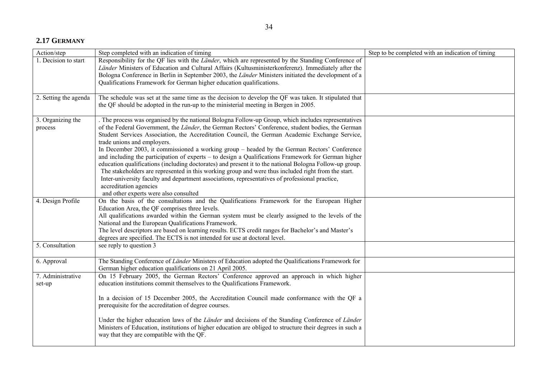# **2.17 GERMANY**

| Action/step                               | Step completed with an indication of timing                                                                                                                                                                                                                                                                                                                                                                                                                                                                                                                                                                                                                                                                                                                                                                                                                                                                                            | Step to be completed with an indication of timing |
|-------------------------------------------|----------------------------------------------------------------------------------------------------------------------------------------------------------------------------------------------------------------------------------------------------------------------------------------------------------------------------------------------------------------------------------------------------------------------------------------------------------------------------------------------------------------------------------------------------------------------------------------------------------------------------------------------------------------------------------------------------------------------------------------------------------------------------------------------------------------------------------------------------------------------------------------------------------------------------------------|---------------------------------------------------|
| 1. Decision to start                      | Responsibility for the QF lies with the Länder, which are represented by the Standing Conference of<br>Länder Ministers of Education and Cultural Affairs (Kultusministerkonferenz). Immediately after the<br>Bologna Conference in Berlin in September 2003, the Länder Ministers initiated the development of a<br>Qualifications Framework for German higher education qualifications.                                                                                                                                                                                                                                                                                                                                                                                                                                                                                                                                              |                                                   |
| 2. Setting the agenda                     | The schedule was set at the same time as the decision to develop the QF was taken. It stipulated that<br>the QF should be adopted in the run-up to the ministerial meeting in Bergen in 2005.                                                                                                                                                                                                                                                                                                                                                                                                                                                                                                                                                                                                                                                                                                                                          |                                                   |
| 3. Organizing the<br>process              | The process was organised by the national Bologna Follow-up Group, which includes representatives<br>of the Federal Government, the Länder, the German Rectors' Conference, student bodies, the German<br>Student Services Association, the Accreditation Council, the German Academic Exchange Service,<br>trade unions and employers.<br>In December 2003, it commissioned a working group - headed by the German Rectors' Conference<br>and including the participation of experts – to design a Qualifications Framework for German higher<br>education qualifications (including doctorates) and present it to the national Bologna Follow-up group.<br>The stakeholders are represented in this working group and were thus included right from the start.<br>Inter-university faculty and department associations, representatives of professional practice,<br>accreditation agencies<br>and other experts were also consulted |                                                   |
| 4. Design Profile                         | On the basis of the consultations and the Qualifications Framework for the European Higher<br>Education Area, the QF comprises three levels.<br>All qualifications awarded within the German system must be clearly assigned to the levels of the<br>National and the European Qualifications Framework.<br>The level descriptors are based on learning results. ECTS credit ranges for Bachelor's and Master's<br>degrees are specified. The ECTS is not intended for use at doctoral level.                                                                                                                                                                                                                                                                                                                                                                                                                                          |                                                   |
| 5. Consultation                           | see reply to question 3                                                                                                                                                                                                                                                                                                                                                                                                                                                                                                                                                                                                                                                                                                                                                                                                                                                                                                                |                                                   |
| 6. Approval                               | The Standing Conference of Länder Ministers of Education adopted the Qualifications Framework for<br>German higher education qualifications on 21 April 2005.                                                                                                                                                                                                                                                                                                                                                                                                                                                                                                                                                                                                                                                                                                                                                                          |                                                   |
| $\overline{7}$ . Administrative<br>set-up | On 15 February 2005, the German Rectors' Conference approved an approach in which higher<br>education institutions commit themselves to the Qualifications Framework.<br>In a decision of 15 December 2005, the Accreditation Council made conformance with the QF a<br>prerequisite for the accreditation of degree courses.<br>Under the higher education laws of the <i>Länder</i> and decisions of the Standing Conference of <i>Länder</i><br>Ministers of Education, institutions of higher education are obliged to structure their degrees in such a<br>way that they are compatible with the QF.                                                                                                                                                                                                                                                                                                                              |                                                   |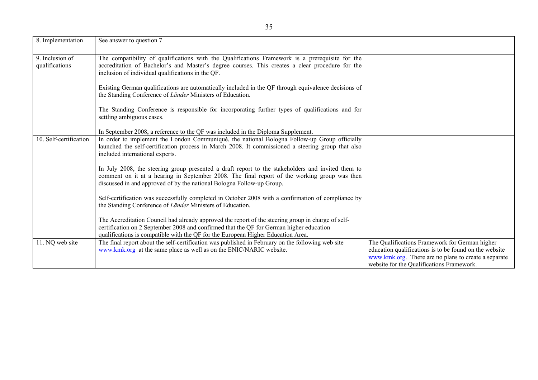| 8. Implementation                 | See answer to question 7                                                                                                                                                                                                                                                          |                                                                                                                                                                                                               |
|-----------------------------------|-----------------------------------------------------------------------------------------------------------------------------------------------------------------------------------------------------------------------------------------------------------------------------------|---------------------------------------------------------------------------------------------------------------------------------------------------------------------------------------------------------------|
| 9. Inclusion of<br>qualifications | The compatibility of qualifications with the Qualifications Framework is a prerequisite for the<br>accreditation of Bachelor's and Master's degree courses. This creates a clear procedure for the<br>inclusion of individual qualifications in the QF.                           |                                                                                                                                                                                                               |
|                                   | Existing German qualifications are automatically included in the QF through equivalence decisions of<br>the Standing Conference of Länder Ministers of Education.                                                                                                                 |                                                                                                                                                                                                               |
|                                   | The Standing Conference is responsible for incorporating further types of qualifications and for<br>settling ambiguous cases.                                                                                                                                                     |                                                                                                                                                                                                               |
|                                   | In September 2008, a reference to the QF was included in the Diploma Supplement.                                                                                                                                                                                                  |                                                                                                                                                                                                               |
| 10. Self-certification            | In order to implement the London Communiqué, the national Bologna Follow-up Group officially<br>launched the self-certification process in March 2008. It commissioned a steering group that also<br>included international experts.                                              |                                                                                                                                                                                                               |
|                                   | In July 2008, the steering group presented a draft report to the stakeholders and invited them to<br>comment on it at a hearing in September 2008. The final report of the working group was then<br>discussed in and approved of by the national Bologna Follow-up Group.        |                                                                                                                                                                                                               |
|                                   | Self-certification was successfully completed in October 2008 with a confirmation of compliance by<br>the Standing Conference of Länder Ministers of Education.                                                                                                                   |                                                                                                                                                                                                               |
|                                   | The Accreditation Council had already approved the report of the steering group in charge of self-<br>certification on 2 September 2008 and confirmed that the QF for German higher education<br>qualifications is compatible with the QF for the European Higher Education Area. |                                                                                                                                                                                                               |
| 11. NQ web site                   | The final report about the self-certification was published in February on the following web site<br>www.kmk.org at the same place as well as on the ENIC/NARIC website.                                                                                                          | The Qualifications Framework for German higher<br>education qualifications is to be found on the website<br>www.kmk.org. There are no plans to create a separate<br>website for the Qualifications Framework. |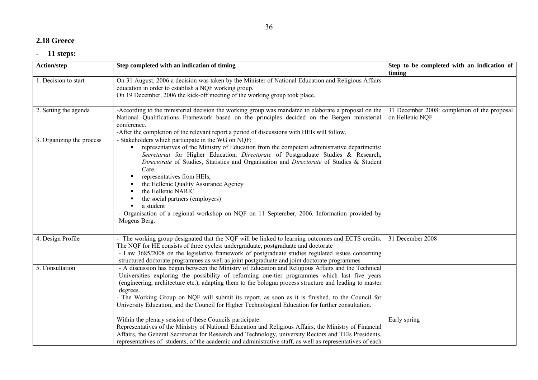# **2.18 Greece**

| Action/step               | Step completed with an indication of timing                                                                                                                                                                                                                                                                                                                                                                                                                                                                                                                                                                                                                                                                                                                                                                                                                                                                                      | Step to be completed with an indication of<br>timing            |
|---------------------------|----------------------------------------------------------------------------------------------------------------------------------------------------------------------------------------------------------------------------------------------------------------------------------------------------------------------------------------------------------------------------------------------------------------------------------------------------------------------------------------------------------------------------------------------------------------------------------------------------------------------------------------------------------------------------------------------------------------------------------------------------------------------------------------------------------------------------------------------------------------------------------------------------------------------------------|-----------------------------------------------------------------|
| 1. Decision to start      | On 31 August, 2006 a decision was taken by the Minister of National Education and Religious Affairs<br>education in order to establish a NQF working group.<br>On 19 December, 2006 the kick-off meeting of the working group took place.                                                                                                                                                                                                                                                                                                                                                                                                                                                                                                                                                                                                                                                                                        |                                                                 |
| 2. Setting the agenda     | -According to the ministerial decision the working group was mandated to elaborate a proposal on the<br>National Qualifications Framework based on the principles decided on the Bergen ministerial<br>conference.<br>-After the completion of the relevant report a period of discussions with HEIs will follow.                                                                                                                                                                                                                                                                                                                                                                                                                                                                                                                                                                                                                | 31 December 2008: completion of the proposal<br>on Hellenic NQF |
| 3. Organizing the process | - Stakeholders which participate in the WG on NQF:<br>representatives of the Ministry of Education from the competent administrative departments:<br>Secretariat for Higher Education, Directorate of Postgraduate Studies & Research,<br>Directorate of Studies, Statistics and Organisation and Directorate of Studies & Student<br>Care.<br>representatives from HEIs,<br>the Hellenic Quality Assurance Agency<br>the Hellenic NARIC<br>the social partners (employers)<br>a student<br>- Organisation of a regional workshop on NQF on 11 September, 2006. Information provided by<br>Mogens Berg.                                                                                                                                                                                                                                                                                                                          |                                                                 |
| 4. Design Profile         | - The working group designated that the NQF will be linked to learning outcomes and ECTS credits.<br>The NQF for HE consists of three cycles: undergraduate, postgraduate and doctorate<br>- Law 3685/2008 on the legislative framework of postgraduate studies regulated issues concerning<br>structured doctorate programmes as well as joint postgraduate and joint doctorate programmes                                                                                                                                                                                                                                                                                                                                                                                                                                                                                                                                      | 31 December 2008                                                |
| 5. Consultation           | - A discussion has begun between the Ministry of Education and Religious Affairs and the Technical<br>Universities exploring the possibility of reforming one-tier programmes which last five years<br>(engineering, architecture etc.), adapting them to the bologna process structure and leading to master<br>degrees.<br>- The Working Group on NQF will submit its report, as soon as it is finished, to the Council for<br>University Education, and the Council for Higher Technological Education for further consultation.<br>Within the plenary session of these Councils participate:<br>Representatives of the Ministry of National Education and Religious Affairs, the Ministry of Financial<br>Affairs, the General Secretariat for Research and Technology, university Rectors and TEIs Presidents,<br>representatives of students, of the academic and administrative staff, as well as representatives of each | Early spring                                                    |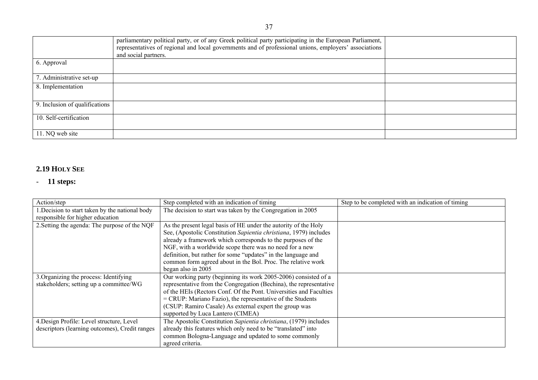|                                | parliamentary political party, or of any Greek political party participating in the European Parliament,<br>representatives of regional and local governments and of professional unions, employers' associations<br>and social partners. |  |
|--------------------------------|-------------------------------------------------------------------------------------------------------------------------------------------------------------------------------------------------------------------------------------------|--|
| 6. Approval                    |                                                                                                                                                                                                                                           |  |
| 7. Administrative set-up       |                                                                                                                                                                                                                                           |  |
| 8. Implementation              |                                                                                                                                                                                                                                           |  |
| 9. Inclusion of qualifications |                                                                                                                                                                                                                                           |  |
| 10. Self-certification         |                                                                                                                                                                                                                                           |  |
| 11. NQ web site                |                                                                                                                                                                                                                                           |  |

### **2.19 HOLY SEE**

| Action/step                                     | Step completed with an indication of timing                        | Step to be completed with an indication of timing |
|-------------------------------------------------|--------------------------------------------------------------------|---------------------------------------------------|
| 1. Decision to start taken by the national body | The decision to start was taken by the Congregation in 2005        |                                                   |
| responsible for higher education                |                                                                    |                                                   |
| 2. Setting the agenda: The purpose of the NQF   | As the present legal basis of HE under the autority of the Holy    |                                                   |
|                                                 | See, (Apostolic Constitution Sapientia christiana, 1979) includes  |                                                   |
|                                                 | already a framework which corresponds to the purposes of the       |                                                   |
|                                                 | NGF, with a worldwide scope there was no need for a new            |                                                   |
|                                                 | definition, but rather for some "updates" in the language and      |                                                   |
|                                                 | common form agreed about in the Bol. Proc. The relative work       |                                                   |
|                                                 | began also in 2005                                                 |                                                   |
| 3. Organizing the process: Identifying          | Our working party (beginning its work 2005-2006) consisted of a    |                                                   |
| stakeholders; setting up a committee/WG         | representative from the Congregation (Bechina), the representative |                                                   |
|                                                 | of the HEIs (Rectors Conf. Of the Pont. Universities and Faculties |                                                   |
|                                                 | $=$ CRUP: Mariano Fazio), the representative of the Students       |                                                   |
|                                                 | (CSUP: Ramiro Casale) As external expert the group was             |                                                   |
|                                                 | supported by Luca Lantero (CIMEA)                                  |                                                   |
| 4. Design Profile: Level structure, Level       | The Apostolic Constitution Sapientia christiana, (1979) includes   |                                                   |
| descriptors (learning outcomes), Credit ranges  | already this features which only need to be "translated" into      |                                                   |
|                                                 | common Bologna-Language and updated to some commonly               |                                                   |
|                                                 | agreed criteria.                                                   |                                                   |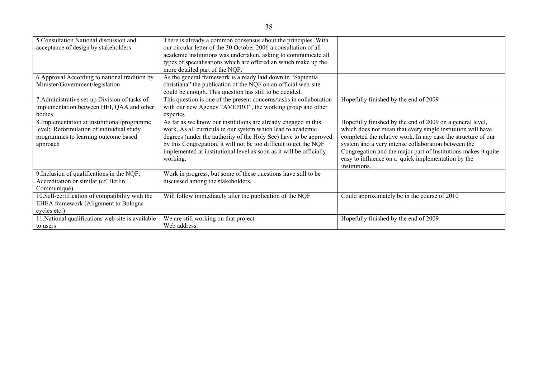| 5. Consultation National discussion and           | There is already a common consensus about the principles. With      |                                                                |
|---------------------------------------------------|---------------------------------------------------------------------|----------------------------------------------------------------|
| acceptance of design by stakeholders              | our circular letter of the 30 October 2006 a consultation of all    |                                                                |
|                                                   | academic institutions was undertaken, asking to communicate all     |                                                                |
|                                                   | types of specialisations which are offered an which make up the     |                                                                |
|                                                   |                                                                     |                                                                |
|                                                   | more detailed part of the NQF.                                      |                                                                |
| 6. Approval According to national tradition by    | As the general framework is already laid down in "Sapientia         |                                                                |
| Minister/Government/legislation                   | christiana" the publication of the NQF on an official web-site      |                                                                |
|                                                   | could be enough. This question has still to be decided.             |                                                                |
| 7. Administrative set-up Division of tasks of     | This question is one of the present concerns/tasks in collaboration | Hopefully finished by the end of 2009                          |
| implementation between HEI, QAA and other         | with our new Agency "AVEPRO", the working group and other           |                                                                |
| bodies                                            | expertes                                                            |                                                                |
| 8. Implementation at institutional/programme      | As far as we know our institutions are already engaged in this      | Hopefully finished by the end of 2009 on a general level,      |
| level; Reformulation of individual study          | work. As all curricula in our system which lead to academic         | which does not mean that every single institution will have    |
| programmes to learning outcome based              | degrees (under the authority of the Holy See) have to be approved   | completed the relative work. In any case the structure of our  |
| approach                                          | by this Congregation, it will not be too difficult to get the NQF   | system and a very intense collaboration between the            |
|                                                   | implemented at institutional level as soon as it will be officially | Congregation and the major part of Institutions makes it quite |
|                                                   | working.                                                            | easy to influence on a quick implementation by the             |
|                                                   |                                                                     | institutions.                                                  |
| 9. Inclusion of qualifications in the NQF;        | Work in progress, but some of these questions have still to be      |                                                                |
| Accreditation or similar (cf. Berlin              | discussed among the stakeholders.                                   |                                                                |
| Communiqué)                                       |                                                                     |                                                                |
| 10.Self-certification of compatibility with the   | Will follow immediately after the publication of the NQF            | Could approximately be in the course of 2010                   |
| <b>EHEA</b> framework (Alignment to Bologna       |                                                                     |                                                                |
| cycles etc.)                                      |                                                                     |                                                                |
| 11. National qualifications web site is available | We are still working on that project.                               | Hopefully finished by the end of 2009                          |
| to users                                          | Web address:                                                        |                                                                |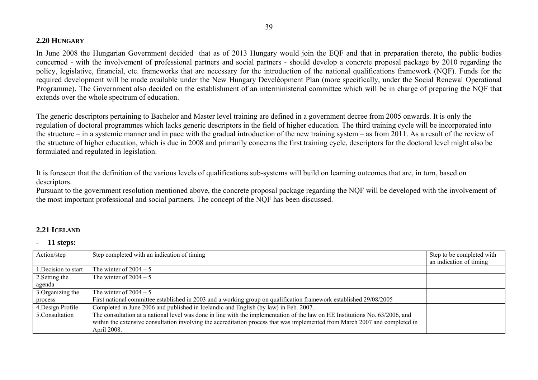### **2.20 HUNGARY**

In June 2008 the Hungarian Government decided that as of 2013 Hungary would join the EQF and that in preparation thereto, the public bodies concerned - with the involvement of professional partners and social partners - should develop a concrete proposal package by 2010 regarding the policy, legislative, financial, etc. frameworks that are necessary for the introduction of the national qualifications framework (NQF). Funds for the required development will be made available under the New Hungary Develéopment Plan (more specifically, under the Social Renewal Operational Programme). The Government also decided on the establishment of an interministerial committee which will be in charge of preparing the NQF that extends over the whole spectrum of education.

The generic descriptors pertaining to Bachelor and Master level training are defined in a government decree from 2005 onwards. It is only the regulation of doctoral programmes which lacks generic descriptors in the field of higher education. The third training cycle will be incorporated into the structure – in a systemic manner and in pace with the gradual introduction of the new training system – as from 2011. As a result of the review of the structure of higher education, which is due in 2008 and primarily concerns the first training cycle, descriptors for the doctoral level might also be formulated and regulated in legislation.

It is foreseen that the definition of the various levels of qualifications sub-systems will build on learning outcomes that are, in turn, based on descriptors.

Pursuant to the government resolution mentioned above, the concrete proposal package regarding the NQF will be developed with the involvement of the most important professional and social partners. The concept of the NQF has been discussed.

### **2.21 ICELAND**

| Action/step          | Step completed with an indication of timing                                                                                  | Step to be completed with<br>an indication of timing |
|----------------------|------------------------------------------------------------------------------------------------------------------------------|------------------------------------------------------|
| 1. Decision to start | The winter of $2004 - 5$                                                                                                     |                                                      |
| 2. Setting the       | The winter of $2004 - 5$                                                                                                     |                                                      |
| agenda               |                                                                                                                              |                                                      |
| 3. Organizing the    | The winter of $2004 - 5$                                                                                                     |                                                      |
| process              | First national committee established in 2003 and a working group on qualification framework established 29/08/2005           |                                                      |
| 4. Design Profile    | Completed in June 2006 and published in Icelandic and English (by law) in Feb. 2007.                                         |                                                      |
| 5. Consultation      | The consultation at a national level was done in line with the implementation of the law on HE Institutions No. 63/2006, and |                                                      |
|                      | within the extensive consultation involving the accreditation process that was implemented from March 2007 and completed in  |                                                      |
|                      | April 2008.                                                                                                                  |                                                      |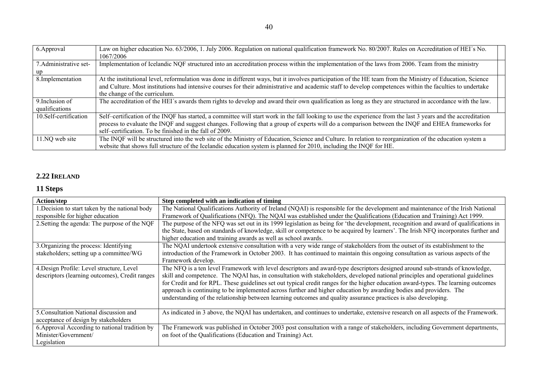| 6. Approval            | Law on higher education No. 63/2006, 1. July 2006. Regulation on national qualification framework No. 80/2007. Rules on Accreditation of HEI's No.<br>1067/2006 |  |
|------------------------|-----------------------------------------------------------------------------------------------------------------------------------------------------------------|--|
| 7. Administrative set- | Implementation of Icelandic NQF structured into an accreditation process within the implementation of the laws from 2006. Team from the ministry                |  |
|                        |                                                                                                                                                                 |  |
| 8. Implementation      | At the institutional level, reformulation was done in different ways, but it involves participation of the HE team from the Ministry of Education, Science      |  |
|                        | and Culture. Most institutions had intensive courses for their administrative and academic staff to develop competences within the faculties to undertake       |  |
|                        | the change of the curriculum.                                                                                                                                   |  |
| 9. Inclusion of        | The accreditation of the HEI's awards them rights to develop and award their own qualification as long as they are structured in accordance with the law.       |  |
| qualifications         |                                                                                                                                                                 |  |
| 10. Self-certification | Self-certification of the INQF has started, a committee will start work in the fall looking to use the experience from the last 3 years and the accreditation   |  |
|                        | process to evaluate the INQF and suggest changes. Following that a group of experts will do a comparison between the INQF and EHEA frameworks for               |  |
|                        | self-certification. To be finished in the fall of 2009.                                                                                                         |  |
| 11.NQ web site         | The INQF will be structured into the web site of the Ministry of Education, Science and Culture. In relation to reorganization of the education system a        |  |
|                        | website that shows full structure of the Icelandic education system is planned for 2010, including the INQF for HE.                                             |  |

### **2.22 IRELAND**

### **11 Steps**

| <b>Action/step</b>                                                                          | Step completed with an indication of timing                                                                                                                                                                                                                                                                                                                                                                                                                                                                                                                                                                                                    |
|---------------------------------------------------------------------------------------------|------------------------------------------------------------------------------------------------------------------------------------------------------------------------------------------------------------------------------------------------------------------------------------------------------------------------------------------------------------------------------------------------------------------------------------------------------------------------------------------------------------------------------------------------------------------------------------------------------------------------------------------------|
| 1. Decision to start taken by the national body                                             | The National Qualifications Authority of Ireland (NQAI) is responsible for the development and maintenance of the Irish National                                                                                                                                                                                                                                                                                                                                                                                                                                                                                                               |
| responsible for higher education                                                            | Framework of Qualifications (NFQ). The NQAI was established under the Qualifications (Education and Training) Act 1999.                                                                                                                                                                                                                                                                                                                                                                                                                                                                                                                        |
| 2. Setting the agenda: The purpose of the NQF                                               | The purpose of the NFQ was set out in its 1999 legislation as being for 'the development, recognition and award of qualifications in                                                                                                                                                                                                                                                                                                                                                                                                                                                                                                           |
|                                                                                             | the State, based on standards of knowledge, skill or competence to be acquired by learners'. The Irish NFQ incorporates further and                                                                                                                                                                                                                                                                                                                                                                                                                                                                                                            |
|                                                                                             | higher education and training awards as well as school awards.                                                                                                                                                                                                                                                                                                                                                                                                                                                                                                                                                                                 |
| 3. Organizing the process: Identifying                                                      | The NQAI undertook extensive consultation with a very wide range of stakeholders from the outset of its establishment to the                                                                                                                                                                                                                                                                                                                                                                                                                                                                                                                   |
| stakeholders; setting up a committee/WG                                                     | introduction of the Framework in October 2003. It has continued to maintain this ongoing consultation as various aspects of the                                                                                                                                                                                                                                                                                                                                                                                                                                                                                                                |
|                                                                                             | Framework develop.                                                                                                                                                                                                                                                                                                                                                                                                                                                                                                                                                                                                                             |
| 4. Design Profile: Level structure, Level<br>descriptors (learning outcomes), Credit ranges | The NFQ is a ten level Framework with level descriptors and award-type descriptors designed around sub-strands of knowledge,<br>skill and competence. The NQAI has, in consultation with stakeholders, developed national principles and operational guidelines<br>for Credit and for RPL. These guidelines set out typical credit ranges for the higher education award-types. The learning outcomes<br>approach is continuing to be implemented across further and higher education by awarding bodies and providers. The<br>understanding of the relationship between learning outcomes and quality assurance practices is also developing. |
| 5. Consultation National discussion and<br>acceptance of design by stakeholders             | As indicated in 3 above, the NQAI has undertaken, and continues to undertake, extensive research on all aspects of the Framework.                                                                                                                                                                                                                                                                                                                                                                                                                                                                                                              |
| 6. Approval According to national tradition by                                              | The Framework was published in October 2003 post consultation with a range of stakeholders, including Government departments,                                                                                                                                                                                                                                                                                                                                                                                                                                                                                                                  |
| Minister/Government/                                                                        | on foot of the Qualifications (Education and Training) Act.                                                                                                                                                                                                                                                                                                                                                                                                                                                                                                                                                                                    |
| Legislation                                                                                 |                                                                                                                                                                                                                                                                                                                                                                                                                                                                                                                                                                                                                                                |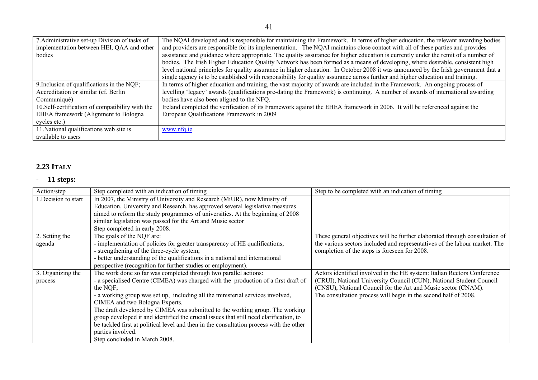| 7. Administrative set-up Division of tasks of    | The NQAI developed and is responsible for maintaining the Framework. In terms of higher education, the relevant awarding bodies      |
|--------------------------------------------------|--------------------------------------------------------------------------------------------------------------------------------------|
| implementation between HEI, QAA and other        | and providers are responsible for its implementation. The NQAI maintains close contact with all of these parties and provides        |
| bodies                                           | assistance and guidance where appropriate. The quality assurance for higher education is currently under the remit of a number of    |
|                                                  | bodies. The Irish Higher Education Quality Network has been formed as a means of developing, where desirable, consistent high        |
|                                                  | level national principles for quality assurance in higher education. In October 2008 it was announced by the Irish government that a |
|                                                  | single agency is to be established with responsibility for quality assurance across further and higher education and training.       |
| 9. Inclusion of qualifications in the NQF;       | In terms of higher education and training, the vast majority of awards are included in the Framework. An ongoing process of          |
| Accreditation or similar (cf. Berlin             | levelling 'legacy' awards (qualifications pre-dating the Framework) is continuing. A number of awards of international awarding      |
| Communiqué)                                      | bodies have also been aligned to the NFQ.                                                                                            |
| 10. Self-certification of compatibility with the | Ireland completed the verification of its Framework against the EHEA framework in 2006. It will be referenced against the            |
| EHEA framework (Alignment to Bologna             | European Qualifications Framework in 2009                                                                                            |
| cycles etc.)                                     |                                                                                                                                      |
| 11. National qualifications web site is          | www.nfq.ie                                                                                                                           |
| available to users                               |                                                                                                                                      |

# **2.23 ITALY**

| Action/step       | Step completed with an indication of timing                                             | Step to be completed with an indication of timing                           |
|-------------------|-----------------------------------------------------------------------------------------|-----------------------------------------------------------------------------|
| Decision to start | In 2007, the Ministry of University and Research (MiUR), now Ministry of                |                                                                             |
|                   | Education, University and Research, has approved several legislative measures           |                                                                             |
|                   | aimed to reform the study programmes of universities. At the beginning of 2008          |                                                                             |
|                   | similar legislation was passed for the Art and Music sector                             |                                                                             |
|                   | Step completed in early 2008.                                                           |                                                                             |
| 2. Setting the    | The goals of the NQF are:                                                               | These general objectives will be further elaborated through consultation of |
| agenda            | - implementation of policies for greater transparency of HE qualifications;             | the various sectors included and representatives of the labour market. The  |
|                   | - strengthening of the three-cycle system;                                              | completion of the steps is foreseen for 2008.                               |
|                   | - better understanding of the qualifications in a national and international            |                                                                             |
|                   | perspective (recognition for further studies or employment).                            |                                                                             |
| 3. Organizing the | The work done so far was completed through two parallel actions:                        | Actors identified involved in the HE system: Italian Rectors Conference     |
| process           | - a specialised Centre (CIMEA) was charged with the production of a first draft of      | (CRUI), National University Council (CUN), National Student Council         |
|                   | the NQF;                                                                                | (CNSU), National Council for the Art and Music sector (CNAM).               |
|                   | - a working group was set up, including all the ministerial services involved,          | The consultation process will begin in the second half of 2008.             |
|                   | CIMEA and two Bologna Experts.                                                          |                                                                             |
|                   | The draft developed by CIMEA was submitted to the working group. The working            |                                                                             |
|                   | group developed it and identified the crucial issues that still need clarification, to  |                                                                             |
|                   | be tackled first at political level and then in the consultation process with the other |                                                                             |
|                   | parties involved.                                                                       |                                                                             |
|                   | Step concluded in March 2008.                                                           |                                                                             |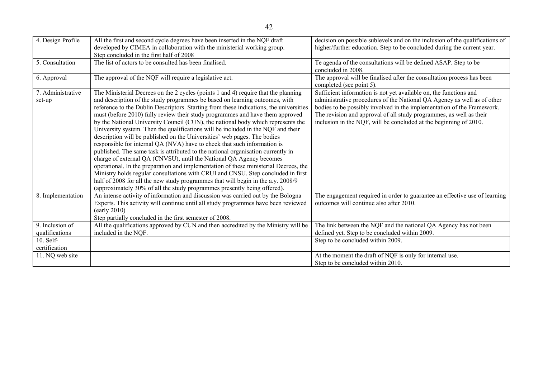| 4. Design Profile           | All the first and second cycle degrees have been inserted in the NQF draft<br>developed by CIMEA in collaboration with the ministerial working group.<br>Step concluded in the first half of 2008                                                                                                                                                                                                                                                                                                                                                                                                                                                                                                                                                                                                                                                                                                                                                                                                                                                                                                                                                                                   | decision on possible sublevels and on the inclusion of the qualifications of<br>higher/further education. Step to be concluded during the current year.                                                                                                                                                                                                            |
|-----------------------------|-------------------------------------------------------------------------------------------------------------------------------------------------------------------------------------------------------------------------------------------------------------------------------------------------------------------------------------------------------------------------------------------------------------------------------------------------------------------------------------------------------------------------------------------------------------------------------------------------------------------------------------------------------------------------------------------------------------------------------------------------------------------------------------------------------------------------------------------------------------------------------------------------------------------------------------------------------------------------------------------------------------------------------------------------------------------------------------------------------------------------------------------------------------------------------------|--------------------------------------------------------------------------------------------------------------------------------------------------------------------------------------------------------------------------------------------------------------------------------------------------------------------------------------------------------------------|
| 5. Consultation             | The list of actors to be consulted has been finalised.                                                                                                                                                                                                                                                                                                                                                                                                                                                                                                                                                                                                                                                                                                                                                                                                                                                                                                                                                                                                                                                                                                                              | Te agenda of the consultations will be defined ASAP. Step to be<br>concluded in 2008.                                                                                                                                                                                                                                                                              |
| 6. Approval                 | The approval of the NQF will require a legislative act.                                                                                                                                                                                                                                                                                                                                                                                                                                                                                                                                                                                                                                                                                                                                                                                                                                                                                                                                                                                                                                                                                                                             | The approval will be finalised after the consultation process has been<br>completed (see point 5).                                                                                                                                                                                                                                                                 |
| 7. Administrative<br>set-up | The Ministerial Decrees on the 2 cycles (points 1 and 4) require that the planning<br>and description of the study programmes be based on learning outcomes, with<br>reference to the Dublin Descriptors. Starting from these indications, the universities<br>must (before 2010) fully review their study programmes and have them approved<br>by the National University Council (CUN), the national body which represents the<br>University system. Then the qualifications will be included in the NQF and their<br>description will be published on the Universities' web pages. The bodies<br>responsible for internal QA (NVA) have to check that such information is<br>published. The same task is attributed to the national organisation currently in<br>charge of external QA (CNVSU), until the National QA Agency becomes<br>operational. In the preparation and implementation of these ministerial Decrees, the<br>Ministry holds regular consultations with CRUI and CNSU. Step concluded in first<br>half of 2008 for all the new study programmes that will begin in the a.y. 2008/9<br>(approximately 30% of all the study programmes presently being offered). | Sufficient information is not yet available on, the functions and<br>administrative procedures of the National QA Agency as well as of other<br>bodies to be possibly involved in the implementation of the Framework.<br>The revision and approval of all study programmes, as well as their<br>inclusion in the NQF, will be concluded at the beginning of 2010. |
| 8. Implementation           | An intense activity of information and discussion was carried out by the Bologna<br>Experts. This activity will continue until all study programmes have been reviewed<br>(early 2010)<br>Step partially concluded in the first semester of 2008.                                                                                                                                                                                                                                                                                                                                                                                                                                                                                                                                                                                                                                                                                                                                                                                                                                                                                                                                   | The engagement required in order to guarantee an effective use of learning<br>outcomes will continue also after 2010.                                                                                                                                                                                                                                              |
| 9. Inclusion of             | All the qualifications approved by CUN and then accredited by the Ministry will be                                                                                                                                                                                                                                                                                                                                                                                                                                                                                                                                                                                                                                                                                                                                                                                                                                                                                                                                                                                                                                                                                                  | The link between the NQF and the national QA Agency has not been                                                                                                                                                                                                                                                                                                   |
| qualifications              | included in the NQF.                                                                                                                                                                                                                                                                                                                                                                                                                                                                                                                                                                                                                                                                                                                                                                                                                                                                                                                                                                                                                                                                                                                                                                | defined yet. Step to be concluded within 2009.                                                                                                                                                                                                                                                                                                                     |
| 10. Self-                   |                                                                                                                                                                                                                                                                                                                                                                                                                                                                                                                                                                                                                                                                                                                                                                                                                                                                                                                                                                                                                                                                                                                                                                                     | Step to be concluded within 2009.                                                                                                                                                                                                                                                                                                                                  |
| certification               |                                                                                                                                                                                                                                                                                                                                                                                                                                                                                                                                                                                                                                                                                                                                                                                                                                                                                                                                                                                                                                                                                                                                                                                     |                                                                                                                                                                                                                                                                                                                                                                    |
| 11. NQ web site             |                                                                                                                                                                                                                                                                                                                                                                                                                                                                                                                                                                                                                                                                                                                                                                                                                                                                                                                                                                                                                                                                                                                                                                                     | At the moment the draft of NQF is only for internal use.                                                                                                                                                                                                                                                                                                           |
|                             |                                                                                                                                                                                                                                                                                                                                                                                                                                                                                                                                                                                                                                                                                                                                                                                                                                                                                                                                                                                                                                                                                                                                                                                     | Step to be concluded within 2010.                                                                                                                                                                                                                                                                                                                                  |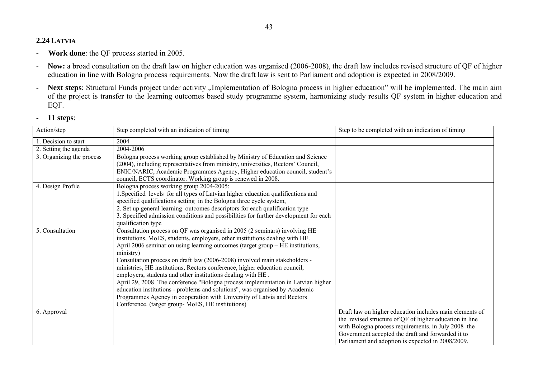### **2.24 LATVIA**

- **Work done**: the QF process started in 2005.
- - **Now:** a broad consultation on the draft law on higher education was organised (2006-2008), the draft law includes revised structure of QF of higher education in line with Bologna process requirements. Now the draft law is sent to Parliament and adoption is expected in 2008/2009.
- -Next steps: Structural Funds project under activity "Implementation of Bologna process in higher education" will be implemented. The main aim of the project is transfer to the learning outcomes based study programme system, harnonizing study results QF system in higher education and EQF.

| Action/step               | Step completed with an indication of timing                                                      | Step to be completed with an indication of timing       |
|---------------------------|--------------------------------------------------------------------------------------------------|---------------------------------------------------------|
| I. Decision to start      | 2004                                                                                             |                                                         |
| 2. Setting the agenda     | 2004-2006                                                                                        |                                                         |
| 3. Organizing the process | Bologna process working group established by Ministry of Education and Science                   |                                                         |
|                           | (2004), including representatives from ministry, universities, Rectors' Council,                 |                                                         |
|                           | ENIC/NARIC, Academic Programmes Agency, Higher education council, student's                      |                                                         |
|                           | council, ECTS coordinator. Working group is renewed in 2008.                                     |                                                         |
| 4. Design Profile         | Bologna process working group 2004-2005:                                                         |                                                         |
|                           | 1. Specified levels for all types of Latvian higher education qualifications and                 |                                                         |
|                           | specified qualifications setting in the Bologna three cycle system,                              |                                                         |
|                           | 2. Set up general learning outcomes descriptors for each qualification type                      |                                                         |
|                           | 3. Specified admission conditions and possibilities for further development for each             |                                                         |
| 5. Consultation           | qualification type<br>Consultation process on QF was organised in 2005 (2 seminars) involving HE |                                                         |
|                           | institutions, MoES, students, employers, other institutions dealing with HE.                     |                                                         |
|                           | April 2006 seminar on using learning outcomes (target group – HE institutions,                   |                                                         |
|                           | ministry)                                                                                        |                                                         |
|                           | Consultation process on draft law (2006-2008) involved main stakeholders -                       |                                                         |
|                           | ministries, HE institutions, Rectors conference, higher education council,                       |                                                         |
|                           | employers, students and other institutions dealing with HE.                                      |                                                         |
|                           | April 29, 2008 The conference "Bologna process implementation in Latvian higher                  |                                                         |
|                           | education institutions - problems and solutions", was organised by Academic                      |                                                         |
|                           | Programmes Agency in cooperation with University of Latvia and Rectors                           |                                                         |
|                           | Conference. (target group- MoES, HE institutions)                                                |                                                         |
| 6. Approval               |                                                                                                  | Draft law on higher education includes main elements of |
|                           |                                                                                                  | the revised structure of QF of higher education in line |
|                           |                                                                                                  | with Bologna process requirements. in July 2008 the     |
|                           |                                                                                                  | Government accepted the draft and forwarded it to       |
|                           |                                                                                                  | Parliament and adoption is expected in 2008/2009.       |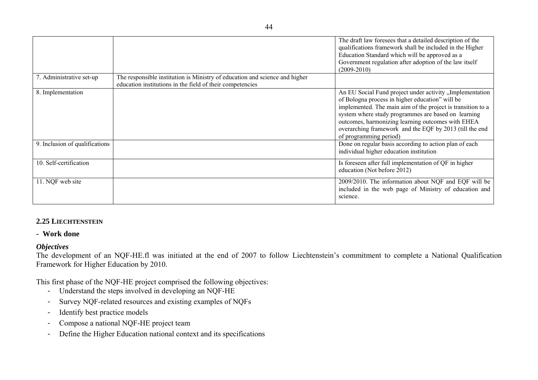|                                |                                                                                                                                          | The draft law foresees that a detailed description of the<br>qualifications framework shall be included in the Higher<br>Education Standard which will be approved as a<br>Government regulation after adoption of the law itself<br>$(2009 - 2010)$                                                                                                                        |
|--------------------------------|------------------------------------------------------------------------------------------------------------------------------------------|-----------------------------------------------------------------------------------------------------------------------------------------------------------------------------------------------------------------------------------------------------------------------------------------------------------------------------------------------------------------------------|
| 7. Administrative set-up       | The responsible institution is Ministry of education and science and higher<br>education institutions in the field of their competencies |                                                                                                                                                                                                                                                                                                                                                                             |
| 8. Implementation              |                                                                                                                                          | An EU Social Fund project under activity, Implementation<br>of Bologna process in higher education" will be<br>implemented. The main aim of the project is transition to a<br>system where study programmes are based on learning<br>outcomes, harmonizing learning outcomes with EHEA<br>overarching framework and the EQF by 2013 (till the end<br>of programming period) |
| 9. Inclusion of qualifications |                                                                                                                                          | Done on regular basis according to action plan of each<br>individual higher education institution                                                                                                                                                                                                                                                                           |
| 10. Self-certification         |                                                                                                                                          | Is foreseen after full implementation of QF in higher<br>education (Not before 2012)                                                                                                                                                                                                                                                                                        |
| 11. NQF web site               |                                                                                                                                          | 2009/2010. The information about NQF and EQF will be<br>included in the web page of Ministry of education and<br>science.                                                                                                                                                                                                                                                   |

### **2.25 LIECHTENSTEIN**

### **- Work done**

### *Objectives*

The development of an NQF-HE.fl was initiated at the end of 2007 to follow Liechtenstein's commitment to complete a National Qualification Framework for Higher Education by 2010.

This first phase of the NQF-HE project comprised the following objectives:

- Understand the steps involved in developing an NQF-HE
- Survey NQF-related resources and existing examples of NQFs
- Identify best practice models
- Compose a national NQF-HE project team
- Define the Higher Education national context and its specifications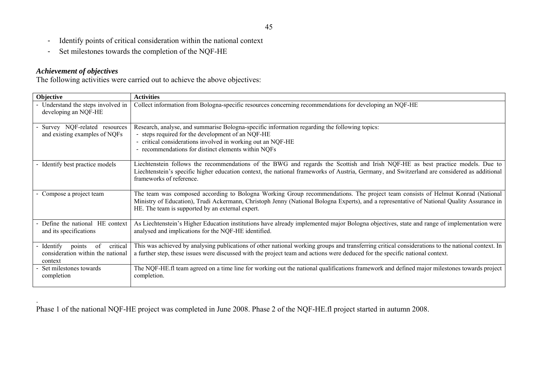- Identify points of critical consideration within the national context
- Set milestones towards the completion of the NQF-HE

# *Achievement of objectives*

.

The following activities were carried out to achieve the above objectives:

| Objective                                                                              | <b>Activities</b>                                                                                                                                                                                                                                                                                                                |
|----------------------------------------------------------------------------------------|----------------------------------------------------------------------------------------------------------------------------------------------------------------------------------------------------------------------------------------------------------------------------------------------------------------------------------|
| - Understand the steps involved in<br>developing an NQF-HE                             | Collect information from Bologna-specific resources concerning recommendations for developing an NQF-HE                                                                                                                                                                                                                          |
| - Survey NQF-related resources<br>and existing examples of NQFs                        | Research, analyse, and summarise Bologna-specific information regarding the following topics:<br>- steps required for the development of an NQF-HE<br>- critical considerations involved in working out an NQF-HE<br>- recommendations for distinct elements within NQFs                                                         |
| - Identify best practice models                                                        | Liechtenstein follows the recommendations of the BWG and regards the Scottish and Irish NQF-HE as best practice models. Due to<br>Liechtenstein's specific higher education context, the national frameworks of Austria, Germany, and Switzerland are considered as additional<br>frameworks of reference.                       |
| - Compose a project team                                                               | The team was composed according to Bologna Working Group recommendations. The project team consists of Helmut Konrad (National<br>Ministry of Education), Trudi Ackermann, Christoph Jenny (National Bologna Experts), and a representative of National Quality Assurance in<br>HE. The team is supported by an external expert. |
| - Define the national HE context<br>and its specifications                             | As Liechtenstein's Higher Education institutions have already implemented major Bologna objectives, state and range of implementation were<br>analysed and implications for the NQF-HE identified.                                                                                                                               |
| - Identify<br>critical<br>points<br>of<br>consideration within the national<br>context | This was achieved by analysing publications of other national working groups and transferring critical considerations to the national context. In<br>a further step, these issues were discussed with the project team and actions were deduced for the specific national context.                                               |
| Set milestones towards<br>completion                                                   | The NQF-HE.fl team agreed on a time line for working out the national qualifications framework and defined major milestones towards project<br>completion.                                                                                                                                                                       |

Phase 1 of the national NQF-HE project was completed in June 2008. Phase 2 of the NQF-HE.fl project started in autumn 2008.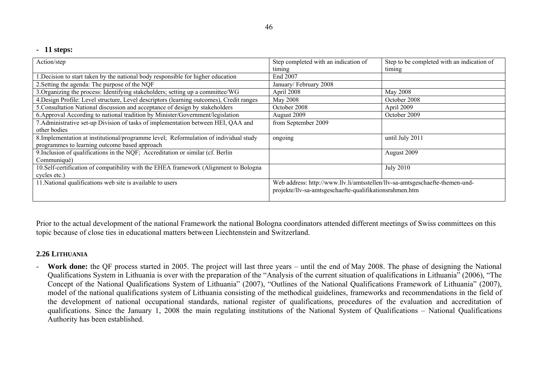### **- 11 steps:**

| Action/step                                                                              | Step completed with an indication of                                         | Step to be completed with an indication of |
|------------------------------------------------------------------------------------------|------------------------------------------------------------------------------|--------------------------------------------|
|                                                                                          | timing                                                                       | timing                                     |
| .Decision to start taken by the national body responsible for higher education           | End 2007                                                                     |                                            |
| 2. Setting the agenda: The purpose of the NQF                                            | January/February 2008                                                        |                                            |
| 3. Organizing the process: Identifying stakeholders; setting up a committee/WG           | April 2008                                                                   | May 2008                                   |
| 4. Design Profile: Level structure, Level descriptors (learning outcomes), Credit ranges | May 2008                                                                     | October 2008                               |
| 5. Consultation National discussion and acceptance of design by stakeholders             | October 2008                                                                 | April 2009                                 |
| 6. Approval According to national tradition by Minister/Government/legislation           | August 2009                                                                  | October 2009                               |
| 7. Administrative set-up Division of tasks of implementation between HEI, QAA and        | from September 2009                                                          |                                            |
| other bodies                                                                             |                                                                              |                                            |
| 8. Implementation at institutional/programme level; Reformulation of individual study    | ongoing                                                                      | until July 2011                            |
| programmes to learning outcome based approach                                            |                                                                              |                                            |
| 9. Inclusion of qualifications in the NQF; Accreditation or similar (cf. Berlin          |                                                                              | August 2009                                |
| Communiqué)                                                                              |                                                                              |                                            |
| 10. Self-certification of compatibility with the EHEA framework (Alignment to Bologna    |                                                                              | <b>July 2010</b>                           |
| cycles etc.)                                                                             |                                                                              |                                            |
| 11. National qualifications web site is available to users                               | Web address: http://www.llv.li/amtsstellen/llv-sa-amtsgeschaefte-themen-und- |                                            |
|                                                                                          | projekte/llv-sa-amtsgeschaefte-qualifikationsrahmen.htm                      |                                            |

Prior to the actual development of the national Framework the national Bologna coordinators attended different meetings of Swiss committees on this topic because of close ties in educational matters between Liechtenstein and Switzerland.

### **2.26 LITHUANIA**

- **Work done:** the QF process started in 2005. The project will last three years – until the end of May 2008. The phase of designing the National Qualifications System in Lithuania is over with the preparation of the "Analysis of the current situation of qualifications in Lithuania" (2006), "The Concept of the National Qualifications System of Lithuania" (2007), "Outlines of the National Qualifications Framework of Lithuania" (2007), model of the national qualifications system of Lithuania consisting of the methodical guidelines, frameworks and recommendations in the field of the development of national occupational standards, national register of qualifications, procedures of the evaluation and accreditation of qualifications. Since the January 1, 2008 the main regulating institutions of the National System of Qualifications – National Qualifications Authority has been established.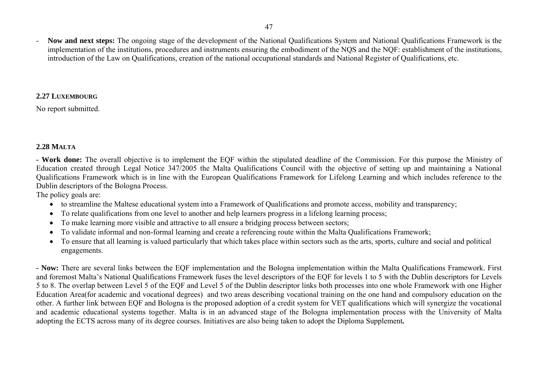47

 **Now and next steps:** The ongoing stage of the development of the National Qualifications System and National Qualifications Framework is the implementation of the institutions, procedures and instruments ensuring the embodiment of the NQS and the NQF: establishment of the institutions, introduction of the Law on Qualifications, creation of the national occupational standards and National Register of Qualifications, etc.

### **2.27 LUXEMBOURG**

No report submitted.

# **2.28 MALTA**

**- Work done:** The overall objective is to implement the EQF within the stipulated deadline of the Commission. For this purpose the Ministry of Education created through Legal Notice 347/2005 the Malta Qualifications Council with the objective of setting up and maintaining a National Qualifications Framework which is in line with the European Qualifications Framework for Lifelong Learning and which includes reference to the Dublin descriptors of the Bologna Process.

The policy goals are:

- to streamline the Maltese educational system into a Framework of Qualifications and promote access, mobility and transparency;
- To relate qualifications from one level to another and help learners progress in a lifelong learning process;
- To make learning more visible and attractive to all ensure a bridging process between sectors;
- To validate informal and non-formal learning and create a referencing route within the Malta Qualifications Framework;
- To ensure that all learning is valued particularly that which takes place within sectors such as the arts, sports, culture and social and political engagements.

**- Now:** There are several links between the EQF implementation and the Bologna implementation within the Malta Qualifications Framework. First and foremost Malta's National Qualifications Framework fuses the level descriptors of the EQF for levels 1 to 5 with the Dublin descriptors for Levels 5 to 8. The overlap between Level 5 of the EQF and Level 5 of the Dublin descriptor links both processes into one whole Framework with one Higher Education Area(for academic and vocational degrees) and two areas describing vocational training on the one hand and compulsory education on the other. A further link between EQF and Bologna is the proposed adoption of a credit system for VET qualifications which will synergize the vocational and academic educational systems together. Malta is in an advanced stage of the Bologna implementation process with the University of Malta adopting the ECTS across many of its degree courses. Initiatives are also being taken to adopt the Diploma Supplement*.*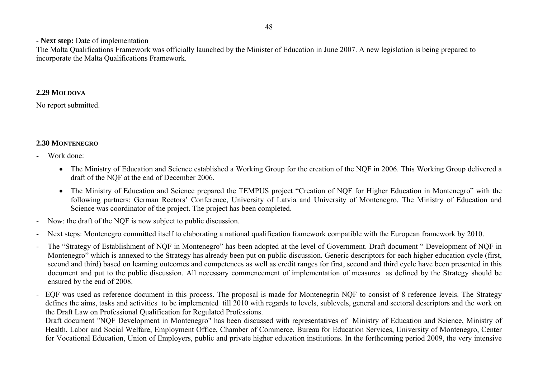### **- Next step:** Date of implementation

The Malta Qualifications Framework was officially launched by the Minister of Education in June 2007. A new legislation is being prepared to incorporate the Malta Qualifications Framework.

### **2.29 MOLDOVA**

No report submitted.

# **2.30 MONTENEGRO**

- Work done:
	- The Ministry of Education and Science established a Working Group for the creation of the NQF in 2006. This Working Group delivered a draft of the NQF at the end of December 2006.
	- The Ministry of Education and Science prepared the TEMPUS project "Creation of NQF for Higher Education in Montenegro" with the following partners: German Rectors' Conference, University of Latvia and University of Montenegro. The Ministry of Education and Science was coordinator of the project. The project has been completed.
- -Now: the draft of the NQF is now subject to public discussion.
- -Next steps: Montenegro committed itself to elaborating a national qualification framework compatible with the European framework by 2010.
- - The "Strategy of Establishment of NQF in Montenegro" has been adopted at the level of Government. Draft document " Development of NQF in Montenegro" which is annexed to the Strategy has already been put on public discussion. Generic descriptors for each higher education cycle (first, second and third) based on learning outcomes and competences as well as credit ranges for first, second and third cycle have been presented in this document and put to the public discussion. All necessary commencement of implementation of measures as defined by the Strategy should be ensured by the end of 2008.
- EQF was used as reference document in this process. The proposal is made for Montenegrin NQF to consist of 8 reference levels. The Strategy defines the aims, tasks and activities to be implemented till 2010 with regards to levels, sublevels, general and sectoral descriptors and the work on the Draft Law on Professional Qualification for Regulated Professions.

Draft document "NQF Development in Montenegro" has been discussed with representatives of Ministry of Education and Science, Ministry of Health, Labor and Social Welfare, Employment Office, Chamber of Commerce, Bureau for Education Services, University of Montenegro, Center for Vocational Education, Union of Employers, public and private higher education institutions. In the forthcoming period 2009, the very intensive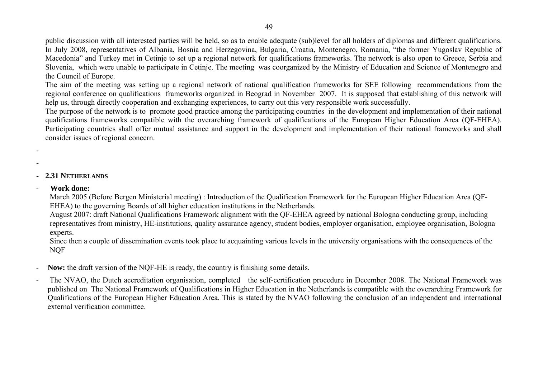public discussion with all interested parties will be held, so as to enable adequate (sub)level for all holders of diplomas and different qualifications. In July 2008, representatives of Albania, Bosnia and Herzegovina, Bulgaria, Croatia, Montenegro, Romania, "the former Yugoslav Republic of Macedonia" and Turkey met in Cetinje to set up a regional network for qualifications frameworks. The network is also open to Greece, Serbia and Slovenia, which were unable to participate in Cetinje. The meeting was coorganized by the Ministry of Education and Science of Montenegro and the Council of Europe.

The aim of the meeting was setting up a regional network of national qualification frameworks for SEE following recommendations from the regional conference on qualifications frameworks organized in Beograd in November 2007. It is supposed that establishing of this network will help us, through directly cooperation and exchanging experiences, to carry out this very responsible work successfully.

The purpose of the network is to promote good practice among the participating countries in the development and implementation of their national qualifications frameworks compatible with the overarching framework of qualifications of the European Higher Education Area (QF-EHEA). Participating countries shall offer mutual assistance and support in the development and implementation of their national frameworks and shall consider issues of regional concern.

- 
- -

# - **2.31 NETHERLANDS**

**- Work done:** 

March 2005 (Before Bergen Ministerial meeting) : Introduction of the Qualification Framework for the European Higher Education Area (QF-EHEA) to the governing Boards of all higher education institutions in the Netherlands.

August 2007: draft National Qualifications Framework alignment with the QF-EHEA agreed by national Bologna conducting group, including representatives from ministry, HE-institutions, quality assurance agency, student bodies, employer organisation, employee organisation, Bologna experts.

Since then a couple of dissemination events took place to acquainting various levels in the university organisations with the consequences of the NQF

- **Now:** the draft version of the NQF-HE is ready, the country is finishing some details.
- The NVAO, the Dutch accreditation organisation, completed the self-certification procedure in December 2008. The National Framework was published on The National Framework of Qualifications in Higher Education in the Netherlands is compatible with the overarching Framework for Qualifications of the European Higher Education Area. This is stated by the NVAO following the conclusion of an independent and international external verification committee.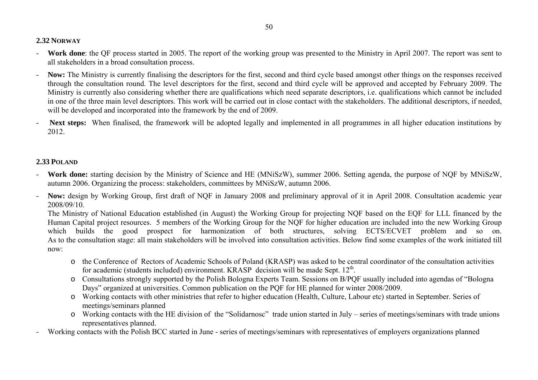### **2.32 NORWAY**

- - **Work done**: the QF process started in 2005. The report of the working group was presented to the Ministry in April 2007. The report was sent to all stakeholders in a broad consultation process.
- **Now:** The Ministry is currently finalising the descriptors for the first, second and third cycle based amongst other things on the responses received through the consultation round. The level descriptors for the first, second and third cycle will be approved and accepted by February 2009. The Ministry is currently also considering whether there are qualifications which need separate descriptors, i.e. qualifications which cannot be included in one of the three main level descriptors. This work will be carried out in close contact with the stakeholders. The additional descriptors, if needed, will be developed and incorporated into the framework by the end of 2009.
- **Next steps:** When finalised, the framework will be adopted legally and implemented in all programmes in all higher education institutions by 2012.

### **2.33 POLAND**

- - **Work done:** starting decision by the Ministry of Science and HE (MNiSzW), summer 2006. Setting agenda, the purpose of NQF by MNiSzW, autumn 2006. Organizing the process: stakeholders, committees by MNiSzW, autumn 2006.
- - **Now:** design by Working Group, first draft of NQF in January 2008 and preliminary approval of it in April 2008. Consultation academic year 2008/09/10.

The Ministry of National Education established (in August) the Working Group for projecting NQF based on the EQF for LLL financed by the Human Capital project resources. 5 members of the Working Group for the NQF for higher education are included into the new Working Group which builds the good prospect for harmonization of both structures, solving ECTS/ECVET problem and so on. As to the consultation stage: all main stakeholders will be involved into consultation activities. Below find some examples of the work initiated till now:

- o the Conference of Rectors of Academic Schools of Poland (KRASP) was asked to be central coordinator of the consultation activities for academic (students included) environment. KRASP decision will be made Sept. 12<sup>th</sup>.
- o Consultations strongly supported by the Polish Bologna Experts Team. Sessions on B/PQF usually included into agendas of "Bologna Days" organized at universities. Common publication on the PQF for HE planned for winter 2008/2009.
- o Working contacts with other ministries that refer to higher education (Health, Culture, Labour etc) started in September. Series of meetings/seminars planned
- o Working contacts with the HE division of the "Solidarnosc" trade union started in July series of meetings/seminars with trade unions representatives planned.
- Working contacts with the Polish BCC started in June series of meetings/seminars with representatives of employers organizations planned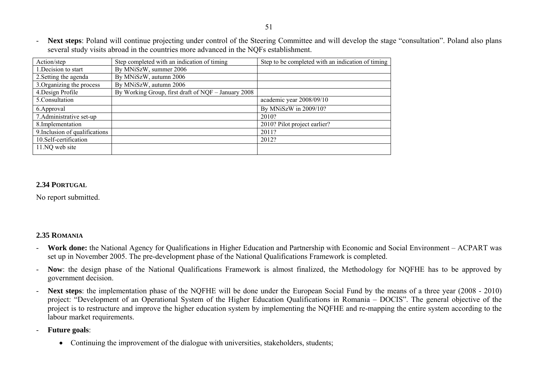**Next steps**: Poland will continue projecting under control of the Steering Committee and will develop the stage "consultation". Poland also plans several study visits abroad in the countries more advanced in the NQFs establishment.

| Action/step                    | Step completed with an indication of timing         | Step to be completed with an indication of timing |
|--------------------------------|-----------------------------------------------------|---------------------------------------------------|
| 1. Decision to start           | By MNiSzW, summer 2006                              |                                                   |
| 2. Setting the agenda          | By MNiSzW, autumn 2006                              |                                                   |
| 3. Organizing the process      | By MNiSzW, autumn 2006                              |                                                   |
| 4. Design Profile              | By Working Group, first draft of NQF - January 2008 |                                                   |
| 5. Consultation                |                                                     | academic year 2008/09/10                          |
| 6. Approval                    |                                                     | By MNiSzW in 2009/10?                             |
| 7. Administrative set-up       |                                                     | 2010?                                             |
| 8. Implementation              |                                                     | 2010? Pilot project earlier?                      |
| 9. Inclusion of qualifications |                                                     | 2011?                                             |
| 10. Self-certification         |                                                     | 2012?                                             |
| 11.NQ web site                 |                                                     |                                                   |

## **2.34 PORTUGAL**

No report submitted.

### **2.35 ROMANIA**

- **Work done:** the National Agency for Qualifications in Higher Education and Partnership with Economic and Social Environment ACPART was set up in November 2005. The pre-development phase of the National Qualifications Framework is completed.
- - **Now**: the design phase of the National Qualifications Framework is almost finalized, the Methodology for NQFHE has to be approved by government decision.
- - **Next steps**: the implementation phase of the NQFHE will be done under the European Social Fund by the means of a three year (2008 - 2010) project: "Development of an Operational System of the Higher Education Qualifications in Romania – DOCIS". The general objective of the project is to restructure and improve the higher education system by implementing the NQFHE and re-mapping the entire system according to the labour market requirements.
- - **Future goals**:
	- Continuing the improvement of the dialogue with universities, stakeholders, students;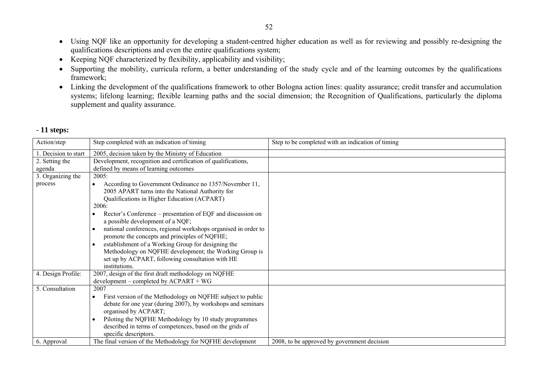- Using NQF like an opportunity for developing a student-centred higher education as well as for reviewing and possibly re-designing the qualifications descriptions and even the entire qualifications system;
- Keeping NQF characterized by flexibility, applicability and visibility;
- Supporting the mobility, curricula reform, a better understanding of the study cycle and of the learning outcomes by the qualifications framework;
- Linking the development of the qualifications framework to other Bologna action lines: quality assurance; credit transfer and accumulation systems; lifelong learning; flexible learning paths and the social dimension; the Recognition of Qualifications, particularly the diploma supplement and quality assurance.

| Action/step         | Step completed with an indication of timing                                                                                                                                                                                                                                                                                                                                                                                                                                                                           | Step to be completed with an indication of timing |
|---------------------|-----------------------------------------------------------------------------------------------------------------------------------------------------------------------------------------------------------------------------------------------------------------------------------------------------------------------------------------------------------------------------------------------------------------------------------------------------------------------------------------------------------------------|---------------------------------------------------|
| . Decision to start | 2005, decision taken by the Ministry of Education                                                                                                                                                                                                                                                                                                                                                                                                                                                                     |                                                   |
| 2. Setting the      | Development, recognition and certification of qualifications,                                                                                                                                                                                                                                                                                                                                                                                                                                                         |                                                   |
| agenda              | defined by means of learning outcomes                                                                                                                                                                                                                                                                                                                                                                                                                                                                                 |                                                   |
| 3. Organizing the   | 2005:                                                                                                                                                                                                                                                                                                                                                                                                                                                                                                                 |                                                   |
| process             | According to Government Ordinance no 1357/November 11,<br>2005 APART turns into the National Authority for<br>Qualifications in Higher Education (ACPART)<br>2006:<br>Rector's Conference – presentation of EQF and discussion on<br>a possible development of a NQF;<br>national conferences, regional workshops organised in order to<br>promote the concepts and principles of NQFHE;<br>establishment of a Working Group for designing the<br>$\bullet$<br>Methodology on NQFHE development; the Working Group is |                                                   |
|                     | set up by ACPART, following consultation with HE<br>institutions.                                                                                                                                                                                                                                                                                                                                                                                                                                                     |                                                   |
| 4. Design Profile:  | 2007, design of the first draft methodology on NQFHE<br>$development$ – completed by $ACPART$ + WG                                                                                                                                                                                                                                                                                                                                                                                                                    |                                                   |
| 5. Consultation     | 2007<br>First version of the Methodology on NQFHE subject to public<br>$\bullet$<br>debate for one year (during 2007), by workshops and seminars<br>organised by ACPART;<br>Piloting the NQFHE Methodology by 10 study programmes<br>described in terms of competences, based on the grids of<br>specific descriptors.                                                                                                                                                                                                |                                                   |
| 6. Approval         | The final version of the Methodology for NQFHE development                                                                                                                                                                                                                                                                                                                                                                                                                                                            | 2008, to be approved by government decision       |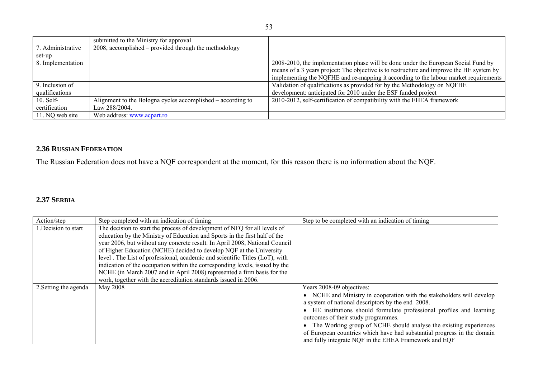|                   | submitted to the Ministry for approval                      |                                                                                          |
|-------------------|-------------------------------------------------------------|------------------------------------------------------------------------------------------|
| 7. Administrative | 2008, accomplished – provided through the methodology       |                                                                                          |
| set-up            |                                                             |                                                                                          |
| 8. Implementation |                                                             | 2008-2010, the implementation phase will be done under the European Social Fund by       |
|                   |                                                             | means of a 3 years project: The objective is to restructure and improve the HE system by |
|                   |                                                             | implementing the NQFHE and re-mapping it according to the labour market requirements     |
| 9. Inclusion of   |                                                             | Validation of qualifications as provided for by the Methodology on NQFHE                 |
| qualifications    |                                                             | development: anticipated for 2010 under the ESF funded project                           |
| $10.$ Self-       | Alignment to the Bologna cycles accomplished – according to | 2010-2012, self-certification of compatibility with the EHEA framework                   |
| certification     | Law 288/2004.                                               |                                                                                          |
| 11. NQ web site   | Web address: www.acpart.ro                                  |                                                                                          |

### **2.36 RUSSIAN FEDERATION**

The Russian Federation does not have a NQF correspondent at the moment, for this reason there is no information about the NQF.

### **2.37 SERBIA**

| Action/step           | Step completed with an indication of timing                                  | Step to be completed with an indication of timing                       |
|-----------------------|------------------------------------------------------------------------------|-------------------------------------------------------------------------|
| Decision to start     | The decision to start the process of development of NFQ for all levels of    |                                                                         |
|                       | education by the Ministry of Education and Sports in the first half of the   |                                                                         |
|                       | year 2006, but without any concrete result. In April 2008, National Council  |                                                                         |
|                       | of Higher Education (NCHE) decided to develop NQF at the University          |                                                                         |
|                       | level . The List of professional, academic and scientific Titles (LoT), with |                                                                         |
|                       | indication of the occupation within the corresponding levels, issued by the  |                                                                         |
|                       | NCHE (in March 2007 and in April 2008) represented a firm basis for the      |                                                                         |
|                       | work, together with the accreditation standards issued in 2006.              |                                                                         |
| 2. Setting the agenda | May 2008                                                                     | Years 2008-09 objectives:                                               |
|                       |                                                                              | • NCHE and Ministry in cooperation with the stakeholders will develop   |
|                       |                                                                              | a system of national descriptors by the end 2008.                       |
|                       |                                                                              | HE institutions should formulate professional profiles and learning     |
|                       |                                                                              | outcomes of their study programmes.                                     |
|                       |                                                                              | The Working group of NCHE should analyse the existing experiences       |
|                       |                                                                              | of European countries which have had substantial progress in the domain |
|                       |                                                                              | and fully integrate NQF in the EHEA Framework and EQF                   |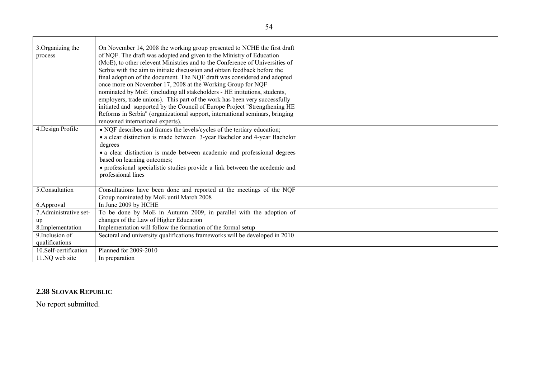| 3. Organizing the<br>process      | On November 14, 2008 the working group presented to NCHE the first draft<br>of NQF. The draft was adopted and given to the Ministry of Education<br>(MoE), to other relevent Ministries and to the Conference of Universities of<br>Serbia with the aim to initiate discussion and obtain feedback before the<br>final adoption of the document. The NQF draft was considered and adopted<br>once more on November 17, 2008 at the Working Group for NQF<br>nominated by MoE (including all stakeholders - HE intitutions, students,<br>employers, trade unions). This part of the work has been very successfully<br>initiated and supported by the Council of Europe Project "Strengthening HE<br>Reforms in Serbia" (organizational support, international seminars, bringing<br>renowned international experts). |  |
|-----------------------------------|----------------------------------------------------------------------------------------------------------------------------------------------------------------------------------------------------------------------------------------------------------------------------------------------------------------------------------------------------------------------------------------------------------------------------------------------------------------------------------------------------------------------------------------------------------------------------------------------------------------------------------------------------------------------------------------------------------------------------------------------------------------------------------------------------------------------|--|
| 4. Design Profile                 | • NQF describes and frames the levels/cycles of the tertiary education;<br>• a clear distinction is made between 3-year Bachelor and 4-year Bachelor<br>degrees<br>• a clear distinction is made between academic and professional degrees<br>based on learning outcomes;<br>• professional specialistic studies provide a link between the acedemic and<br>professional lines                                                                                                                                                                                                                                                                                                                                                                                                                                       |  |
| 5.Consultation                    | Consultations have been done and reported at the meetings of the NQF<br>Group nominated by MoE until March 2008                                                                                                                                                                                                                                                                                                                                                                                                                                                                                                                                                                                                                                                                                                      |  |
| 6.Approval                        | In June 2009 by HCHE                                                                                                                                                                                                                                                                                                                                                                                                                                                                                                                                                                                                                                                                                                                                                                                                 |  |
| 7. Administrative set-<br>up      | To be done by MoE in Autumn 2009, in parallel with the adoption of<br>changes of the Law of Higher Education                                                                                                                                                                                                                                                                                                                                                                                                                                                                                                                                                                                                                                                                                                         |  |
| 8.Implementation                  | Implementation will follow the formation of the formal setup                                                                                                                                                                                                                                                                                                                                                                                                                                                                                                                                                                                                                                                                                                                                                         |  |
| 9. Inclusion of<br>qualifications | Sectoral and university qualifications frameworks will be developed in 2010                                                                                                                                                                                                                                                                                                                                                                                                                                                                                                                                                                                                                                                                                                                                          |  |
| 10.Self-certification             | Planned for 2009-2010                                                                                                                                                                                                                                                                                                                                                                                                                                                                                                                                                                                                                                                                                                                                                                                                |  |
| 11.NQ web site                    | In preparation                                                                                                                                                                                                                                                                                                                                                                                                                                                                                                                                                                                                                                                                                                                                                                                                       |  |

### **2.38 SLOVAK REPUBLIC**

No report submitted.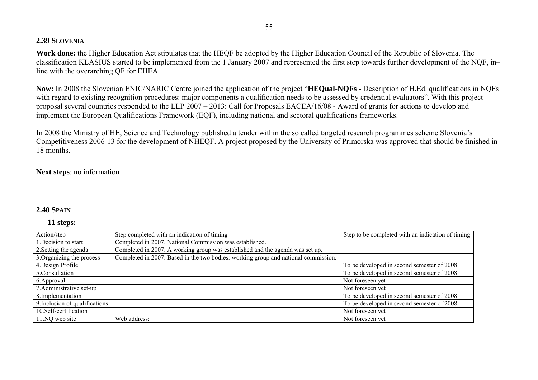### **2.39 SLOVENIA**

**Work done:** the Higher Education Act stipulates that the HEQF be adopted by the Higher Education Council of the Republic of Slovenia. The classification KLASIUS started to be implemented from the 1 January 2007 and represented the first step towards further development of the NQF, in– line with the overarching QF for EHEA.

**Now:** In 2008 the Slovenian ENIC/NARIC Centre joined the application of the project "**HEQual-NQFs** - Description of H.Ed. qualifications in NQFs with regard to existing recognition procedures: major components a qualification needs to be assessed by credential evaluators". With this project proposal several countries responded to the LLP 2007 – 2013: Call for Proposals EACEA/16/08 - Award of grants for actions to develop and implement the European Qualifications Framework (EQF), including national and sectoral qualifications frameworks.

In 2008 the Ministry of HE, Science and Technology published a tender within the so called targeted research programmes scheme Slovenia's Competitiveness 2006-13 for the development of NHEQF. A project proposed by the University of Primorska was approved that should be finished in 18 months.

### **Next steps**: no information

### **2.40 SPAIN**

| Action/step                    | Step completed with an indication of timing                                        | Step to be completed with an indication of timing |
|--------------------------------|------------------------------------------------------------------------------------|---------------------------------------------------|
| 1. Decision to start           | Completed in 2007. National Commission was established.                            |                                                   |
| 2. Setting the agenda          | Completed in 2007. A working group was established and the agenda was set up.      |                                                   |
| 3. Organizing the process      | Completed in 2007. Based in the two bodies: working group and national commission. |                                                   |
| 4. Design Profile              |                                                                                    | To be developed in second semester of 2008        |
| 5.Consultation                 |                                                                                    | To be developed in second semester of 2008        |
| 6. Approval                    |                                                                                    | Not foreseen yet                                  |
| 7. Administrative set-up       |                                                                                    | Not foreseen yet                                  |
| 8. Implementation              |                                                                                    | To be developed in second semester of 2008        |
| 9. Inclusion of qualifications |                                                                                    | To be developed in second semester of 2008        |
| 10.Self-certification          |                                                                                    | Not foreseen yet                                  |
| 11.NQ web site                 | Web address:                                                                       | Not foreseen yet                                  |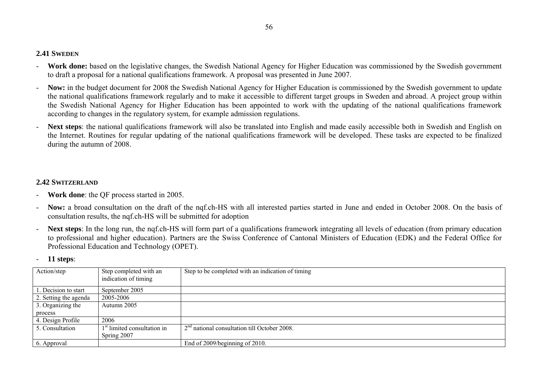### **2.41 SWEDEN**

- **Work done:** based on the legislative changes, the Swedish National Agency for Higher Education was commissioned by the Swedish government to draft a proposal for a national qualifications framework. A proposal was presented in June 2007.
- **Now:** in the budget document for 2008 the Swedish National Agency for Higher Education is commissioned by the Swedish government to update the national qualifications framework regularly and to make it accessible to different target groups in Sweden and abroad. A project group within the Swedish National Agency for Higher Education has been appointed to work with the updating of the national qualifications framework according to changes in the regulatory system, for example admission regulations.
- **Next steps**: the national qualifications framework will also be translated into English and made easily accessible both in Swedish and English on the Internet. Routines for regular updating of the national qualifications framework will be developed. These tasks are expected to be finalized during the autumn of 2008.

### **2.42 SWITZERLAND**

- **Work done**: the QF process started in 2005.
- **Now:** a broad consultation on the draft of the nqf.ch-HS with all interested parties started in June and ended in October 2008. On the basis of consultation results, the nqf.ch-HS will be submitted for adoption
- **Next steps**: In the long run, the nqf.ch-HS will form part of a qualifications framework integrating all levels of education (from primary education to professional and higher education). Partners are the Swiss Conference of Cantonal Ministers of Education (EDK) and the Federal Office for Professional Education and Technology (OPET).

|  | <b>11 steps:</b> |
|--|------------------|
|--|------------------|

| Action/step           | Step completed with an<br>indication of timing | Step to be completed with an indication of timing |
|-----------------------|------------------------------------------------|---------------------------------------------------|
|                       |                                                |                                                   |
| . Decision to start   | September 2005                                 |                                                   |
| 2. Setting the agenda | 2005-2006                                      |                                                   |
| 3. Organizing the     | Autumn 2005                                    |                                                   |
| process               |                                                |                                                   |
| 4. Design Profile     | 2006                                           |                                                   |
| 5. Consultation       | 1 <sup>st</sup> limited consultation in        | $2nd$ national consultation till October 2008.    |
|                       | Spring 2007                                    |                                                   |
| 6. Approval           |                                                | End of 2009/beginning of 2010.                    |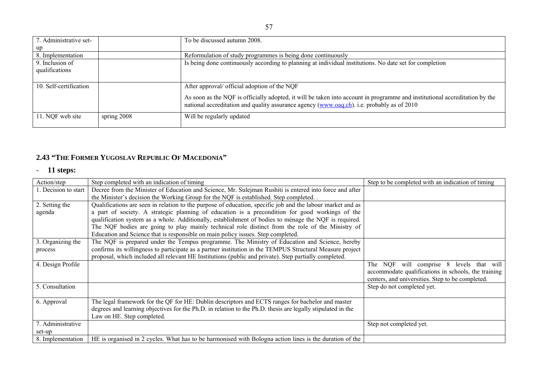| 7. Administrative set- |               | To be discussed autumn 2008.                                                                                                                                                                                              |  |
|------------------------|---------------|---------------------------------------------------------------------------------------------------------------------------------------------------------------------------------------------------------------------------|--|
| up                     |               |                                                                                                                                                                                                                           |  |
| 8. Implementation      |               | Reformulation of study programmes is being done continuously                                                                                                                                                              |  |
| 9. Inclusion of        |               | Is being done continuously according to planning at individual institutions. No date set for completion                                                                                                                   |  |
| qualifications         |               |                                                                                                                                                                                                                           |  |
|                        |               |                                                                                                                                                                                                                           |  |
| 10. Self-certification |               | After approval/ official adoption of the NQF                                                                                                                                                                              |  |
|                        |               | As soon as the NQF is officially adopted, it will be taken into account in programme and institutional accreditation by the<br>national accreditation and quality assurance agency (www.oaq.ch). i.e. probably as of 2010 |  |
| 11. NQF web site       | spring $2008$ | Will be regularly updated                                                                                                                                                                                                 |  |

### **2.43 "THE FORMER YUGOSLAV REPUBLIC OF MACEDONIA"**

| Action/step          | Step completed with an indication of timing                                                                 | Step to be completed with an indication of timing   |
|----------------------|-------------------------------------------------------------------------------------------------------------|-----------------------------------------------------|
| 1. Decision to start | Decree from the Minister of Education and Science, Mr. Sulejman Rushiti is entered into force and after     |                                                     |
|                      | the Minister's decision the Working Group for the NQF is established. Step completed.                       |                                                     |
| 2. Setting the       | Qualifications are seen in relation to the purpose of education, specific job and the labour market and as  |                                                     |
| agenda               | a part of society. A strategic planning of education is a precondition for good workings of the             |                                                     |
|                      | qualification system as a whole. Additionally, establishment of bodies to ménage the NQF is required.       |                                                     |
|                      | The NQF bodies are going to play mainly technical role distinct from the role of the Ministry of            |                                                     |
|                      | Education and Science that is responsible on main policy issues. Step completed.                            |                                                     |
| 3. Organizing the    | The NQF is prepared under the Tempus programme. The Ministry of Education and Science, hereby               |                                                     |
| process              | confirms its willingness to participate as a partner institution in the TEMPUS Structural Measure project   |                                                     |
|                      | proposal, which included all relevant HE Institutions (public and private). Step partially completed.       |                                                     |
| 4. Design Profile    |                                                                                                             | The NQF will comprise 8 levels that will            |
|                      |                                                                                                             | accommodate qualifications in schools, the training |
|                      |                                                                                                             | centers, and universities. Step to be completed.    |
| 5. Consultation      |                                                                                                             | Step do not completed yet.                          |
|                      |                                                                                                             |                                                     |
| 6. Approval          | The legal framework for the QF for HE: Dublin descriptors and ECTS ranges for bachelor and master           |                                                     |
|                      | degrees and learning objectives for the Ph.D. in relation to the Ph.D. thesis are legally stipulated in the |                                                     |
|                      | Law on HE. Step completed.                                                                                  |                                                     |
| 7. Administrative    |                                                                                                             | Step not completed yet.                             |
| set-up               |                                                                                                             |                                                     |
| 8. Implementation    | HE is organised in 2 cycles. What has to be harmonised with Bologna action lines is the duration of the     |                                                     |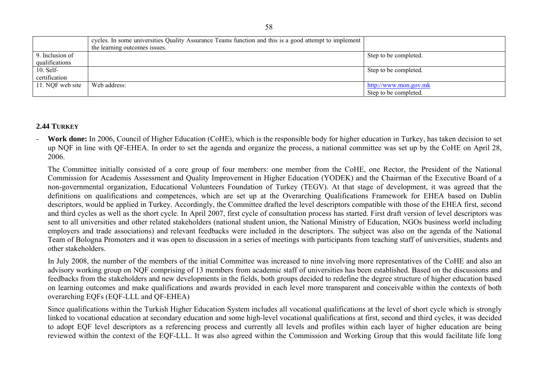|                  | cycles. In some universities Quality Assurance Teams function and this is a good attempt to implement<br>the learning outcomes issues. |                       |
|------------------|----------------------------------------------------------------------------------------------------------------------------------------|-----------------------|
| 9. Inclusion of  |                                                                                                                                        | Step to be completed. |
| qualifications   |                                                                                                                                        |                       |
| $10.$ Self-      |                                                                                                                                        | Step to be completed. |
| certification    |                                                                                                                                        |                       |
| 11. NQF web site | Web address:                                                                                                                           | http://www.mon.gov.mk |
|                  |                                                                                                                                        | Step to be completed. |

### **2.44 TURKEY**

 **Work done:** In 2006, Council of Higher Education (CoHE), which is the responsible body for higher education in Turkey, has taken decision to set up NQF in line with QF-EHEA. In order to set the agenda and organize the process, a national committee was set up by the CoHE on April 28, 2006.

 The Committee initially consisted of a core group of four members: one member from the CoHE, one Rector, the President of the National Commission for Academis Assessment and Quality Improvement in Higher Education (YODEK) and the Chairman of the Executive Board of a non-governmental organization, Educational Volunteers Foundation of Turkey (TEGV). At that stage of development, it was agreed that the definitions on qualifications and competences, which are set up at the Overarching Qualifications Framework for EHEA based on Dublin descriptors, would be applied in Turkey. Accordingly, the Committee drafted the level descriptors compatible with those of the EHEA first, second and third cycles as well as the short cycle. In April 2007, first cycle of consultation process has started. First draft version of level descriptors was sent to all universities and other related stakeholders (national student union, the National Ministry of Education, NGOs business world including employers and trade associations) and relevant feedbacks were included in the descriptors. The subject was also on the agenda of the National Team of Bologna Promoters and it was open to discussion in a series of meetings with participants from teaching staff of universities, students and other stakeholders.

 In July 2008, the number of the members of the initial Committee was increased to nine involving more representatives of the CoHE and also an advisory working group on NQF comprising of 13 members from academic staff of universities has been established. Based on the discussions and feedbacks from the stakeholders and new developments in the fields, both groups decided to redefine the degree structure of higher education based on learning outcomes and make qualifications and awards provided in each level more transparent and conceivable within the contexts of both overarching EQFs (EQF-LLL and QF-EHEA)

 Since qualifications within the Turkish Higher Education System includes all vocational qualifications at the level of short cycle which is strongly linked to vocational education at secondary education and some high-level vocational qualifications at first, second and third cycles, it was decided to adopt EQF level descriptors as a referencing process and currently all levels and profiles within each layer of higher education are being reviewed within the context of the EQF-LLL. It was also agreed within the Commission and Working Group that this would facilitate life long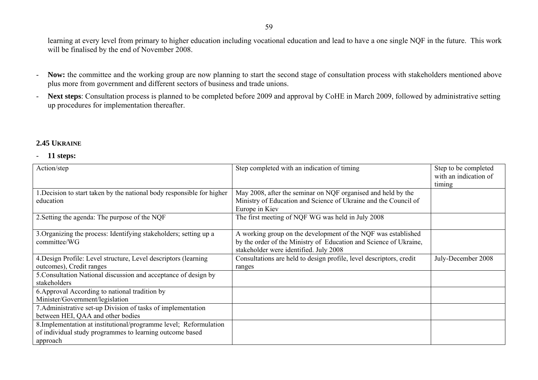learning at every level from primary to higher education including vocational education and lead to have a one single NQF in the future. This work will be finalised by the end of November 2008.

- -Now: the committee and the working group are now planning to start the second stage of consultation process with stakeholders mentioned above plus more from government and different sectors of business and trade unions.
- - **Next steps**: Consultation process is planned to be completed before 2009 and approval by CoHE in March 2009, followed by administrative setting up procedures for implementation thereafter.

### **2.45 UKRAINE**

| Action/step                                                                         | Step completed with an indication of timing                                                                                                                                  | Step to be completed<br>with an indication of<br>timing |
|-------------------------------------------------------------------------------------|------------------------------------------------------------------------------------------------------------------------------------------------------------------------------|---------------------------------------------------------|
| 1. Decision to start taken by the national body responsible for higher<br>education | May 2008, after the seminar on NQF organised and held by the<br>Ministry of Education and Science of Ukraine and the Council of                                              |                                                         |
|                                                                                     | Europe in Kiev                                                                                                                                                               |                                                         |
| 2. Setting the agenda: The purpose of the NQF                                       | The first meeting of NQF WG was held in July 2008                                                                                                                            |                                                         |
| 3. Organizing the process: Identifying stakeholders; setting up a<br>committee/WG   | A working group on the development of the NQF was established<br>by the order of the Ministry of Education and Science of Ukraine,<br>stakeholder were identified. July 2008 |                                                         |
| 4. Design Profile: Level structure, Level descriptors (learning                     | Consultations are held to design profile, level descriptors, credit                                                                                                          | July-December 2008                                      |
| outcomes), Credit ranges                                                            | ranges                                                                                                                                                                       |                                                         |
| 5. Consultation National discussion and acceptance of design by<br>stakeholders     |                                                                                                                                                                              |                                                         |
| 6. Approval According to national tradition by                                      |                                                                                                                                                                              |                                                         |
| Minister/Government/legislation                                                     |                                                                                                                                                                              |                                                         |
| 7. Administrative set-up Division of tasks of implementation                        |                                                                                                                                                                              |                                                         |
| between HEI, QAA and other bodies                                                   |                                                                                                                                                                              |                                                         |
| 8. Implementation at institutional/programme level; Reformulation                   |                                                                                                                                                                              |                                                         |
| of individual study programmes to learning outcome based                            |                                                                                                                                                                              |                                                         |
| approach                                                                            |                                                                                                                                                                              |                                                         |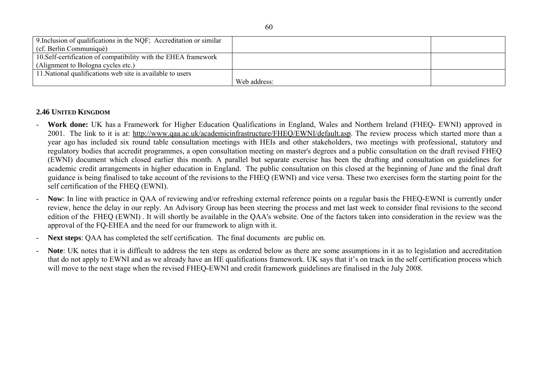| 9. Inclusion of qualifications in the NQF; Accreditation or similar |              |  |
|---------------------------------------------------------------------|--------------|--|
| (cf. Berlin Communiqué)                                             |              |  |
| 10. Self-certification of compatibility with the EHEA framework     |              |  |
| (Alignment to Bologna cycles etc.)                                  |              |  |
| 11. National qualifications web site is available to users          |              |  |
|                                                                     | Web address: |  |

### **2.46 UNITED KINGDOM**

- **Work done:** UK has a Framework for Higher Education Qualifications in England, Wales and Northern Ireland (FHEQ- EWNI) approved in 2001. The link to it is at: http://www.qaa.ac.uk/academicinfrastructure/FHEQ/EWNI/default.asp. The review process which started more than a year ago has included six round table consultation meetings with HEIs and other stakeholders, two meetings with professional, statutory and regulatory bodies that accredit programmes, a open consultation meeting on master's degrees and a public consultation on the draft revised FHEQ (EWNI) document which closed earlier this month. A parallel but separate exercise has been the drafting and consultation on guidelines for academic credit arrangements in higher education in England. The public consultation on this closed at the beginning of June and the final draft guidance is being finalised to take account of the revisions to the FHEQ (EWNI) and vice versa. These two exercises form the starting point for the self certification of the FHEQ (EWNI).
- **Now**: In line with practice in QAA of reviewing and/or refreshing external reference points on a regular basis the FHEQ-EWNI is currently under review, hence the delay in our reply. An Advisory Group has been steering the process and met last week to consider final revisions to the second edition of the FHEQ (EWNI) . It will shortly be available in the QAA's website. One of the factors taken into consideration in the review was the approval of the FQ-EHEA and the need for our framework to align with it.
- **Next steps**: QAA has completed the self certification. The final documents are public on.
- **Note**: UK notes that it is difficult to address the ten steps as ordered below as there are some assumptions in it as to legislation and accreditation that do not apply to EWNI and as we already have an HE qualifications framework. UK says that it's on track in the self certification process which will move to the next stage when the revised FHEQ-EWNI and credit framework guidelines are finalised in the July 2008.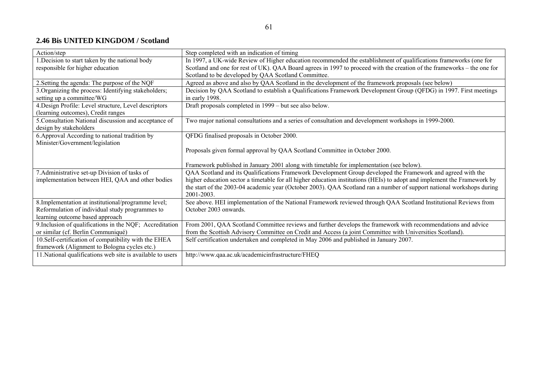### **2.46 Bis UNITED KINGDOM / Scotland**

| Action/step                                                | Step completed with an indication of timing                                                                              |
|------------------------------------------------------------|--------------------------------------------------------------------------------------------------------------------------|
| 1. Decision to start taken by the national body            | In 1997, a UK-wide Review of Higher education recommended the establishment of qualifications frameworks (one for        |
| responsible for higher education                           | Scotland and one for rest of UK). QAA Board agrees in 1997 to proceed with the creation of the frameworks – the one for  |
|                                                            | Scotland to be developed by QAA Scotland Committee.                                                                      |
| 2. Setting the agenda: The purpose of the NQF              | Agreed as above and also by QAA Scotland in the development of the framework proposals (see below)                       |
| 3. Organizing the process: Identifying stakeholders;       | Decision by QAA Scotland to establish a Qualifications Framework Development Group (QFDG) in 1997. First meetings        |
| setting up a committee/WG                                  | in early 1998.                                                                                                           |
| 4. Design Profile: Level structure, Level descriptors      | Draft proposals completed in 1999 – but see also below.                                                                  |
| (learning outcomes), Credit ranges                         |                                                                                                                          |
| 5. Consultation National discussion and acceptance of      | Two major national consultations and a series of consultation and development workshops in 1999-2000.                    |
| design by stakeholders                                     |                                                                                                                          |
| 6. Approval According to national tradition by             | QFDG finalised proposals in October 2000.                                                                                |
| Minister/Government/legislation                            |                                                                                                                          |
|                                                            | Proposals given formal approval by QAA Scotland Committee in October 2000.                                               |
|                                                            |                                                                                                                          |
|                                                            | Framework published in January 2001 along with timetable for implementation (see below).                                 |
| 7. Administrative set-up Division of tasks of              | QAA Scotland and its Qualifications Framework Development Group developed the Framework and agreed with the              |
| implementation between HEI, QAA and other bodies           | higher education sector a timetable for all higher education institutions (HEIs) to adopt and implement the Framework by |
|                                                            | the start of the 2003-04 academic year (October 2003). QAA Scotland ran a number of support national workshops during    |
|                                                            | 2001-2003.                                                                                                               |
| 8. Implementation at institutional/programme level;        | See above. HEI implementation of the National Framework reviewed through QAA Scotland Institutional Reviews from         |
| Reformulation of individual study programmes to            | October 2003 onwards.                                                                                                    |
| learning outcome based approach                            |                                                                                                                          |
| 9. Inclusion of qualifications in the NQF; Accreditation   | From 2001, QAA Scotland Committee reviews and further develops the framework with recommendations and advice             |
| or similar (cf. Berlin Communiqué)                         | from the Scottish Advisory Committee on Credit and Access (a joint Committee with Universities Scotland).                |
| 10. Self-certification of compatibility with the EHEA      | Self certification undertaken and completed in May 2006 and published in January 2007.                                   |
| framework (Alignment to Bologna cycles etc.)               |                                                                                                                          |
| 11. National qualifications web site is available to users | http://www.qaa.ac.uk/academicinfrastructure/FHEQ                                                                         |
|                                                            |                                                                                                                          |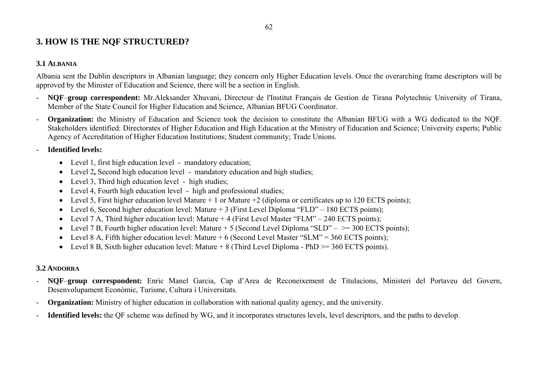# **3. HOW IS THE NQF STRUCTURED?**

### **3.1 ALBANIA**

Albania sent the Dublin descriptors in Albanian language; they concern only Higher Education levels. Once the overarching frame descriptors will be approved by the Minister of Education and Science, there will be a section in English.

- **NQF**–**group correspondent:** Mr.Aleksander Xhuvani, Directeur de l'Institut Français de Gestion de Tirana Polytechnic University of Tirana, Member of the State Council for Higher Education and Science, Albanian BFUG Coordinator.
- -**Organization:** the Ministry of Education and Science took the decision to constitute the Albanian BFUG with a WG dedicated to the NOF. Stakeholders identified: Directorates of Higher Education and High Education at the Ministry of Education and Science; University experts; Public Agency of Accreditation of Higher Education Institutions; Student community; Trade Unions.

-**Identified levels:** 

- Level 1, first high education level mandatory education;
- Level 2, Second high education level mandatory education and high studies;
- Level 3, Third high education level high studies;
- Level 4, Fourth high education level high and professional studies;
- Level 5, First higher education level Mature  $+1$  or Mature  $+2$  (diploma or certificates up to 120 ECTS points);
- Level 6, Second higher education level: Mature + 3 (First Level Diploma "FLD" 180 ECTS points);
- Level 7 A, Third higher education level: Mature + 4 (First Level Master "FLM" 240 ECTS points);
- Level 7 B, Fourth higher education level: Mature  $+ 5$  (Second Level Diploma "SLD"  $\geq$  300 ECTS points);
- Level 8 A, Fifth higher education level: Mature  $+ 6$  (Second Level Master "SLM" = 360 ECTS points);
- Level 8 B, Sixth higher education level: Mature  $+ 8$  (Third Level Diploma PhD  $>= 360$  ECTS points).

### **3.2 ANDORRA**

- - **NQF**–**group correspondent:** Enric Manel Garcia, Cap d'Area de Reconeixement de Titulacions, Ministeri del Portaveu del Govern, Desenvolupament Econòmic, Turisme, Cultura i Universitats.
- **Organization:** Ministry of higher education in collaboration with national quality agency, and the university.
- **Identified levels:** the QF scheme was defined by WG, and it incorporates structures levels, level descriptors, and the paths to develop.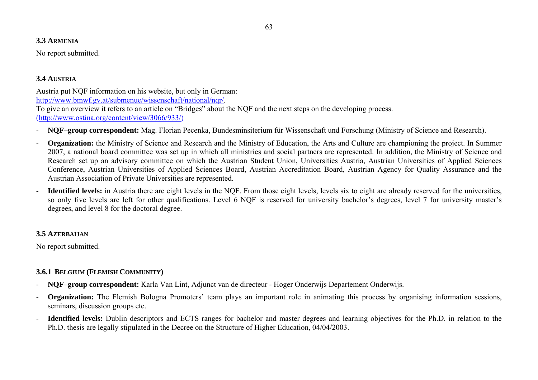### **3.3 ARMENIA**

No report submitted.

# **3.4 AUSTRIA**

Austria put NQF information on his website, but only in German: http://www.bmwf.gv.at/submenue/wissenschaft/national/ngr/. To give an overview it refers to an article on "Bridges" about the NQF and the next steps on the developing process. (http://www.ostina.org/content/view/3066/933/)

- **NQF**–**group correspondent:** Mag. Florian Pecenka, Bundesminsiterium für Wissenschaft und Forschung (Ministry of Science and Research).
- **Organization:** the Ministry of Science and Research and the Ministry of Education, the Arts and Culture are championing the project. In Summer 2007, a national board committee was set up in which all ministries and social partners are represented. In addition, the Ministry of Science and Research set up an advisory committee on which the Austrian Student Union, Universities Austria, Austrian Universities of Applied Sciences Conference, Austrian Universities of Applied Sciences Board, Austrian Accreditation Board, Austrian Agency for Quality Assurance and the Austrian Association of Private Universities are represented.
- - **Identified levels:** in Austria there are eight levels in the NQF. From those eight levels, levels six to eight are already reserved for the universities, so only five levels are left for other qualifications. Level 6 NQF is reserved for university bachelor's degrees, level 7 for university master's degrees, and level 8 for the doctoral degree.

### **3.5 AZERBAIJAN**

No report submitted.

# **3.6.1 BELGIUM (FLEMISH COMMUNITY)**

- **NQF**–**group correspondent:** Karla Van Lint, Adjunct van de directeur Hoger Onderwijs Departement Onderwijs.
- **Organization:** The Flemish Bologna Promoters' team plays an important role in animating this process by organising information sessions, seminars, discussion groups etc.
- - **Identified levels:** Dublin descriptors and ECTS ranges for bachelor and master degrees and learning objectives for the Ph.D. in relation to the Ph.D. thesis are legally stipulated in the Decree on the Structure of Higher Education, 04/04/2003.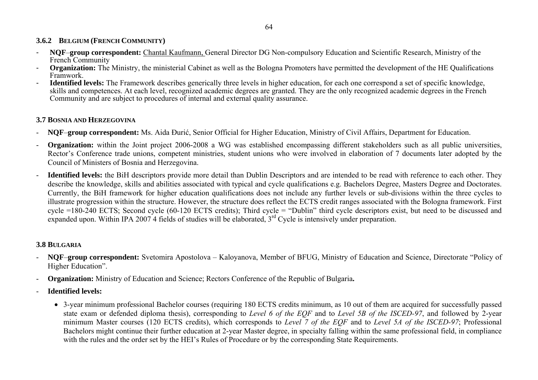# **3.6.2 BELGIUM (FRENCH COMMUNITY)**

- **NQF**–**group correspondent:** Chantal Kaufmann, General Director DG Non-compulsory Education and Scientific Research, Ministry of the French Community
- **Organization:** The Ministry, the ministerial Cabinet as well as the Bologna Promoters have permitted the development of the HE Qualifications Framwork.
- **Identified levels:** The Framework describes generically three levels in higher education, for each one correspond a set of specific knowledge, skills and competences. At each level, recognized academic degrees are granted. They are the only recognized academic degrees in the French Community and are subject to procedures of internal and external quality assurance.

# **3.7 BOSNIA AND HERZEGOVINA**

- -**NQF**–**group correspondent:** Ms. Aida Đurić, Senior Official for Higher Education, Ministry of Civil Affairs, Department for Education.
- **Organization:** within the Joint project 2006-2008 a WG was established encompassing different stakeholders such as all public universities, Rector's Conference trade unions, competent ministries, student unions who were involved in elaboration of 7 documents later adopted by the Council of Ministers of Bosnia and Herzegovina.
- - **Identified levels:** the BiH descriptors provide more detail than Dublin Descriptors and are intended to be read with reference to each other. They describe the knowledge, skills and abilities associated with typical and cycle qualifications e.g. Bachelors Degree, Masters Degree and Doctorates. Currently, the BiH framework for higher education qualifications does not include any further levels or sub-divisions within the three cycles to illustrate progression within the structure. However, the structure does reflect the ECTS credit ranges associated with the Bologna framework. First cycle =180-240 ECTS; Second cycle (60-120 ECTS credits); Third cycle = "Dublin" third cycle descriptors exist, but need to be discussed and expanded upon. Within IPA 2007 4 fields of studies will be elaborated, 3<sup>rd</sup> Cycle is intensively under preparation.

### **3.8 BULGARIA**

- **NQF**–**group correspondent:** Svetomira Apostolova Kaloyanova, Member of BFUG, Ministry of Education and Science, Directorate "Policy of Higher Education".
- **Organization:** Ministry of Education and Science; Rectors Conference of the Republic of Bulgaria**.**
- **Identified levels:**
	- 3-year minimum professional Bachelor courses (requiring 180 ECTS credits minimum, as 10 out of them are acquired for successfully passed state exam or defended diploma thesis), corresponding to *Level 6 of the EQF* and to *Level 5B of the ISCED-97*, and followed by 2-year minimum Master courses (120 ECTS credits), which corresponds to *Level 7 of the EQF* and to *Level 5A of the ISCED-97*; Professional Bachelors might continue their further education at 2-year Master degree, in specialty falling within the same professional field, in compliance with the rules and the order set by the HEI's Rules of Procedure or by the corresponding State Requirements.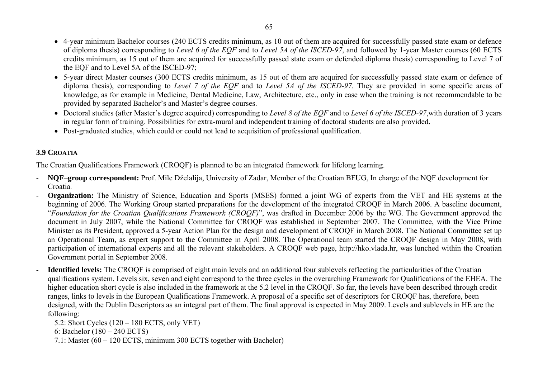• 4-year minimum Bachelor courses (240 ECTS credits minimum, as 10 out of them are acquired for successfully passed state exam or defence of diploma thesis) corresponding to *Level 6 of the EQF* and to *Level 5A of the ISCED-97*, and followed by 1-year Master courses (60 ECTS credits minimum, as 15 out of them are acquired for successfully passed state exam or defended diploma thesis) corresponding to Level 7 of the EQF and to Level 5A of the ISCED-97;

- 5-year direct Master courses (300 ECTS credits minimum, as 15 out of them are acquired for successfully passed state exam or defence of diploma thesis), corresponding to *Level 7 of the EQF* and to *Level 5A of the ISCED-97*. They are provided in some specific areas of knowledge, as for example in Medicine, Dental Medicine, Law, Architecture, etc., only in case when the training is not recommendable to be provided by separated Bachelor's and Master's degree courses.
- Doctoral studies (after Master's degree acquired) corresponding to *Level 8 of the EQF* and to *Level 6 of the ISCED-97*,with duration of 3 years in regular form of training. Possibilities for extra-mural and independent training of doctoral students are also provided.
- Post-graduated studies, which could or could not lead to acquisition of professional qualification.

# **3.9 CROATIA**

The Croatian Qualifications Framework (CROQF) is planned to be an integrated framework for lifelong learning.

- **NQF**–**group correspondent:** Prof. Mile Dželalija, University of Zadar, Member of the Croatian BFUG, In charge of the NQF development for Croatia.
- **Organization:** The Ministry of Science, Education and Sports (MSES) formed a joint WG of experts from the VET and HE systems at the beginning of 2006. The Working Group started preparations for the development of the integrated CROQF in March 2006. A baseline document, "*Foundation for the Croatian Qualifications Framework (CROQF)*", was drafted in December 2006 by the WG. The Government approved the document in July 2007, while the National Committee for CROQF was established in September 2007. The Committee, with the Vice Prime Minister as its President, approved a 5-year Action Plan for the design and development of CROQF in March 2008. The National Committee set up an Operational Team, as expert support to the Committee in April 2008. The Operational team started the CROQF design in May 2008, with participation of international experts and all the relevant stakeholders. A CROQF web page, http://hko.vlada.hr, was lunched within the Croatian Government portal in September 2008.
- **Identified levels:** The CROQF is comprised of eight main levels and an additional four sublevels reflecting the particularities of the Croatian qualifications system. Levels six, seven and eight correspond to the three cycles in the overarching Framework for Qualifications of the EHEA. The higher education short cycle is also included in the framework at the 5.2 level in the CROQF. So far, the levels have been described through credit ranges, links to levels in the European Qualifications Framework. A proposal of a specific set of descriptors for CROQF has, therefore, been designed, with the Dublin Descriptors as an integral part of them. The final approval is expected in May 2009. Levels and sublevels in HE are the following:

5.2: Short Cycles (120 – 180 ECTS, only VET)

6: Bachelor (180 – 240 ECTS)

7.1: Master (60 – 120 ECTS, minimum 300 ECTS together with Bachelor)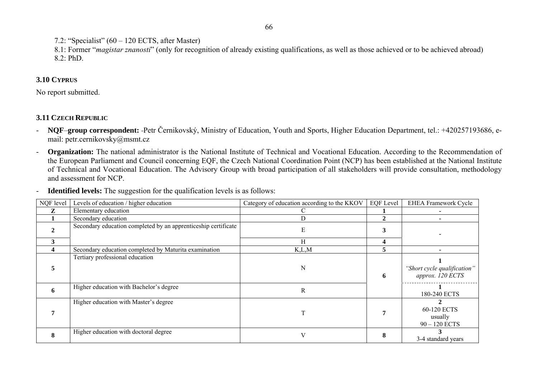7.2: "Specialist"  $(60 - 120$  ECTS, after Master)

8.1: Former "*magistar znanosti*" (only for recognition of already existing qualifications, as well as those achieved or to be achieved abroad) 8.2: PhD.

## **3.10 CYPRUS**

No report submitted.

# **3.11 CZECH REPUBLIC**

- - **NQF**–**group correspondent:** Petr Černikovský, Ministry of Education, Youth and Sports, Higher Education Department, tel.: +420257193686, email: petr.cernikovsky@msmt.cz
- **Organization:** The national administrator is the National Institute of Technical and Vocational Education. According to the Recommendation of the European Parliament and Council concerning EQF, the Czech National Coordination Point (NCP) has been established at the National Institute of Technical and Vocational Education. The Advisory Group with broad participation of all stakeholders will provide consultation, methodology and assessment for NCP.
- -**Identified levels:** The suggestion for the qualification levels is as follows:

| NQF level | Levels of education / higher education                                     | Category of education according to the KKOV | <b>EQF</b> Level | <b>EHEA Framework Cycle</b>                     |
|-----------|----------------------------------------------------------------------------|---------------------------------------------|------------------|-------------------------------------------------|
| z         | Elementary education                                                       |                                             |                  |                                                 |
|           | Secondary education                                                        | D                                           |                  |                                                 |
|           | Secondary education completed by an apprenticeship certificate             | E                                           |                  |                                                 |
|           |                                                                            | H                                           |                  |                                                 |
|           | Secondary education completed by Maturita examination                      | K, L, M                                     | C.               |                                                 |
|           | Tertiary professional education<br>Higher education with Bachelor's degree | N                                           | 6                | "Short cycle qualification"<br>approx. 120 ECTS |
| 6         |                                                                            | R                                           |                  | 180-240 ECTS                                    |
|           | Higher education with Master's degree                                      |                                             |                  | 60-120 ECTS<br>usually<br>$90 - 120$ ECTS       |
|           | Higher education with doctoral degree                                      |                                             |                  | 3-4 standard years                              |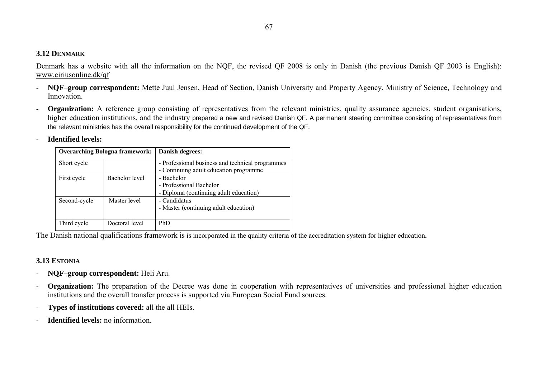### **3.12 DENMARK**

Denmark has a website with all the information on the NQF, the revised QF 2008 is only in Danish (the previous Danish QF 2003 is English): www.ciriusonline.dk/qf

- **NQF**–**group correspondent:** Mette Juul Jensen, Head of Section, Danish University and Property Agency, Ministry of Science, Technology and Innovation<sup>1</sup>
- **Organization:** A reference group consisting of representatives from the relevant ministries, quality assurance agencies, student organisations, higher education institutions, and the industry prepared a new and revised Danish QF. A permanent steering committee consisting of representatives from the relevant ministries has the overall responsibility for the continued development of the QF.
- -**Identified levels:**

| <b>Overarching Bologna framework:</b> |                | Danish degrees:                                                                            |
|---------------------------------------|----------------|--------------------------------------------------------------------------------------------|
| Short cycle                           |                | - Professional business and technical programmes<br>- Continuing adult education programme |
| First cycle                           | Bachelor level | - Bachelor<br>- Professional Bachelor<br>- Diploma (continuing adult education)            |
| Second-cycle                          | Master level   | - Candidatus<br>- Master (continuing adult education)                                      |
| Third cycle                           | Doctoral level | PhD                                                                                        |

The Danish national qualifications framework is is incorporated in the quality criteria of the accreditation system for higher education**.**

### **3.13 ESTONIA**

- -**NQF**–**group correspondent:** Heli Aru.
- -**Organization:** The preparation of the Decree was done in cooperation with representatives of universities and professional higher education institutions and the overall transfer process is supported via European Social Fund sources.
- -**Types of institutions covered:** all the all HEIs.
- -**Identified levels:** no information.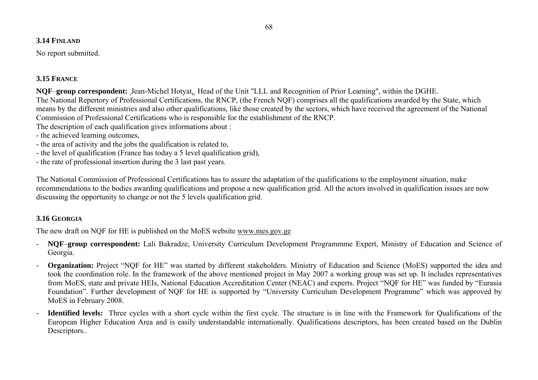### **3.14 FINLAND**

No report submitted.

### **3.15 FRANCE**

**NQF**–**group correspondent:** Jean-Michel Hotyat, Head of the Unit "LLL and Recognition of Prior Learning", within the DGHE. The National Repertory of Professional Certifications, the RNCP, (the French NQF) comprises all the qualifications awarded by the State, which means by the different ministries and also other qualifications, like those created by the sectors, which have received the agreement of the National Commission of Professional Certifications who is responsible for the establishment of the RNCP.

The description of each qualification gives informations about :

- the achieved learning outcomes,
- the area of activity and the jobs the qualification is related to,
- the level of qualification (France has today a 5 level qualification grid),
- the rate of professional insertion during the 3 last past years.

The National Commission of Professional Certifications has to assure the adaptation of the qualifications to the employment situation, make recommendations to the bodies awarding qualifications and propose a new qualification grid. All the actors involved in qualification issues are now discussing the opportunity to change or not the 5 levels qualification grid.

### **3.16 GEORGIA**

The new draft on NQF for HE is published on the MoES website www.mes.gov.ge

- **NQF**–**group correspondent:** Lali Bakradze, University Curriculum Development Programmme Expert, Ministry of Education and Science of Georgia.
- **Organization:** Project "NQF for HE" was started by different stakeholders. Ministry of Education and Science (MoES) supported the idea and took the coordination role. In the framework of the above mentioned project in May 2007 a working group was set up. It includes representatives from MoES, state and private HEIs, National Education Accreditation Center (NEAC) and experts. Project "NQF for HE" was funded by "Eurasia Foundation". Further development of NQF for HE is supported by "University Curriculum Development Programme" which was approved by MoES in February 2008.
- **Identified levels:** Three cycles with a short cycle within the first cycle. The structure is in line with the Framework for Qualifications of the European Higher Education Area and is easily understandable internationally. Qualifications descriptors, has been created based on the Dublin Descriptors..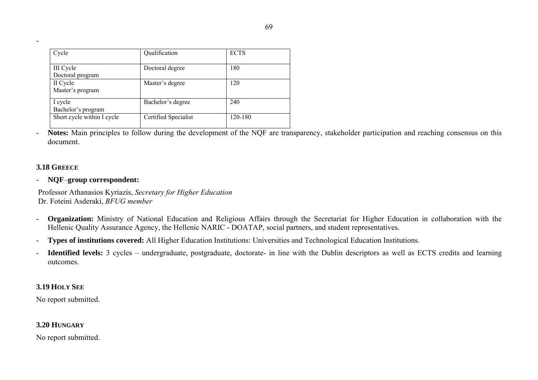| Cycle                                | Qualification        | <b>ECTS</b> |
|--------------------------------------|----------------------|-------------|
| <b>III</b> Cycle<br>Doctoral program | Doctoral degree      | 180         |
| II Cycle<br>Master's program         | Master's degree      | 120         |
| I cycle<br>Bachelor's program        | Bachelor's degree    | 240         |
| Short cycle within I cycle           | Certified Specialist | 120-180     |

-**Notes:** Main principles to follow during the development of the NQF are transparency, stakeholder participation and reaching consensus on this document.

### **3.18 GREECE**

### - **NQF**–**group correspondent:**

 Professor Athanasios Kyriazis, *Secretary for Higher Education* Dr. Foteini Asderaki, *BFUG member*

- - **Organization:** Ministry of National Education and Religious Affairs through the Secretariat for Higher Education in collaboration with the Hellenic Quality Assurance Agency, the Hellenic NARIC - DOATAP, social partners, and student representatives.
- -**Types of institutions covered:** All Higher Education Institutions: Universities and Technological Education Institutions.
- - **Identified levels:** 3 cycles – undergraduate, postgraduate, doctorate- in line with the Dublin descriptors as well as ECTS credits and learning outcomes.

### **3.19 HOLY SEE**

No report submitted.

### **3.20 HUNGARY**

No report submitted.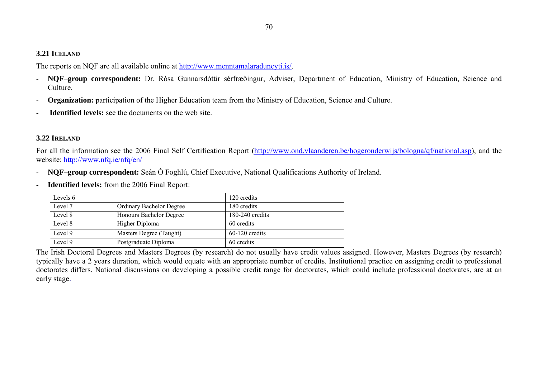### **3.21 ICELAND**

The reports on NQF are all available online at http://www.menntamalaraduneyti.is/.

- - **NQF**–**group correspondent:** Dr. Rósa Gunnarsdóttir sérfræðingur, Adviser, Department of Education, Ministry of Education, Science and Culture.
- **Organization:** participation of the Higher Education team from the Ministry of Education, Science and Culture.
- **Identified levels:** see the documents on the web site.

### **3.22 IRELAND**

For all the information see the 2006 Final Self Certification Report (http://www.ond.vlaanderen.be/hogeronderwijs/bologna/qf/national.asp), and the website: http://www.nfq.ie/nfq/en/

- **NQF**–**group correspondent:** Seán Ó Foghlú, Chief Executive, National Qualifications Authority of Ireland.
- **Identified levels:** from the 2006 Final Report:

| Levels 6 |                                 | 120 credits       |
|----------|---------------------------------|-------------------|
| Level 7  | <b>Ordinary Bachelor Degree</b> | 180 credits       |
| Level 8  | Honours Bachelor Degree         | $180-240$ credits |
| Level 8  | Higher Diploma                  | 60 credits        |
| Level 9  | Masters Degree (Taught)         | $60-120$ credits  |
| Level 9  | Postgraduate Diploma            | 60 credits        |

The Irish Doctoral Degrees and Masters Degrees (by research) do not usually have credit values assigned. However, Masters Degrees (by research) typically have a 2 years duration, which would equate with an appropriate number of credits. Institutional practice on assigning credit to professional doctorates differs. National discussions on developing a possible credit range for doctorates, which could include professional doctorates, are at an early stage.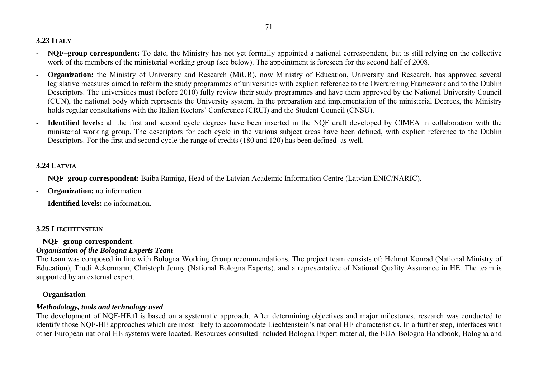### **3.23 ITALY**

- - **NQF**–**group correspondent:** To date, the Ministry has not yet formally appointed a national correspondent, but is still relying on the collective work of the members of the ministerial working group (see below). The appointment is foreseen for the second half of 2008.
- **Organization:** the Ministry of University and Research (MiUR), now Ministry of Education, University and Research, has approved several legislative measures aimed to reform the study programmes of universities with explicit reference to the Overarching Framework and to the Dublin Descriptors. The universities must (before 2010) fully review their study programmes and have them approved by the National University Council (CUN), the national body which represents the University system. In the preparation and implementation of the ministerial Decrees, the Ministry holds regular consultations with the Italian Rectors' Conference (CRUI) and the Student Council (CNSU).
- **Identified levels:** all the first and second cycle degrees have been inserted in the NQF draft developed by CIMEA in collaboration with the ministerial working group. The descriptors for each cycle in the various subject areas have been defined, with explicit reference to the Dublin Descriptors. For the first and second cycle the range of credits (180 and 120) has been defined as well.

### **3.24 LATVIA**

- **NQF**–**group correspondent:** Baiba Ramiņa, Head of the Latvian Academic Information Centre (Latvian ENIC/NARIC).
- **Organization:** no information
- **Identified levels:** no information.

# **3.25 LIECHTENSTEIN**

# **- NQF- group correspondent**:

# *Organisation of the Bologna Experts Team*

The team was composed in line with Bologna Working Group recommendations. The project team consists of: Helmut Konrad (National Ministry of Education), Trudi Ackermann, Christoph Jenny (National Bologna Experts), and a representative of National Quality Assurance in HE. The team is supported by an external expert.

# **- Organisation**

# *Methodology, tools and technology used*

The development of NQF-HE.fl is based on a systematic approach. After determining objectives and major milestones, research was conducted to identify those NQF-HE approaches which are most likely to accommodate Liechtenstein's national HE characteristics. In a further step, interfaces with other European national HE systems were located. Resources consulted included Bologna Expert material, the EUA Bologna Handbook, Bologna and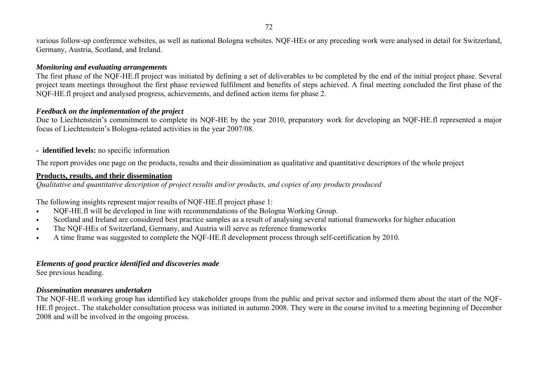various follow-up conference websites, as well as national Bologna websites. NQF-HEs or any preceding work were analysed in detail for Switzerland, Germany, Austria, Scotland, and Ireland.

### *Monitoring and evaluating arrangements*

The first phase of the NQF-HE.fl project was initiated by defining a set of deliverables to be completed by the end of the initial project phase. Several project team meetings throughout the first phase reviewed fulfilment and benefits of steps achieved. A final meeting concluded the first phase of the NQF-HE.fl project and analysed progress, achievements, and defined action items for phase 2.

### *Feedback on the implementation of the project*

Due to Liechtenstein's commitment to complete its NQF-HE by the year 2010, preparatory work for developing an NQF-HE.fl represented a major focus of Liechtenstein's Bologna-related activities in the year 2007/08.

# **- identified levels:** no specific information

The report provides one page on the products, results and their dissimination as qualitative and quantitative descriptors of the whole project

# **Products, results, and their dissemination**

*Qualitative and quantitative description of project results and/or products, and copies of any products produced* 

The following insights represent major results of NQF-HE.fl project phase 1:

- $\bullet$ NQF-HE.fl will be developed in line with recommendations of the Bologna Working Group.
- $\bullet$ Scotland and Ireland are considered best practice samples as a result of analysing several national frameworks for higher education
- $\bullet$ The NQF-HEs of Switzerland, Germany, and Austria will serve as reference frameworks
- $\bullet$ A time frame was suggested to complete the NQF-HE.fl development process through self-certification by 2010.

# *Elements of good practice identified and discoveries made*

See previous heading.

# *Dissemination measures undertaken*

The NQF-HE.fl working group has identified key stakeholder groups from the public and privat sector and informed them about the start of the NQF-HE.fl project.. The stakeholder consultation process was initiated in autumn 2008. They were in the course invited to a meeting beginning of December 2008 and will be involved in the ongoing process.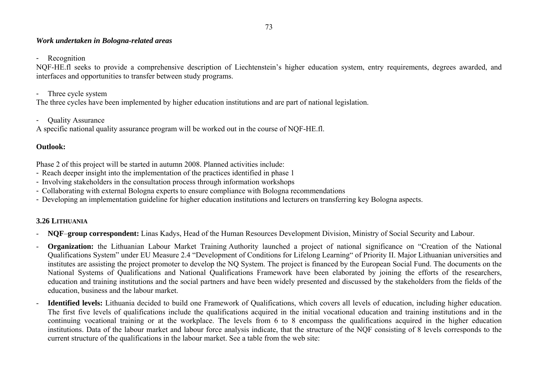#### *Work undertaken in Bologna-related areas*

- Recognition

NQF-HE.fl seeks to provide a comprehensive description of Liechtenstein's higher education system, entry requirements, degrees awarded, and interfaces and opportunities to transfer between study programs.

- Three cycle system

The three cycles have been implemented by higher education institutions and are part of national legislation.

- Quality Assurance

A specific national quality assurance program will be worked out in the course of NQF-HE.fl.

## **Outlook:**

Phase 2 of this project will be started in autumn 2008. Planned activities include:

- Reach deeper insight into the implementation of the practices identified in phase 1
- Involving stakeholders in the consultation process through information workshops
- Collaborating with external Bologna experts to ensure compliance with Bologna recommendations
- Developing an implementation guideline for higher education institutions and lecturers on transferring key Bologna aspects.

# **3.26 LITHUANIA**

- **NQF**–**group correspondent:** Linas Kadys, Head of the Human Resources Development Division, Ministry of Social Security and Labour.
- **Organization:** the Lithuanian Labour Market Training Authority launched a project of national significance on "Creation of the National Qualifications System" under EU Measure 2.4 "Development of Conditions for Lifelong Learning" of Priority II. Major Lithuanian universities and institutes are assisting the project promoter to develop the NQ System. The project is financed by the European Social Fund. The documents on the National Systems of Qualifications and National Qualifications Framework have been elaborated by joining the efforts of the researchers, education and training institutions and the social partners and have been widely presented and discussed by the stakeholders from the fields of the education, business and the labour market.
- **Identified levels:** Lithuania decided to build one Framework of Qualifications, which covers all levels of education, including higher education. The first five levels of qualifications include the qualifications acquired in the initial vocational education and training institutions and in the continuing vocational training or at the workplace. The levels from 6 to 8 encompass the qualifications acquired in the higher education institutions. Data of the labour market and labour force analysis indicate, that the structure of the NQF consisting of 8 levels corresponds to the current structure of the qualifications in the labour market. See a table from the web site: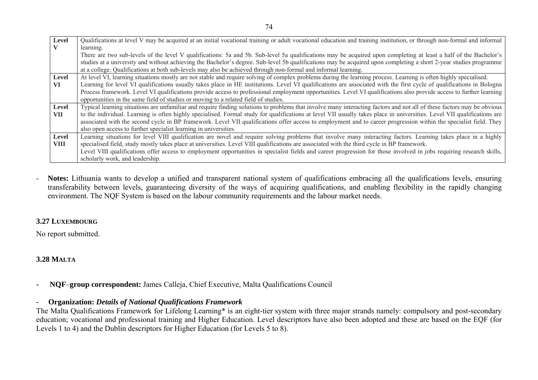| Level       | Qualifications at level V may be acquired at an initial vocational training or adult vocational education and training institution, or through non-formal and informal  |  |  |  |
|-------------|-------------------------------------------------------------------------------------------------------------------------------------------------------------------------|--|--|--|
|             | learning.                                                                                                                                                               |  |  |  |
|             | There are two sub-levels of the level V qualifications: 5a and 5b. Sub-level 5a qualifications may be acquired upon completing at least a half of the Bachelor's        |  |  |  |
|             | studies at a university and without achieving the Bachelor's degree. Sub-level 5b qualifications may be acquired upon completing a short 2-year studies programme       |  |  |  |
|             | at a college. Qualifications at both sub-levels may also be achieved through non-formal and informal learning.                                                          |  |  |  |
| Level       | At level VI, learning situations mostly are not stable and require solving of complex problems during the learning process. Learning is often highly specialised.       |  |  |  |
| <b>VI</b>   | Learning for level VI qualifications usually takes place in HE institutions. Level VI qualifications are associated with the first cycle of qualifications in Bologna   |  |  |  |
|             | Process framework. Level VI qualifications provide access to professional employment opportunities. Level VI qualifications also provide access to further learning     |  |  |  |
|             | opportunities in the same field of studies or moving to a related field of studies.                                                                                     |  |  |  |
| Level       | Typical learning situations are unfamiliar and require finding solutions to problems that involve many interacting factors and not all of these factors may be obvious  |  |  |  |
| <b>VII</b>  | to the individual. Learning is often highly specialised. Formal study for qualifications at level VII usually takes place in universities. Level VII qualifications are |  |  |  |
|             | associated with the second cycle in BP framework. Level VII qualifications offer access to employment and to career progression within the specialist field. They       |  |  |  |
|             | also open access to further specialist learning in universities.                                                                                                        |  |  |  |
| Level       | Learning situations for level VIII qualification are novel and require solving problems that involve many interacting factors. Learning takes place in a highly         |  |  |  |
| <b>VIII</b> | specialised field, study mostly takes place at universities. Level VIII qualifications are associated with the third cycle in BP framework.                             |  |  |  |
|             | Level VIII qualifications offer access to employment opportunities in specialist fields and career progression for those involved in jobs requiring research skills,    |  |  |  |
|             | scholarly work, and leadership.                                                                                                                                         |  |  |  |

- **Notes:** Lithuania wants to develop a unified and transparent national system of qualifications embracing all the qualifications levels, ensuring transferability between levels, guaranteeing diversity of the ways of acquiring qualifications, and enabling flexibility in the rapidly changing environment. The NQF System is based on the labour community requirements and the labour market needs.

### **3.27 LUXEMBOURG**

No report submitted.

# **3.28 MALTA**

**- NQF**–**group correspondent:** James Calleja, Chief Executive, Malta Qualifications Council

## **- Organization:** *Details of National Qualifications Framework*

The Malta Qualifications Framework for Lifelong Learning\* is an eight-tier system with three major strands namely: compulsory and post-secondary education; vocational and professional training and Higher Education. Level descriptors have also been adopted and these are based on the EQF (for Levels 1 to 4) and the Dublin descriptors for Higher Education (for Levels 5 to 8).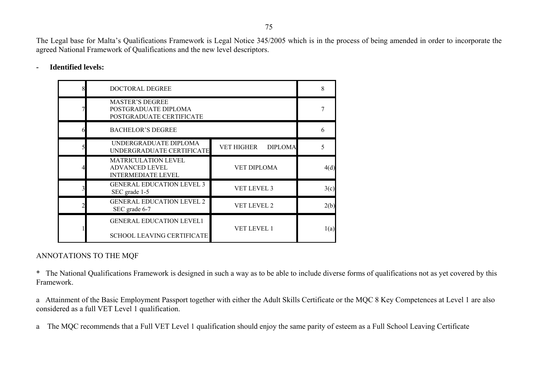The Legal base for Malta's Qualifications Framework is Legal Notice 345/2005 which is in the process of being amended in order to incorporate the agreed National Framework of Qualifications and the new level descriptors.

| <b>DOCTORAL DEGREE</b>                                                           |                                     | 8    |
|----------------------------------------------------------------------------------|-------------------------------------|------|
| <b>MASTER'S DEGREE</b><br>POSTGRADUATE DIPLOMA<br>POSTGRADUATE CERTIFICATE       |                                     |      |
| <b>BACHELOR'S DEGREE</b>                                                         |                                     | 6    |
| UNDERGRADUATE DIPLOMA<br>UNDERGRADUATE CERTIFICATE                               | <b>VET HIGHER</b><br><b>DIPLOMA</b> |      |
| <b>MATRICULATION LEVEL</b><br><b>ADVANCED LEVEL</b><br><b>INTERMEDIATE LEVEL</b> | VET DIPLOMA                         | 4(d) |
| <b>GENERAL EDUCATION LEVEL 3</b><br>SEC grade 1-5                                | <b>VET LEVEL 3</b>                  | 3(c) |
| <b>GENERAL EDUCATION LEVEL 2</b><br>SEC grade 6-7                                | <b>VET LEVEL 2</b>                  | 2(b) |
| <b>GENERAL EDUCATION LEVEL1</b><br><b>SCHOOL LEAVING CERTIFICATE</b>             | <b>VET LEVEL 1</b>                  | 1(a) |

### **- Identified levels:**

### ANNOTATIONS TO THE MQF

\* The National Qualifications Framework is designed in such a way as to be able to include diverse forms of qualifications not as yet covered by this Framework.

a Attainment of the Basic Employment Passport together with either the Adult Skills Certificate or the MQC 8 Key Competences at Level 1 are also considered as a full VET Level 1 qualification.

a The MQC recommends that a Full VET Level 1 qualification should enjoy the same parity of esteem as a Full School Leaving Certificate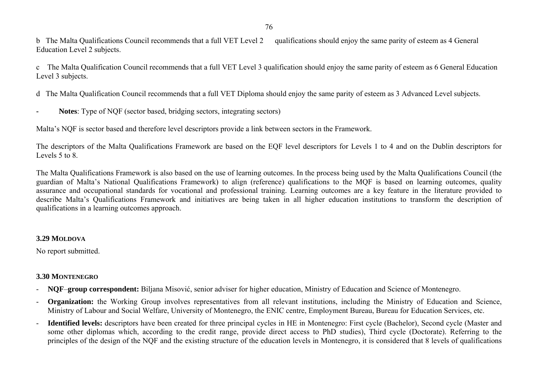b The Malta Qualifications Council recommends that a full VET Level 2 qualifications should enjoy the same parity of esteem as 4 General Education Level 2 subjects.

c The Malta Qualification Council recommends that a full VET Level 3 qualification should enjoy the same parity of esteem as 6 General Education Level 3 subjects.

d The Malta Qualification Council recommends that a full VET Diploma should enjoy the same parity of esteem as 3 Advanced Level subjects.

**- Notes**: Type of NQF (sector based, bridging sectors, integrating sectors)

Malta's NQF is sector based and therefore level descriptors provide a link between sectors in the Framework.

The descriptors of the Malta Qualifications Framework are based on the EQF level descriptors for Levels 1 to 4 and on the Dublin descriptors for Levels 5 to 8.

The Malta Qualifications Framework is also based on the use of learning outcomes. In the process being used by the Malta Qualifications Council (the guardian of Malta's National Qualifications Framework) to align (reference) qualifications to the MQF is based on learning outcomes, quality assurance and occupational standards for vocational and professional training. Learning outcomes are a key feature in the literature provided to describe Malta's Qualifications Framework and initiatives are being taken in all higher education institutions to transform the description of qualifications in a learning outcomes approach.

#### **3.29 MOLDOVA**

No report submitted.

## **3.30 MONTENEGRO**

- **NQF**–**group correspondent:** Biljana Misović, senior adviser for higher education, Ministry of Education and Science of Montenegro.
- - **Organization:** the Working Group involves representatives from all relevant institutions, including the Ministry of Education and Science, Ministry of Labour and Social Welfare, University of Montenegro, the ENIC centre, Employment Bureau, Bureau for Education Services, etc.
- **Identified levels:** descriptors have been created for three principal cycles in HE in Montenegro: First cycle (Bachelor), Second cycle (Master and some other diplomas which, according to the credit range, provide direct access to PhD studies), Third cycle (Doctorate). Referring to the principles of the design of the NQF and the existing structure of the education levels in Montenegro, it is considered that 8 levels of qualifications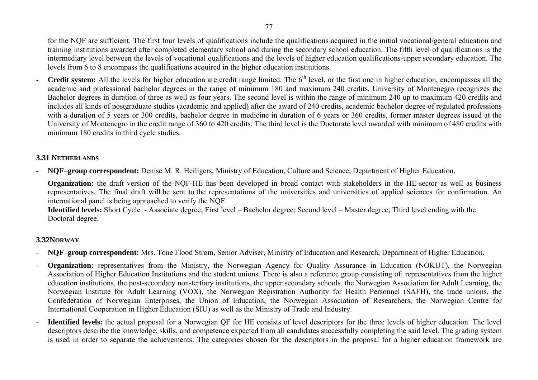for the NQF are sufficient. The first four levels of qualifications include the qualifications acquired in the initial vocational/general education and training institutions awarded after completed elementary school and during the secondary school education. The fifth level of qualifications is the intermediary level between the levels of vocational qualifications and the levels of higher education qualifications-upper secondary education. The levels from 6 to 8 encompass the qualifications acquired in the higher education institutions.

**Credit system:** All the levels for higher education are credit range limited. The  $6<sup>th</sup>$  level, or the first one in higher education, encompasses all the academic and professional bachelor degrees in the range of minimum 180 and maximum 240 credits. University of Montenegro recognizes the Bachelor degrees in duration of three as well as four years. The second level is within the range of minimum 240 up to maximum 420 credits and includes all kinds of postgraduate studies (academic and applied) after the award of 240 credits, academic bachelor degree of regulated professions with a duration of 5 years or 300 credits, bachelor degree in medicine in duration of 6 years or 360 credits, former master degrees issued at the University of Montenegro in the credit range of 360 to 420 credits. The third level is the Doctorate level awarded with minimum of 480 credits with minimum 180 credits in third cycle studies.

### **3.31 NETHERLANDS**

-**NQF**–**group correspondent:** Denise M. R. Heiligers, Ministry of Education, Culture and Science, Department of Higher Education.

**Organization:** the draft version of the NOF-HE has been developed in broad contact with stakeholders in the HE-sector as well as business representatives. The final draft will be sent to the representations of the universities and universities of applied sciences for confirmation. An international panel is being approached to verify the NQF.

**Identified levels:** Short Cycle - Associate degree; First level – Bachelor degree; Second level – Master degree; Third level ending with the Doctoral degree.

## **3.32NORWAY**

- -**NQF**–**group correspondent:** Mrs. Tone Flood Strøm, Senior Adviser, Ministry of Education and Research, Department of Higher Education.
- **Organization:** representatives from the Ministry, the Norwegian Agency for Quality Assurance in Education (NOKUT), the Norwegian Association of Higher Education Institutions and the student unions. There is also a reference group consisting of: representatives from the higher education institutions, the post-secondary non-tertiary institutions, the upper secondary schools, the Norwegian Association for Adult Learning, the Norwegian Institute for Adult Learning (VOX), the Norwegian Registration Authority for Health Personnel (SAFH), the trade unions, the Confederation of Norwegian Enterprises, the Union of Education, the Norwegian Association of Researchers, the Norwegian Centre for International Cooperation in Higher Education (SIU) as well as the Ministry of Trade and Industry.
- **Identified levels:** the actual proposal for a Norwegian QF for HE consists of level descriptors for the three levels of higher education. The level descriptors describe the knowledge, skills, and competence expected from all candidates successfully completing the said level. The grading system is used in order to separate the achievements. The categories chosen for the descriptors in the proposal for a higher education framework are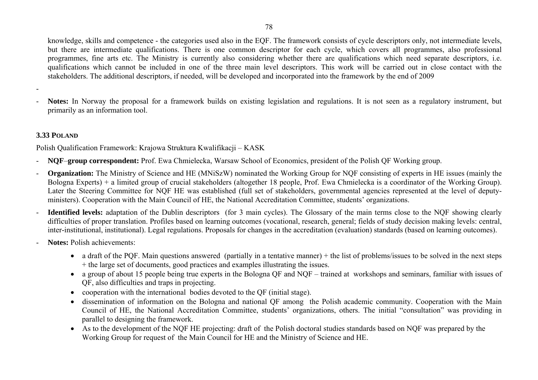knowledge, skills and competence - the categories used also in the EQF. The framework consists of cycle descriptors only, not intermediate levels, but there are intermediate qualifications. There is one common descriptor for each cycle, which covers all programmes, also professional programmes, fine arts etc. The Ministry is currently also considering whether there are qualifications which need separate descriptors, i.e. qualifications which cannot be included in one of the three main level descriptors. This work will be carried out in close contact with the stakeholders. The additional descriptors, if needed, will be developed and incorporated into the framework by the end of 2009

 **Notes:** In Norway the proposal for a framework builds on existing legislation and regulations. It is not seen as a regulatory instrument, but primarily as an information tool.

#### **3.33 POLAND**

Polish Qualification Framework: Krajowa Struktura Kwalifikacji – KASK

- -**NQF**–**group correspondent:** Prof. Ewa Chmielecka, Warsaw School of Economics, president of the Polish QF Working group.
- **Organization:** The Ministry of Science and HE (MNiSzW) nominated the Working Group for NQF consisting of experts in HE issues (mainly the Bologna Experts) + a limited group of crucial stakeholders (altogether 18 people, Prof. Ewa Chmielecka is a coordinator of the Working Group). Later the Steering Committee for NQF HE was established (full set of stakeholders, governmental agencies represented at the level of deputyministers). Cooperation with the Main Council of HE, the National Accreditation Committee, students' organizations.
- **Identified levels:** adaptation of the Dublin descriptors (for 3 main cycles). The Glossary of the main terms close to the NQF showing clearly difficulties of proper translation. Profiles based on learning outcomes (vocational, research, general; fields of study decision making levels: central, inter-institutional, institutional). Legal regulations. Proposals for changes in the accreditation (evaluation) standards (based on learning outcomes).
- - **Notes:** Polish achievements:
	- a draft of the PQF. Main questions answered (partially in a tentative manner) + the list of problems/issues to be solved in the next steps + the large set of documents, good practices and examples illustrating the issues.
	- a group of about 15 people being true experts in the Bologna QF and NQF trained at workshops and seminars, familiar with issues of QF, also difficulties and traps in projecting.
	- cooperation with the international bodies devoted to the QF (initial stage).
	- dissemination of information on the Bologna and national QF among the Polish academic community. Cooperation with the Main Council of HE, the National Accreditation Committee, students' organizations, others. The initial "consultation" was providing in parallel to designing the framework.
	- As to the development of the NQF HE projecting: draft of the Polish doctoral studies standards based on NQF was prepared by the Working Group for request of the Main Council for HE and the Ministry of Science and HE.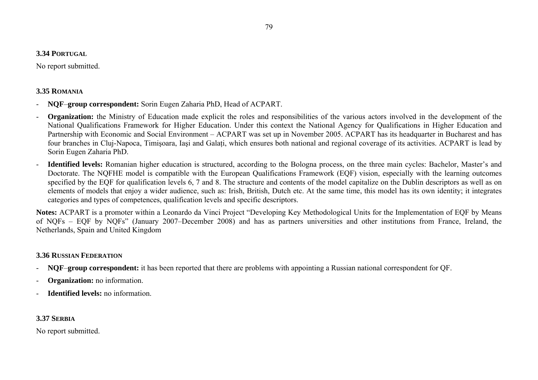#### **3.34 PORTUGAL**

No report submitted.

### **3.35 ROMANIA**

- **NQF**–**group correspondent:** Sorin Eugen Zaharia PhD, Head of ACPART.
- **Organization:** the Ministry of Education made explicit the roles and responsibilities of the various actors involved in the development of the National Qualifications Framework for Higher Education. Under this context the National Agency for Qualifications in Higher Education and Partnership with Economic and Social Environment – ACPART was set up in November 2005. ACPART has its headquarter in Bucharest and has four branches in Cluj-Napoca, Timişoara, Iaşi and Galaţi, which ensures both national and regional coverage of its activities. ACPART is lead by Sorin Eugen Zaharia PhD.
- **Identified levels:** Romanian higher education is structured, according to the Bologna process, on the three main cycles: Bachelor, Master's and Doctorate. The NQFHE model is compatible with the European Qualifications Framework (EQF) vision, especially with the learning outcomes specified by the EQF for qualification levels 6, 7 and 8. The structure and contents of the model capitalize on the Dublin descriptors as well as on elements of models that enjoy a wider audience, such as: Irish, British, Dutch etc. At the same time, this model has its own identity; it integrates categories and types of competences, qualification levels and specific descriptors.

**Notes:** ACPART is a promoter within a Leonardo da Vinci Project "Developing Key Methodological Units for the Implementation of EQF by Means of NQFs – EQF by NQFs" (January 2007–December 2008) and has as partners universities and other institutions from France, Ireland, the Netherlands, Spain and United Kingdom

## **3.36 RUSSIAN FEDERATION**

- -**NQF**–**group correspondent:** it has been reported that there are problems with appointing a Russian national correspondent for QF.
- **Organization:** no information.
- **Identified levels:** no information.

# **3.37 SERBIA**

No report submitted.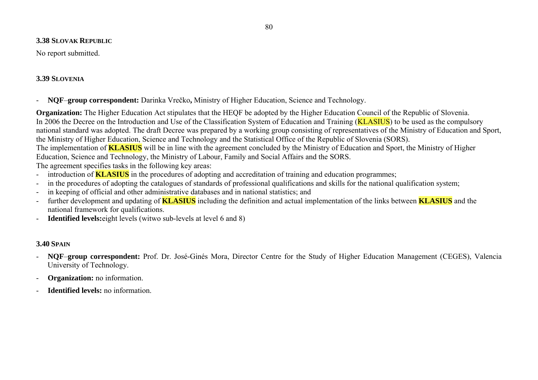#### **3.38 SLOVAK REPUBLIC**

No report submitted.

## **3.39 SLOVENIA**

**NQF**–**group correspondent:** Darinka Vrečko**,** Ministry of Higher Education, Science and Technology.

**Organization:** The Higher Education Act stipulates that the HEOF be adopted by the Higher Education Council of the Republic of Slovenia. In 2006 the Decree on the Introduction and Use of the Classification System of Education and Training (**KLASIUS**) to be used as the compulsory national standard was adopted. The draft Decree was prepared by a working group consisting of representatives of the Ministry of Education and Sport, the Ministry of Higher Education, Science and Technology and the Statistical Office of the Republic of Slovenia (SORS). The implementation of **KLASIUS** will be in line with the agreement concluded by the Ministry of Education and Sport, the Ministry of Higher Education, Science and Technology, the Ministry of Labour, Family and Social Affairs and the SORS. The agreement specifies tasks in the following key areas:

- introduction of **KLASIUS** in the procedures of adopting and accreditation of training and education programmes;
- in the procedures of adopting the catalogues of standards of professional qualifications and skills for the national qualification system;
- in keeping of official and other administrative databases and in national statistics; and
- further development and updating of **KLASIUS** including the definition and actual implementation of the links between **KLASIUS** and the national framework for qualifications.
- **Identified levels:**eight levels (witwo sub-levels at level 6 and 8)

# **3.40 SPAIN**

- - **NQF**–**group correspondent:** Prof. Dr. José-Ginés Mora, Director Centre for the Study of Higher Education Management (CEGES), Valencia University of Technology.
- **Organization:** no information.
- **Identified levels:** no information.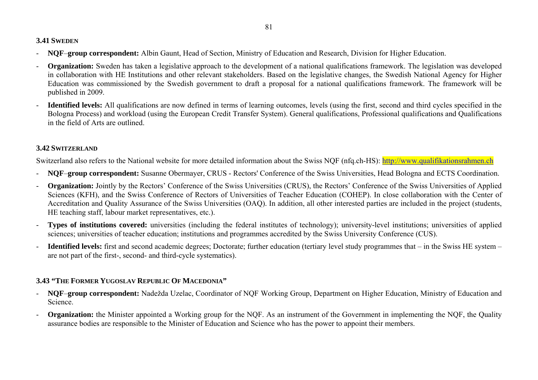### **3.41 SWEDEN**

- **NQF**–**group correspondent:** Albin Gaunt, Head of Section, Ministry of Education and Research, Division for Higher Education.
- **Organization:** Sweden has taken a legislative approach to the development of a national qualifications framework. The legislation was developed in collaboration with HE Institutions and other relevant stakeholders. Based on the legislative changes, the Swedish National Agency for Higher Education was commissioned by the Swedish government to draft a proposal for a national qualifications framework. The framework will be published in 2009.
- **Identified levels:** All qualifications are now defined in terms of learning outcomes, levels (using the first, second and third cycles specified in the Bologna Process) and workload (using the European Credit Transfer System). General qualifications, Professional qualifications and Qualifications in the field of Arts are outlined.

### **3.42 SWITZERLAND**

Switzerland also refers to the National website for more detailed information about the Swiss NOF (nfq.ch-HS): http://www.qualifikationsrahmen.ch

- **NQF**–**group correspondent:** Susanne Obermayer, CRUS Rectors' Conference of the Swiss Universities, Head Bologna and ECTS Coordination.
- **Organization:** Jointly by the Rectors' Conference of the Swiss Universities (CRUS), the Rectors' Conference of the Swiss Universities of Applied Sciences (KFH), and the Swiss Conference of Rectors of Universities of Teacher Education (COHEP). In close collaboration with the Center of Accreditation and Quality Assurance of the Swiss Universities (OAQ). In addition, all other interested parties are included in the project (students, HE teaching staff, labour market representatives, etc.).
- **Types of institutions covered:** universities (including the federal institutes of technology); university-level institutions; universities of applied sciences; universities of teacher education; institutions and programmes accredited by the Swiss University Conference (CUS).
- - **Identified levels:** first and second academic degrees; Doctorate; further education (tertiary level study programmes that – in the Swiss HE system – are not part of the first-, second- and third-cycle systematics).

# **3.43 "THE FORMER YUGOSLAV REPUBLIC OF MACEDONIA"**

- **NQF**–**group correspondent:** Nadežda Uzelac, Coordinator of NQF Working Group, Department on Higher Education, Ministry of Education and Science.
- **Organization:** the Minister appointed a Working group for the NQF. As an instrument of the Government in implementing the NQF, the Quality assurance bodies are responsible to the Minister of Education and Science who has the power to appoint their members.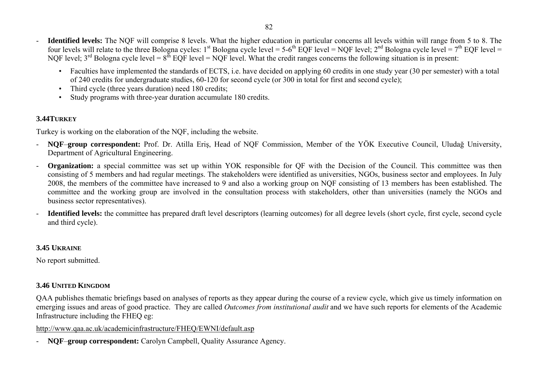- **Identified levels:** The NQF will comprise 8 levels. What the higher education in particular concerns all levels within will range from 5 to 8. The four levels will relate to the three Bologna cycles: 1<sup>st</sup> Bologna cycle level = 5-6<sup>th</sup> EQF level = NQF level; 2<sup>nd</sup> Bologna cycle level = 7<sup>th</sup> EQF level = NOF level;  $3<sup>rd</sup>$  Bologna cycle level =  $8<sup>th</sup>$  EQF level = NOF level. What the credit ranges concerns the following situation is in present:
	- Faculties have implemented the standards of ECTS, i.e. have decided on applying 60 credits in one study year (30 per semester) with a total of 240 credits for undergraduate studies, 60-120 for second cycle (or 300 in total for first and second cycle);
	- Third cycle (three years duration) need 180 credits;
	- Study programs with three-year duration accumulate 180 credits.

## **3.44TURKEY**

Turkey is working on the elaboration of the NQF, including the website.

- **NQF**–**group correspondent:** Prof. Dr. Atilla Eriş, Head of NQF Commission, Member of the YÖK Executive Council, Uludağ University, Department of Agricultural Engineering.
- **Organization:** a special committee was set up within YOK responsible for OF with the Decision of the Council. This committee was then consisting of 5 members and had regular meetings. The stakeholders were identified as universities, NGOs, business sector and employees. In July 2008, the members of the committee have increased to 9 and also a working group on NQF consisting of 13 members has been established. The committee and the working group are involved in the consultation process with stakeholders, other than universities (namely the NGOs and business sector representatives).
- **Identified levels:** the committee has prepared draft level descriptors (learning outcomes) for all degree levels (short cycle, first cycle, second cycle and third cycle).

# **3.45 UKRAINE**

No report submitted.

# **3.46 UNITED KINGDOM**

QAA publishes thematic briefings based on analyses of reports as they appear during the course of a review cycle, which give us timely information on emerging issues and areas of good practice. They are called *Outcomes from institutional audit* and we have such reports for elements of the Academic Infrastructure including the FHEQ eg:

http://www.qaa.ac.uk/academicinfrastructure/FHEQ/EWNI/default.asp

- **NQF**–**group correspondent:** Carolyn Campbell, Quality Assurance Agency.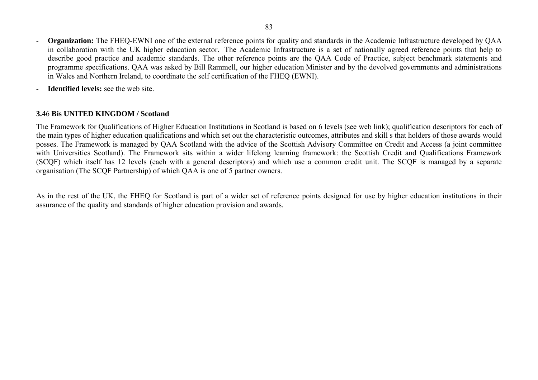- **Organization:** The FHEQ-EWNI one of the external reference points for quality and standards in the Academic Infrastructure developed by QAA in collaboration with the UK higher education sector. The Academic Infrastructure is a set of nationally agreed reference points that help to describe good practice and academic standards. The other reference points are the QAA Code of Practice, subject benchmark statements and programme specifications. QAA was asked by Bill Rammell, our higher education Minister and by the devolved governments and administrations in Wales and Northern Ireland, to coordinate the self certification of the FHEQ (EWNI).
- -**Identified levels:** see the web site.

#### **3.**46 **Bis UNITED KINGDOM / Scotland**

The Framework for Qualifications of Higher Education Institutions in Scotland is based on 6 levels (see web link); qualification descriptors for each of the main types of higher education qualifications and which set out the characteristic outcomes, attributes and skill s that holders of those awards would posses. The Framework is managed by QAA Scotland with the advice of the Scottish Advisory Committee on Credit and Access (a joint committee with Universities Scotland). The Framework sits within a wider lifelong learning framework: the Scottish Credit and Qualifications Framework (SCQF) which itself has 12 levels (each with a general descriptors) and which use a common credit unit. The SCQF is managed by a separate organisation (The SCQF Partnership) of which QAA is one of 5 partner owners.

As in the rest of the UK, the FHEQ for Scotland is part of a wider set of reference points designed for use by higher education institutions in their assurance of the quality and standards of higher education provision and awards.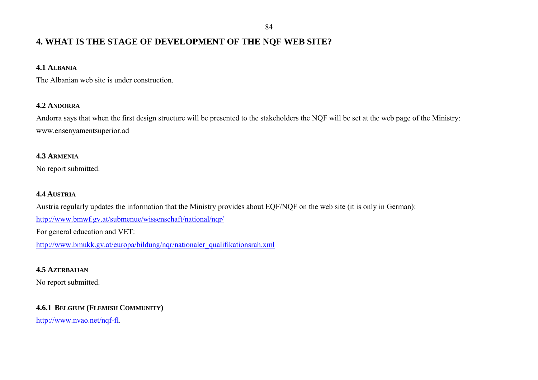# **4. WHAT IS THE STAGE OF DEVELOPMENT OF THE NQF WEB SITE?**

### **4.1 ALBANIA**

The Albanian web site is under construction.

#### **4.2 ANDORRA**

Andorra says that when the first design structure will be presented to the stakeholders the NQF will be set at the web page of the Ministry: www.ensenyamentsuperior.ad

### **4.3 ARMENIA**

No report submitted.

### **4.4 AUSTRIA**

Austria regularly updates the information that the Ministry provides about EQF/NQF on the web site (it is only in German):

http://www.bmwf.gv.at/submenue/wissenschaft/national/nqr/

For general education and VET:

http://www.bmukk.gv.at/europa/bildung/nqr/nationaler\_qualifikationsrah.xml

### **4.5 AZERBAIJAN**

No report submitted.

## **4.6.1 BELGIUM (FLEMISH COMMUNITY)**

http://www.nvao.net/nqf-fl.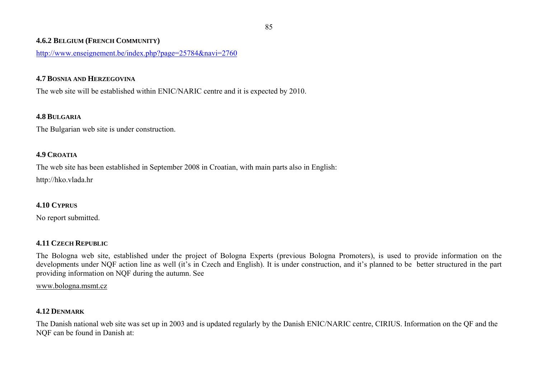#### **4.6.2 BELGIUM (FRENCH COMMUNITY)**

http://www.enseignement.be/index.php?page=25784&navi=2760

#### **4.7 BOSNIA AND HERZEGOVINA**

The web site will be established within ENIC/NARIC centre and it is expected by 2010.

### **4.8 BULGARIA**

The Bulgarian web site is under construction.

### **4.9 CROATIA**

The web site has been established in September 2008 in Croatian, with main parts also in English:

http://hko.vlada.hr

## **4.10 CYPRUS**

No report submitted.

## **4.11 CZECH REPUBLIC**

The Bologna web site, established under the project of Bologna Experts (previous Bologna Promoters), is used to provide information on the developments under NQF action line as well (it's in Czech and English). It is under construction, and it's planned to be better structured in the part providing information on NQF during the autumn. See

www.bologna.msmt.cz

## **4.12 DENMARK**

The Danish national web site was set up in 2003 and is updated regularly by the Danish ENIC/NARIC centre, CIRIUS. Information on the QF and the NQF can be found in Danish at: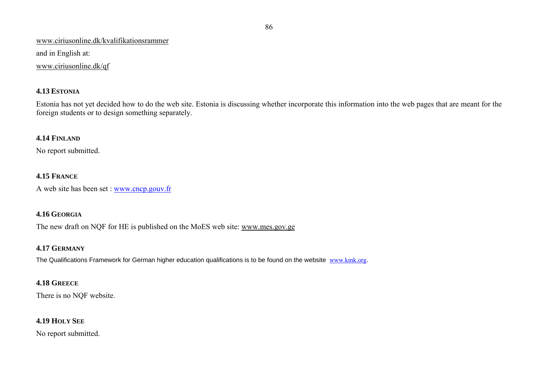#### www.ciriusonline.dk/kvalifikationsrammer

and in English at:

#### www.ciriusonline.dk/qf

### **4.13 ESTONIA**

Estonia has not yet decided how to do the web site. Estonia is discussing whether incorporate this information into the web pages that are meant for the foreign students or to design something separately.

### **4.14 FINLAND**

No report submitted.

## **4.15 FRANCE**

A web site has been set : www.cncp.gouv.fr

### **4.16 GEORGIA**

The new draft on NQF for HE is published on the MoES web site: www.mes.gov.ge

## **4.17 GERMANY**

The Qualifications Framework for German higher education qualifications is to be found on the website www.kmk.org.

## **4.18 GREECE**

There is no NQF website.

# **4.19 HOLY SEE**

No report submitted.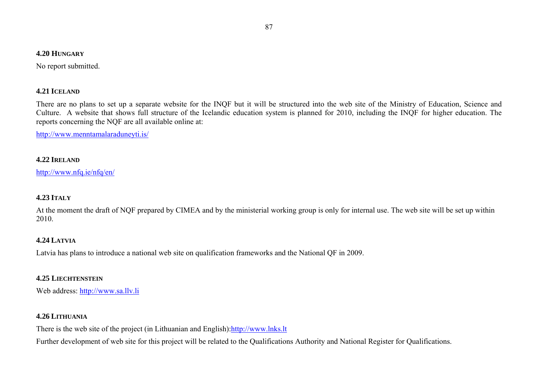#### **4.20 HUNGARY**

No report submitted.

#### **4.21 ICELAND**

There are no plans to set up a separate website for the INQF but it will be structured into the web site of the Ministry of Education, Science and Culture. A website that shows full structure of the Icelandic education system is planned for 2010, including the INQF for higher education. The reports concerning the NQF are all available online at:

http://www.menntamalaraduneyti.is/

### **4.22 IRELAND**

http://www.nfq.ie/nfq/en/

### **4.23 ITALY**

At the moment the draft of NQF prepared by CIMEA and by the ministerial working group is only for internal use. The web site will be set up within 2010.

## **4.24 LATVIA**

Latvia has plans to introduce a national web site on qualification frameworks and the National QF in 2009.

## **4.25 LIECHTENSTEIN**

Web address: http://www.sa.llv.li

## **4.26 LITHUANIA**

There is the web site of the project (in Lithuanian and English): http://www.lnks.lt

Further development of web site for this project will be related to the Qualifications Authority and National Register for Qualifications.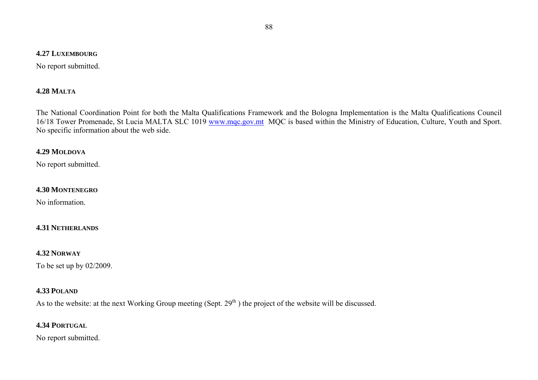#### **4.27 LUXEMBOURG**

No report submitted.

#### **4.28 MALTA**

The National Coordination Point for both the Malta Qualifications Framework and the Bologna Implementation is the Malta Qualifications Council 16/18 Tower Promenade, St Lucia MALTA SLC 1019 www.mqc.gov.mt MQC is based within the Ministry of Education, Culture, Youth and Sport. No specific information about the web side.

#### **4.29 MOLDOVA**

No report submitted.

#### **4.30 MONTENEGRO**

No information.

#### **4.31 NETHERLANDS**

#### **4.32 NORWAY**

To be set up by 02/2009.

#### **4.33 POLAND**

As to the website: at the next Working Group meeting (Sept.  $29<sup>th</sup>$ ) the project of the website will be discussed.

#### **4.34 PORTUGAL**

No report submitted.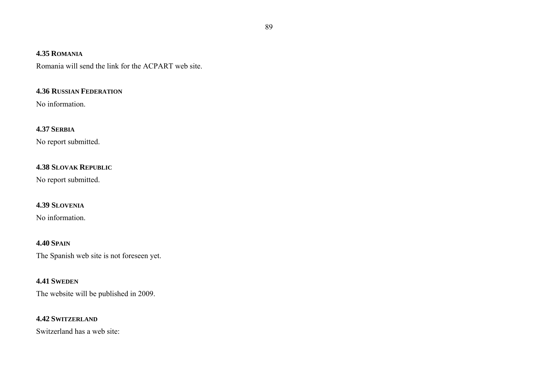#### **4.35 ROMANIA**

Romania will send the link for the ACPART web site.

## **4.36 RUSSIAN FEDERATION**

No information.

#### **4.37 SERBIA**

No report submitted.

### **4.38 SLOVAK REPUBLIC**

No report submitted.

### **4.39 SLOVENIA**

No information.

### **4.40 SPAIN**

The Spanish web site is not foreseen yet.

#### **4.41 SWEDEN**

The website will be published in 2009.

#### **4.42 SWITZERLAND**

Switzerland has a web site: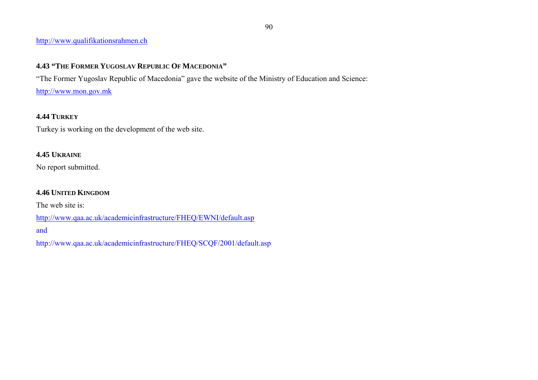### http://www.qualifikationsrahmen.ch

# **4.43 "THE FORMER YUGOSLAV REPUBLIC OF MACEDONIA"**

"The Former Yugoslav Republic of Macedonia" gave the website of the Ministry of Education and Science:

http://www.mon.gov.mk

## **4.44 TURKEY**

Turkey is working on the development of the web site.

# **4.45 UKRAINE**

No report submitted.

# **4.46 UNITED KINGDOM**

The web site is:

http://www.qaa.ac.uk/academicinfrastructure/FHEQ/EWNI/default.asp

and

http://www.qaa.ac.uk/academicinfrastructure/FHEQ/SCQF/2001/default.asp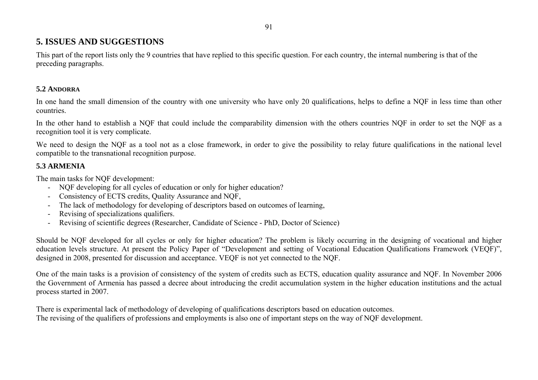# **5. ISSUES AND SUGGESTIONS**

This part of the report lists only the 9 countries that have replied to this specific question. For each country, the internal numbering is that of the preceding paragraphs.

### **5.2 ANDORRA**

In one hand the small dimension of the country with one university who have only 20 qualifications, helps to define a NQF in less time than other countries.

In the other hand to establish a NQF that could include the comparability dimension with the others countries NQF in order to set the NQF as a recognition tool it is very complicate.

We need to design the NQF as a tool not as a close framework, in order to give the possibility to relay future qualifications in the national level compatible to the transnational recognition purpose.

### **5.3 ARMENIA**

The main tasks for NQF development:

- NQF developing for all cycles of education or only for higher education?
- -Consistency of ECTS credits, Quality Assurance and NQF,
- The lack of methodology for developing of descriptors based on outcomes of learning,
- Revising of specializations qualifiers.
- -Revising of scientific degrees (Researcher, Candidate of Science - PhD, Doctor of Science)

Should be NQF developed for all cycles or only for higher education? The problem is likely occurring in the designing of vocational and higher education levels structure. At present the Policy Paper of "Development and setting of Vocational Education Qualifications Framework (VEQF)", designed in 2008, presented for discussion and acceptance. VEQF is not yet connected to the NQF.

One of the main tasks is a provision of consistency of the system of credits such as ECTS, education quality assurance and NQF. In November 2006 the Government of Armenia has passed a decree about introducing the credit accumulation system in the higher education institutions and the actual process started in 2007.

There is experimental lack of methodology of developing of qualifications descriptors based on education outcomes. The revising of the qualifiers of professions and employments is also one of important steps on the way of NQF development.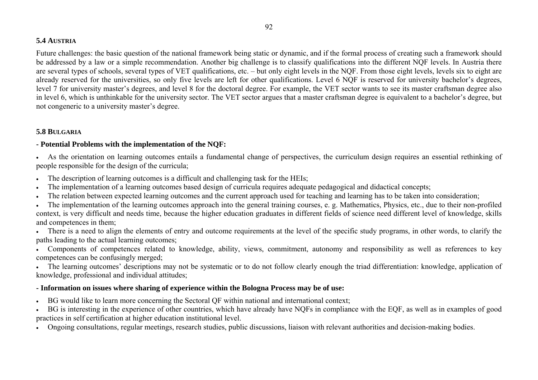### **5.4 AUSTRIA**

Future challenges: the basic question of the national framework being static or dynamic, and if the formal process of creating such a framework should be addressed by a law or a simple recommendation. Another big challenge is to classify qualifications into the different NQF levels. In Austria there are several types of schools, several types of VET qualifications, etc. – but only eight levels in the NQF. From those eight levels, levels six to eight are already reserved for the universities, so only five levels are left for other qualifications. Level 6 NQF is reserved for university bachelor's degrees, level 7 for university master's degrees, and level 8 for the doctoral degree. For example, the VET sector wants to see its master craftsman degree also in level 6, which is unthinkable for the university sector. The VET sector argues that a master craftsman degree is equivalent to a bachelor's degree, but not congeneric to a university master's degree.

## **5.8 BULGARIA**

### **- Potential Problems with the implementation of the NQF:**

• As the orientation on learning outcomes entails a fundamental change of perspectives, the curriculum design requires an essential rethinking of people responsible for the design of the curricula;

- •The description of learning outcomes is a difficult and challenging task for the HEIs;
- •The implementation of a learning outcomes based design of curricula requires adequate pedagogical and didactical concepts;
- •The relation between expected learning outcomes and the current approach used for teaching and learning has to be taken into consideration;
- • The implementation of the learning outcomes approach into the general training courses, e. g. Mathematics, Physics, etc., due to their non-profiled context, is very difficult and needs time, because the higher education graduates in different fields of science need different level of knowledge, skills and competences in them;
- There is a need to align the elements of entry and outcome requirements at the level of the specific study programs, in other words, to clarify the paths leading to the actual learning outcomes;
- • Components of competences related to knowledge, ability, views, commitment, autonomy and responsibility as well as references to key competences can be confusingly merged;
- The learning outcomes' descriptions may not be systematic or to do not follow clearly enough the triad differentiation: knowledge, application of knowledge, professional and individual attitudes;

## **- Information on issues where sharing of experience within the Bologna Process may be of use:**

- •BG would like to learn more concerning the Sectoral QF within national and international context;
- • BG is interesting in the experience of other countries, which have already have NQFs in compliance with the EQF, as well as in examples of good practices in self certification at higher education institutional level.
- Ongoing consultations, regular meetings, research studies, public discussions, liaison with relevant authorities and decision-making bodies.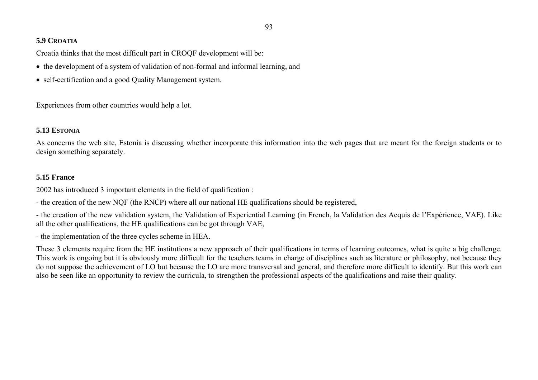### **5.9 CROATIA**

Croatia thinks that the most difficult part in CROQF development will be:

- the development of a system of validation of non-formal and informal learning, and
- self-certification and a good Quality Management system.

Experiences from other countries would help a lot.

## **5.13 ESTONIA**

As concerns the web site, Estonia is discussing whether incorporate this information into the web pages that are meant for the foreign students or to design something separately.

# **5.15 France**

2002 has introduced 3 important elements in the field of qualification :

- the creation of the new NQF (the RNCP) where all our national HE qualifications should be registered,

- the creation of the new validation system, the Validation of Experiential Learning (in French, la Validation des Acquis de l'Expérience, VAE). Like all the other qualifications, the HE qualifications can be got through VAE,

- the implementation of the three cycles scheme in HEA.

These 3 elements require from the HE institutions a new approach of their qualifications in terms of learning outcomes, what is quite a big challenge. This work is ongoing but it is obviously more difficult for the teachers teams in charge of disciplines such as literature or philosophy, not because they do not suppose the achievement of LO but because the LO are more transversal and general, and therefore more difficult to identify. But this work can also be seen like an opportunity to review the curricula, to strengthen the professional aspects of the qualifications and raise their quality.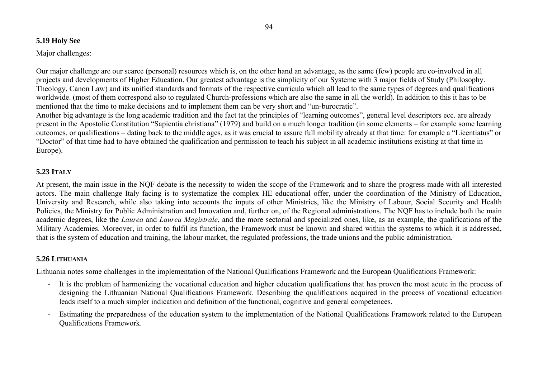### **5.19 Holy See**

### Major challenges:

Our major challenge are our scarce (personal) resources which is, on the other hand an advantage, as the same (few) people are co-involved in all projects and developments of Higher Education. Our greatest advantage is the simplicity of our Systeme with 3 major fields of Study (Philosophy. Theology, Canon Law) and its unified standards and formats of the respective curricula which all lead to the same types of degrees and qualifications worldwide. (most of them correspond also to regulated Church-professions which are also the same in all the world). In addition to this it has to be mentioned that the time to make decisions and to implement them can be very short and "un-burocratic".

Another big advantage is the long academic tradition and the fact tat the principles of "learning outcomes", general level descriptors ecc. are already present in the Apostolic Constitution "Sapientia christiana" (1979) and build on a much longer tradition (in some elements – for example some learning outcomes, or qualifications – dating back to the middle ages, as it was crucial to assure full mobility already at that time: for example a "Licentiatus" or "Doctor" of that time had to have obtained the qualification and permission to teach his subject in all academic institutions existing at that time in Europe).

## **5.23 ITALY**

At present, the main issue in the NQF debate is the necessity to widen the scope of the Framework and to share the progress made with all interested actors. The main challenge Italy facing is to systematize the complex HE educational offer, under the coordination of the Ministry of Education, University and Research, while also taking into accounts the inputs of other Ministries, like the Ministry of Labour, Social Security and Health Policies, the Ministry for Public Administration and Innovation and, further on, of the Regional administrations. The NQF has to include both the main academic degrees, like the *Laurea* and *Laurea Magistrale*, and the more sectorial and specialized ones, like, as an example, the qualifications of the Military Academies. Moreover, in order to fulfil its function, the Framework must be known and shared within the systems to which it is addressed, that is the system of education and training, the labour market, the regulated professions, the trade unions and the public administration.

## **5.26 LITHUANIA**

Lithuania notes some challenges in the implementation of the National Qualifications Framework and the European Qualifications Framework:

- It is the problem of harmonizing the vocational education and higher education qualifications that has proven the most acute in the process of designing the Lithuanian National Qualifications Framework. Describing the qualifications acquired in the process of vocational education leads itself to a much simpler indication and definition of the functional, cognitive and general competences.
- Estimating the preparedness of the education system to the implementation of the National Qualifications Framework related to the European Qualifications Framework.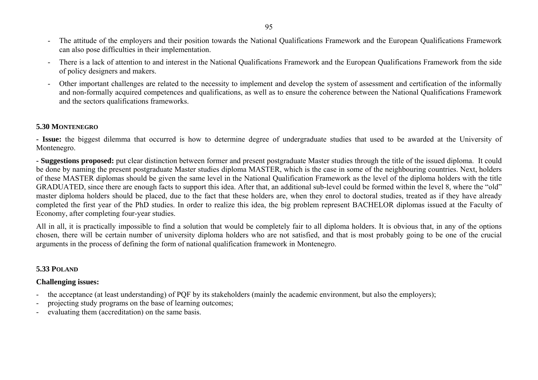- The attitude of the employers and their position towards the National Qualifications Framework and the European Qualifications Framework can also pose difficulties in their implementation.
- There is a lack of attention to and interest in the National Qualifications Framework and the European Qualifications Framework from the side of policy designers and makers.
- - Other important challenges are related to the necessity to implement and develop the system of assessment and certification of the informally and non-formally acquired competences and qualifications, as well as to ensure the coherence between the National Qualifications Framework and the sectors qualifications frameworks.

#### **5.30 MONTENEGRO**

**- Issue:** the biggest dilemma that occurred is how to determine degree of undergraduate studies that used to be awarded at the University of Montenegro.

**- Suggestions proposed:** put clear distinction between former and present postgraduate Master studies through the title of the issued diploma. It could be done by naming the present postgraduate Master studies diploma MASTER, which is the case in some of the neighbouring countries. Next, holders of these MASTER diplomas should be given the same level in the National Qualification Framework as the level of the diploma holders with the title GRADUATED, since there are enough facts to support this idea. After that, an additional sub-level could be formed within the level 8, where the "old" master diploma holders should be placed, due to the fact that these holders are, when they enrol to doctoral studies, treated as if they have already completed the first year of the PhD studies. In order to realize this idea, the big problem represent BACHELOR diplomas issued at the Faculty of Economy, after completing four-year studies.

All in all, it is practically impossible to find a solution that would be completely fair to all diploma holders. It is obvious that, in any of the options chosen, there will be certain number of university diploma holders who are not satisfied, and that is most probably going to be one of the crucial arguments in the process of defining the form of national qualification framework in Montenegro.

#### **5.33 POLAND**

### **Challenging issues:**

- the acceptance (at least understanding) of PQF by its stakeholders (mainly the academic environment, but also the employers);
- projecting study programs on the base of learning outcomes;
- evaluating them (accreditation) on the same basis.